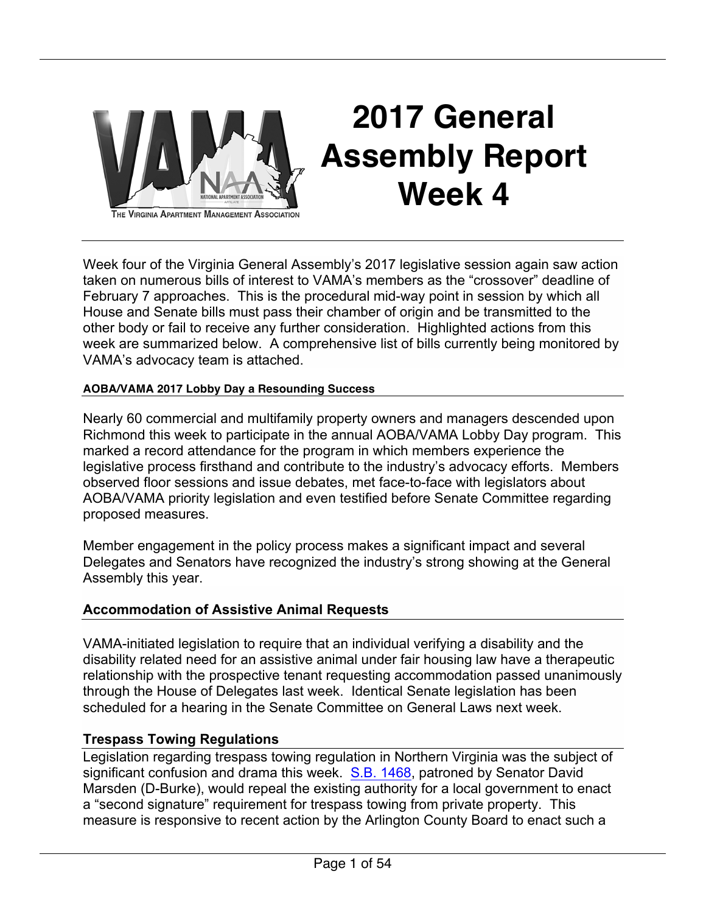

# **2017 General Assembly Report Week 4**

THE VIRGINIA APARTMENT MANAGEMENT ASSOCIATION

Week four of the Virginia General Assembly's 2017 legislative session again saw action taken on numerous bills of interest to VAMA's members as the "crossover" deadline of February 7 approaches. This is the procedural mid-way point in session by which all House and Senate bills must pass their chamber of origin and be transmitted to the other body or fail to receive any further consideration. Highlighted actions from this week are summarized below. A comprehensive list of bills currently being monitored by VAMA's advocacy team is attached.

### **AOBA/VAMA 2017 Lobby Day a Resounding Success**

Nearly 60 commercial and multifamily property owners and managers descended upon Richmond this week to participate in the annual AOBA/VAMA Lobby Day program. This marked a record attendance for the program in which members experience the legislative process firsthand and contribute to the industry's advocacy efforts. Members observed floor sessions and issue debates, met face-to-face with legislators about AOBA/VAMA priority legislation and even testified before Senate Committee regarding proposed measures.

Member engagement in the policy process makes a significant impact and several Delegates and Senators have recognized the industry's strong showing at the General Assembly this year.

### **Accommodation of Assistive Animal Requests**

VAMA-initiated legislation to require that an individual verifying a disability and the disability related need for an assistive animal under fair housing law have a therapeutic relationship with the prospective tenant requesting accommodation passed unanimously through the House of Delegates last week. Identical Senate legislation has been scheduled for a hearing in the Senate Committee on General Laws next week.

### **Trespass Towing Regulations**

Legislation regarding trespass towing regulation in Northern Virginia was the subject of significant confusion and drama this week. S.B. 1468, patroned by Senator David Marsden (D-Burke), would repeal the existing authority for a local government to enact a "second signature" requirement for trespass towing from private property. This measure is responsive to recent action by the Arlington County Board to enact such a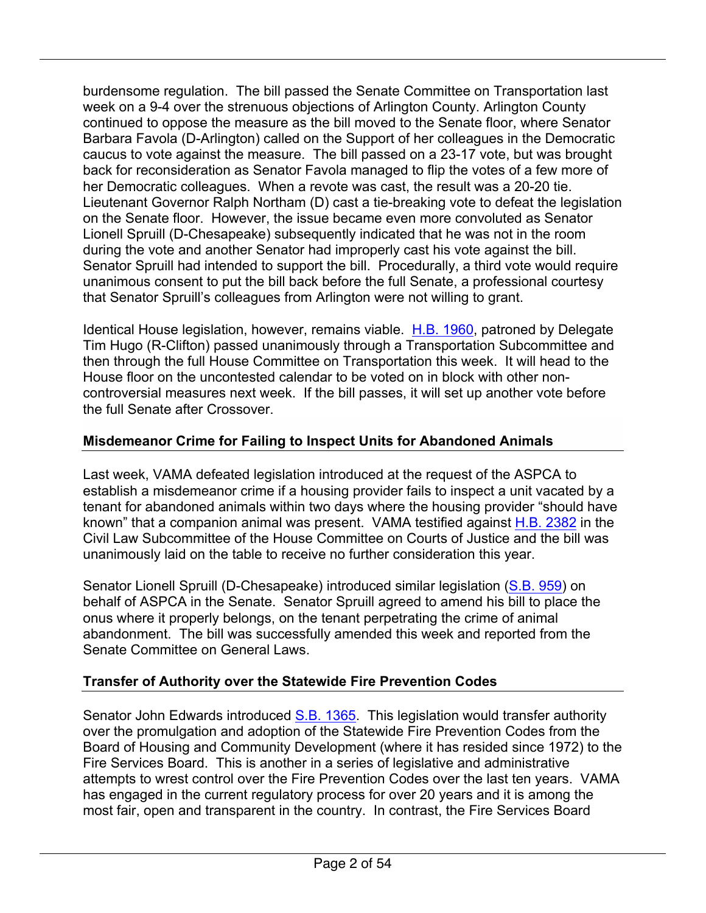burdensome regulation. The bill passed the Senate Committee on Transportation last week on a 9-4 over the strenuous objections of Arlington County. Arlington County continued to oppose the measure as the bill moved to the Senate floor, where Senator Barbara Favola (D-Arlington) called on the Support of her colleagues in the Democratic caucus to vote against the measure. The bill passed on a 23-17 vote, but was brought back for reconsideration as Senator Favola managed to flip the votes of a few more of her Democratic colleagues. When a revote was cast, the result was a 20-20 tie. Lieutenant Governor Ralph Northam (D) cast a tie-breaking vote to defeat the legislation on the Senate floor. However, the issue became even more convoluted as Senator Lionell Spruill (D-Chesapeake) subsequently indicated that he was not in the room during the vote and another Senator had improperly cast his vote against the bill. Senator Spruill had intended to support the bill. Procedurally, a third vote would require unanimous consent to put the bill back before the full Senate, a professional courtesy that Senator Spruill's colleagues from Arlington were not willing to grant.

Identical House legislation, however, remains viable. H.B. 1960, patroned by Delegate Tim Hugo (R-Clifton) passed unanimously through a Transportation Subcommittee and then through the full House Committee on Transportation this week. It will head to the House floor on the uncontested calendar to be voted on in block with other noncontroversial measures next week. If the bill passes, it will set up another vote before the full Senate after Crossover.

### **Misdemeanor Crime for Failing to Inspect Units for Abandoned Animals**

Last week, VAMA defeated legislation introduced at the request of the ASPCA to establish a misdemeanor crime if a housing provider fails to inspect a unit vacated by a tenant for abandoned animals within two days where the housing provider "should have known" that a companion animal was present. VAMA testified against H.B. 2382 in the Civil Law Subcommittee of the House Committee on Courts of Justice and the bill was unanimously laid on the table to receive no further consideration this year.

Senator Lionell Spruill (D-Chesapeake) introduced similar legislation (S.B. 959) on behalf of ASPCA in the Senate. Senator Spruill agreed to amend his bill to place the onus where it properly belongs, on the tenant perpetrating the crime of animal abandonment. The bill was successfully amended this week and reported from the Senate Committee on General Laws.

### **Transfer of Authority over the Statewide Fire Prevention Codes**

Senator John Edwards introduced S.B. 1365. This legislation would transfer authority over the promulgation and adoption of the Statewide Fire Prevention Codes from the Board of Housing and Community Development (where it has resided since 1972) to the Fire Services Board. This is another in a series of legislative and administrative attempts to wrest control over the Fire Prevention Codes over the last ten years. VAMA has engaged in the current regulatory process for over 20 years and it is among the most fair, open and transparent in the country. In contrast, the Fire Services Board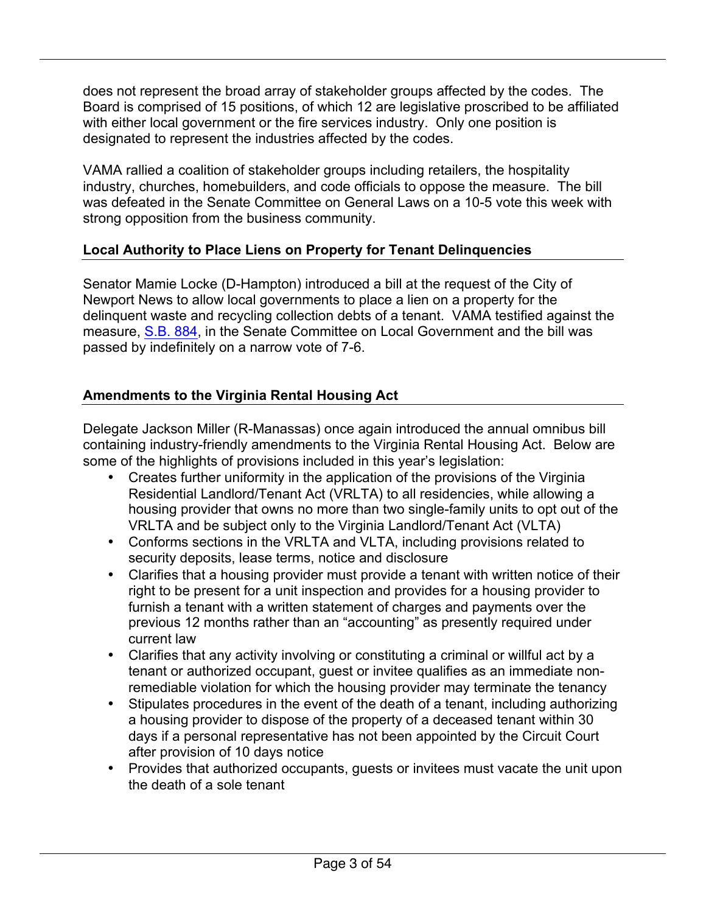does not represent the broad array of stakeholder groups affected by the codes. The Board is comprised of 15 positions, of which 12 are legislative proscribed to be affiliated with either local government or the fire services industry. Only one position is designated to represent the industries affected by the codes.

VAMA rallied a coalition of stakeholder groups including retailers, the hospitality industry, churches, homebuilders, and code officials to oppose the measure. The bill was defeated in the Senate Committee on General Laws on a 10-5 vote this week with strong opposition from the business community.

### **Local Authority to Place Liens on Property for Tenant Delinquencies**

Senator Mamie Locke (D-Hampton) introduced a bill at the request of the City of Newport News to allow local governments to place a lien on a property for the delinquent waste and recycling collection debts of a tenant. VAMA testified against the measure, S.B. 884, in the Senate Committee on Local Government and the bill was passed by indefinitely on a narrow vote of 7-6.

### **Amendments to the Virginia Rental Housing Act**

Delegate Jackson Miller (R-Manassas) once again introduced the annual omnibus bill containing industry-friendly amendments to the Virginia Rental Housing Act. Below are some of the highlights of provisions included in this year's legislation:

- Creates further uniformity in the application of the provisions of the Virginia Residential Landlord/Tenant Act (VRLTA) to all residencies, while allowing a housing provider that owns no more than two single-family units to opt out of the VRLTA and be subject only to the Virginia Landlord/Tenant Act (VLTA)
- Conforms sections in the VRLTA and VLTA, including provisions related to security deposits, lease terms, notice and disclosure
- Clarifies that a housing provider must provide a tenant with written notice of their right to be present for a unit inspection and provides for a housing provider to furnish a tenant with a written statement of charges and payments over the previous 12 months rather than an "accounting" as presently required under current law
- Clarifies that any activity involving or constituting a criminal or willful act by a tenant or authorized occupant, guest or invitee qualifies as an immediate nonremediable violation for which the housing provider may terminate the tenancy
- Stipulates procedures in the event of the death of a tenant, including authorizing a housing provider to dispose of the property of a deceased tenant within 30 days if a personal representative has not been appointed by the Circuit Court after provision of 10 days notice
- Provides that authorized occupants, guests or invitees must vacate the unit upon the death of a sole tenant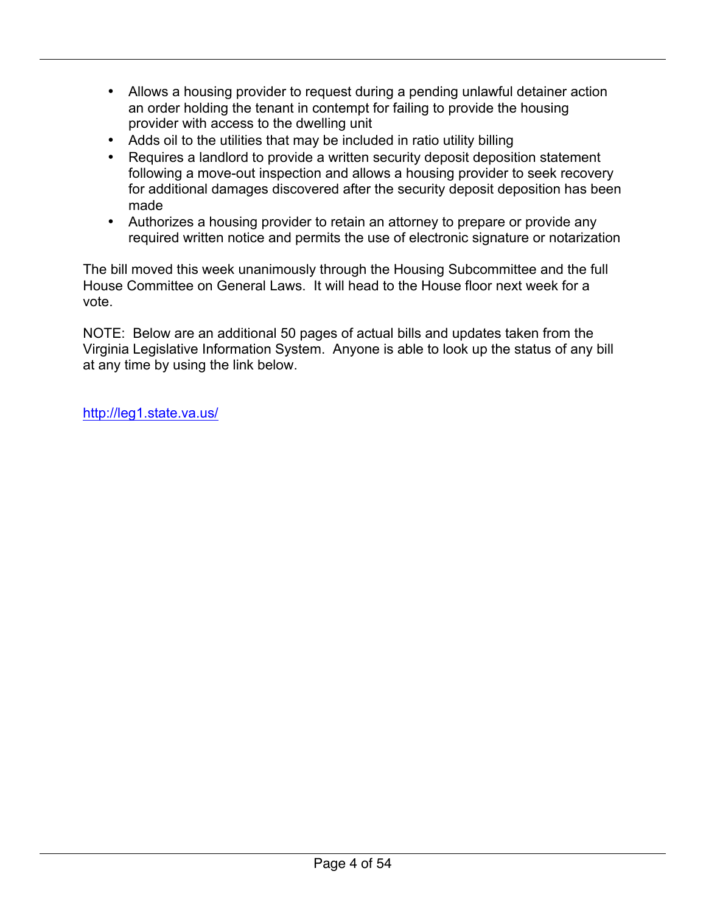- Allows a housing provider to request during a pending unlawful detainer action an order holding the tenant in contempt for failing to provide the housing provider with access to the dwelling unit
- Adds oil to the utilities that may be included in ratio utility billing
- Requires a landlord to provide a written security deposit deposition statement following a move-out inspection and allows a housing provider to seek recovery for additional damages discovered after the security deposit deposition has been made
- Authorizes a housing provider to retain an attorney to prepare or provide any required written notice and permits the use of electronic signature or notarization

The bill moved this week unanimously through the Housing Subcommittee and the full House Committee on General Laws. It will head to the House floor next week for a vote.

NOTE: Below are an additional 50 pages of actual bills and updates taken from the Virginia Legislative Information System. Anyone is able to look up the status of any bill at any time by using the link below.

http://leg1.state.va.us/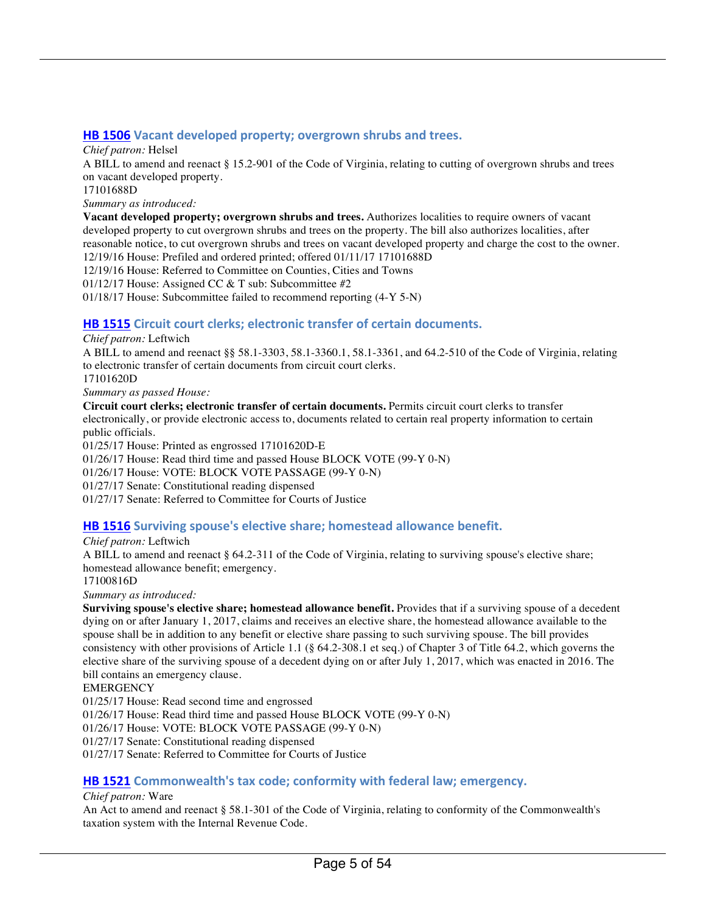#### **HB 1506** Vacant developed property; overgrown shrubs and trees.

*Chief patron:* Helsel

A BILL to amend and reenact § 15.2-901 of the Code of Virginia, relating to cutting of overgrown shrubs and trees on vacant developed property.

17101688D

*Summary as introduced:*

**Vacant developed property; overgrown shrubs and trees.** Authorizes localities to require owners of vacant developed property to cut overgrown shrubs and trees on the property. The bill also authorizes localities, after reasonable notice, to cut overgrown shrubs and trees on vacant developed property and charge the cost to the owner.

12/19/16 House: Prefiled and ordered printed; offered 01/11/17 17101688D

12/19/16 House: Referred to Committee on Counties, Cities and Towns

01/12/17 House: Assigned CC & T sub: Subcommittee #2

01/18/17 House: Subcommittee failed to recommend reporting (4-Y 5-N)

#### **HB 1515** Circuit court clerks; electronic transfer of certain documents.

*Chief patron:* Leftwich

A BILL to amend and reenact §§ 58.1-3303, 58.1-3360.1, 58.1-3361, and 64.2-510 of the Code of Virginia, relating to electronic transfer of certain documents from circuit court clerks.

17101620D *Summary as passed House:*

**Circuit court clerks; electronic transfer of certain documents.** Permits circuit court clerks to transfer electronically, or provide electronic access to, documents related to certain real property information to certain public officials.

01/25/17 House: Printed as engrossed 17101620D-E

01/26/17 House: Read third time and passed House BLOCK VOTE (99-Y 0-N)

01/26/17 House: VOTE: BLOCK VOTE PASSAGE (99-Y 0-N)

01/27/17 Senate: Constitutional reading dispensed

01/27/17 Senate: Referred to Committee for Courts of Justice

#### **HB 1516** Surviving spouse's elective share; homestead allowance benefit.

*Chief patron:* Leftwich

A BILL to amend and reenact § 64.2-311 of the Code of Virginia, relating to surviving spouse's elective share; homestead allowance benefit; emergency.

17100816D

*Summary as introduced:*

**Surviving spouse's elective share; homestead allowance benefit.** Provides that if a surviving spouse of a decedent dying on or after January 1, 2017, claims and receives an elective share, the homestead allowance available to the spouse shall be in addition to any benefit or elective share passing to such surviving spouse. The bill provides consistency with other provisions of Article 1.1 (§ 64.2-308.1 et seq.) of Chapter 3 of Title 64.2, which governs the elective share of the surviving spouse of a decedent dying on or after July 1, 2017, which was enacted in 2016. The bill contains an emergency clause.

**EMERGENCY** 

01/25/17 House: Read second time and engrossed

01/26/17 House: Read third time and passed House BLOCK VOTE (99-Y 0-N)

01/26/17 House: VOTE: BLOCK VOTE PASSAGE (99-Y 0-N)

01/27/17 Senate: Constitutional reading dispensed

01/27/17 Senate: Referred to Committee for Courts of Justice

#### **HB 1521** Commonwealth's tax code; conformity with federal law; emergency.

#### *Chief patron:* Ware

An Act to amend and reenact § 58.1-301 of the Code of Virginia, relating to conformity of the Commonwealth's taxation system with the Internal Revenue Code.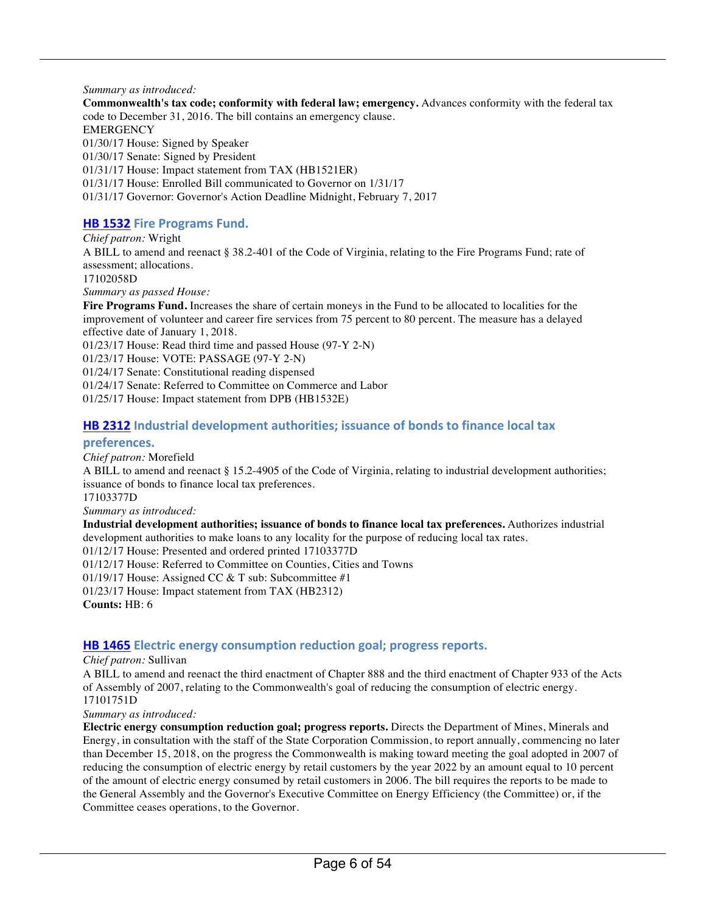#### *Summary as introduced:*

**Commonwealth's tax code; conformity with federal law; emergency.** Advances conformity with the federal tax code to December 31, 2016. The bill contains an emergency clause. **EMERGENCY** 01/30/17 House: Signed by Speaker 01/30/17 Senate: Signed by President 01/31/17 House: Impact statement from TAX (HB1521ER) 01/31/17 House: Enrolled Bill communicated to Governor on 1/31/17 01/31/17 Governor: Governor's Action Deadline Midnight, February 7, 2017

#### **HB 1532 Fire Programs Fund.**

*Chief patron:* Wright

A BILL to amend and reenact § 38.2-401 of the Code of Virginia, relating to the Fire Programs Fund; rate of assessment; allocations.

17102058D

*Summary as passed House:*

**Fire Programs Fund.** Increases the share of certain moneys in the Fund to be allocated to localities for the improvement of volunteer and career fire services from 75 percent to 80 percent. The measure has a delayed effective date of January 1, 2018.

01/23/17 House: Read third time and passed House (97-Y 2-N)

01/23/17 House: VOTE: PASSAGE (97-Y 2-N)

01/24/17 Senate: Constitutional reading dispensed

01/24/17 Senate: Referred to Committee on Commerce and Labor

01/25/17 House: Impact statement from DPB (HB1532E)

#### **HB 2312** Industrial development authorities; issuance of bonds to finance local tax

#### **preferences.**

*Chief patron:* Morefield

A BILL to amend and reenact § 15.2-4905 of the Code of Virginia, relating to industrial development authorities; issuance of bonds to finance local tax preferences.

17103377D

*Summary as introduced:*

**Industrial development authorities; issuance of bonds to finance local tax preferences.** Authorizes industrial development authorities to make loans to any locality for the purpose of reducing local tax rates.

01/12/17 House: Presented and ordered printed 17103377D

01/12/17 House: Referred to Committee on Counties, Cities and Towns

01/19/17 House: Assigned CC & T sub: Subcommittee #1

01/23/17 House: Impact statement from TAX (HB2312)

**Counts:** HB: 6

#### **HB 1465** Electric energy consumption reduction goal; progress reports.

#### *Chief patron:* Sullivan

A BILL to amend and reenact the third enactment of Chapter 888 and the third enactment of Chapter 933 of the Acts of Assembly of 2007, relating to the Commonwealth's goal of reducing the consumption of electric energy. 17101751D

*Summary as introduced:*

**Electric energy consumption reduction goal; progress reports.** Directs the Department of Mines, Minerals and Energy, in consultation with the staff of the State Corporation Commission, to report annually, commencing no later than December 15, 2018, on the progress the Commonwealth is making toward meeting the goal adopted in 2007 of reducing the consumption of electric energy by retail customers by the year 2022 by an amount equal to 10 percent of the amount of electric energy consumed by retail customers in 2006. The bill requires the reports to be made to the General Assembly and the Governor's Executive Committee on Energy Efficiency (the Committee) or, if the Committee ceases operations, to the Governor.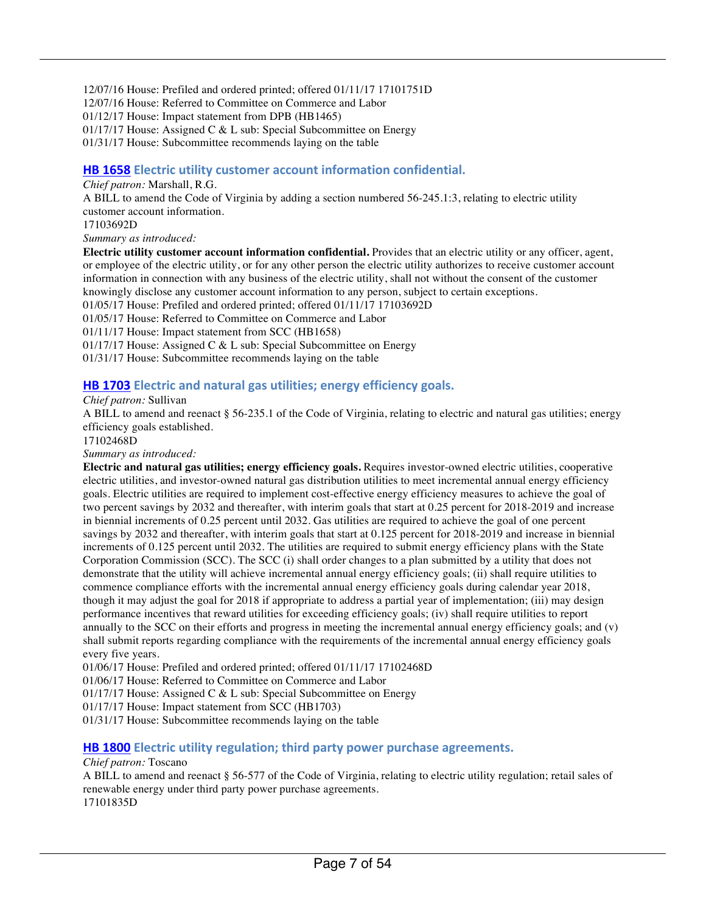12/07/16 House: Prefiled and ordered printed; offered 01/11/17 17101751D

12/07/16 House: Referred to Committee on Commerce and Labor

01/12/17 House: Impact statement from DPB (HB1465)

01/17/17 House: Assigned C & L sub: Special Subcommittee on Energy

01/31/17 House: Subcommittee recommends laying on the table

#### **HB 1658** Electric utility customer account information confidential.

#### *Chief patron:* Marshall, R.G.

A BILL to amend the Code of Virginia by adding a section numbered 56-245.1:3, relating to electric utility customer account information.

17103692D

*Summary as introduced:*

**Electric utility customer account information confidential.** Provides that an electric utility or any officer, agent, or employee of the electric utility, or for any other person the electric utility authorizes to receive customer account information in connection with any business of the electric utility, shall not without the consent of the customer knowingly disclose any customer account information to any person, subject to certain exceptions.

01/05/17 House: Prefiled and ordered printed; offered 01/11/17 17103692D

01/05/17 House: Referred to Committee on Commerce and Labor

01/11/17 House: Impact statement from SCC (HB1658)

01/17/17 House: Assigned C & L sub: Special Subcommittee on Energy

01/31/17 House: Subcommittee recommends laying on the table

#### **HB 1703** Electric and natural gas utilities; energy efficiency goals.

*Chief patron:* Sullivan

A BILL to amend and reenact § 56-235.1 of the Code of Virginia, relating to electric and natural gas utilities; energy efficiency goals established.

17102468D

*Summary as introduced:*

**Electric and natural gas utilities; energy efficiency goals.** Requires investor-owned electric utilities, cooperative electric utilities, and investor-owned natural gas distribution utilities to meet incremental annual energy efficiency goals. Electric utilities are required to implement cost-effective energy efficiency measures to achieve the goal of two percent savings by 2032 and thereafter, with interim goals that start at 0.25 percent for 2018-2019 and increase in biennial increments of 0.25 percent until 2032. Gas utilities are required to achieve the goal of one percent savings by 2032 and thereafter, with interim goals that start at 0.125 percent for 2018-2019 and increase in biennial increments of 0.125 percent until 2032. The utilities are required to submit energy efficiency plans with the State Corporation Commission (SCC). The SCC (i) shall order changes to a plan submitted by a utility that does not demonstrate that the utility will achieve incremental annual energy efficiency goals; (ii) shall require utilities to commence compliance efforts with the incremental annual energy efficiency goals during calendar year 2018, though it may adjust the goal for 2018 if appropriate to address a partial year of implementation; (iii) may design performance incentives that reward utilities for exceeding efficiency goals; (iv) shall require utilities to report annually to the SCC on their efforts and progress in meeting the incremental annual energy efficiency goals; and (v) shall submit reports regarding compliance with the requirements of the incremental annual energy efficiency goals every five years.

01/06/17 House: Prefiled and ordered printed; offered 01/11/17 17102468D

01/06/17 House: Referred to Committee on Commerce and Labor

01/17/17 House: Assigned C & L sub: Special Subcommittee on Energy

01/17/17 House: Impact statement from SCC (HB1703)

01/31/17 House: Subcommittee recommends laying on the table

#### **HB 1800** Electric utility regulation; third party power purchase agreements.

#### *Chief patron:* Toscano

A BILL to amend and reenact § 56-577 of the Code of Virginia, relating to electric utility regulation; retail sales of renewable energy under third party power purchase agreements. 17101835D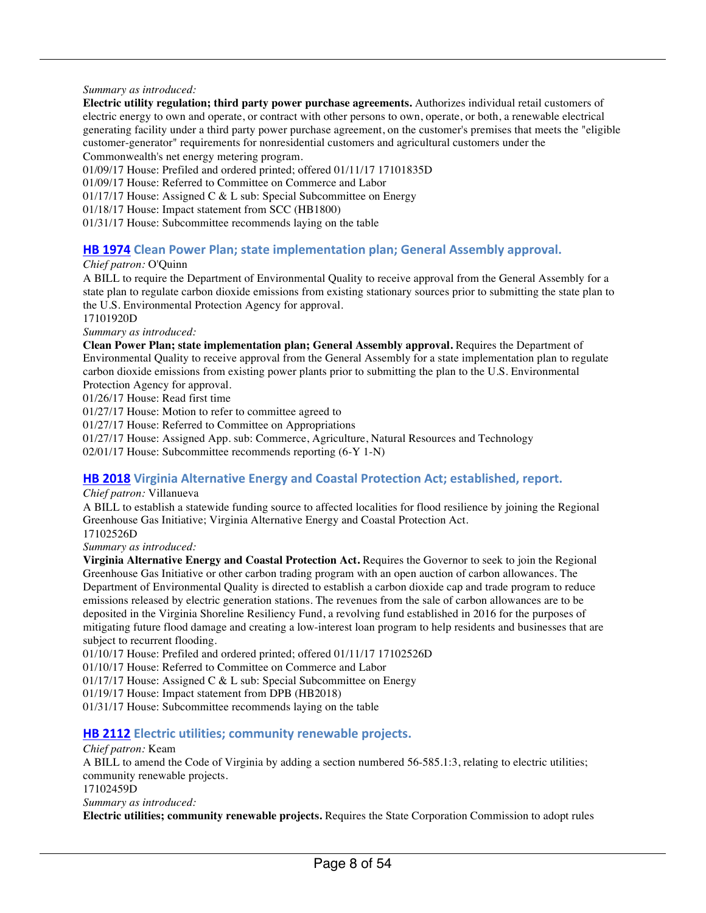#### *Summary as introduced:*

**Electric utility regulation; third party power purchase agreements.** Authorizes individual retail customers of electric energy to own and operate, or contract with other persons to own, operate, or both, a renewable electrical generating facility under a third party power purchase agreement, on the customer's premises that meets the "eligible customer-generator" requirements for nonresidential customers and agricultural customers under the Commonwealth's net energy metering program.

01/09/17 House: Prefiled and ordered printed; offered 01/11/17 17101835D

01/09/17 House: Referred to Committee on Commerce and Labor

01/17/17 House: Assigned C & L sub: Special Subcommittee on Energy

01/18/17 House: Impact statement from SCC (HB1800)

01/31/17 House: Subcommittee recommends laying on the table

#### **HB 1974** Clean Power Plan; state implementation plan; General Assembly approval.

#### *Chief patron:* O'Quinn

A BILL to require the Department of Environmental Quality to receive approval from the General Assembly for a state plan to regulate carbon dioxide emissions from existing stationary sources prior to submitting the state plan to the U.S. Environmental Protection Agency for approval.

17101920D

*Summary as introduced:*

**Clean Power Plan; state implementation plan; General Assembly approval.** Requires the Department of Environmental Quality to receive approval from the General Assembly for a state implementation plan to regulate carbon dioxide emissions from existing power plants prior to submitting the plan to the U.S. Environmental Protection Agency for approval.

01/26/17 House: Read first time

01/27/17 House: Motion to refer to committee agreed to

01/27/17 House: Referred to Committee on Appropriations

01/27/17 House: Assigned App. sub: Commerce, Agriculture, Natural Resources and Technology

02/01/17 House: Subcommittee recommends reporting (6-Y 1-N)

#### **HB 2018** Virginia Alternative Energy and Coastal Protection Act; established, report.

*Chief patron:* Villanueva

A BILL to establish a statewide funding source to affected localities for flood resilience by joining the Regional Greenhouse Gas Initiative; Virginia Alternative Energy and Coastal Protection Act. 17102526D

*Summary as introduced:*

**Virginia Alternative Energy and Coastal Protection Act.** Requires the Governor to seek to join the Regional Greenhouse Gas Initiative or other carbon trading program with an open auction of carbon allowances. The Department of Environmental Quality is directed to establish a carbon dioxide cap and trade program to reduce emissions released by electric generation stations. The revenues from the sale of carbon allowances are to be deposited in the Virginia Shoreline Resiliency Fund, a revolving fund established in 2016 for the purposes of mitigating future flood damage and creating a low-interest loan program to help residents and businesses that are subject to recurrent flooding.

01/10/17 House: Prefiled and ordered printed; offered 01/11/17 17102526D

01/10/17 House: Referred to Committee on Commerce and Labor

01/17/17 House: Assigned C & L sub: Special Subcommittee on Energy

01/19/17 House: Impact statement from DPB (HB2018)

01/31/17 House: Subcommittee recommends laying on the table

#### **HB 2112** Electric utilities; community renewable projects.

#### *Chief patron:* Keam

A BILL to amend the Code of Virginia by adding a section numbered 56-585.1:3, relating to electric utilities; community renewable projects. 17102459D

*Summary as introduced:*

**Electric utilities; community renewable projects.** Requires the State Corporation Commission to adopt rules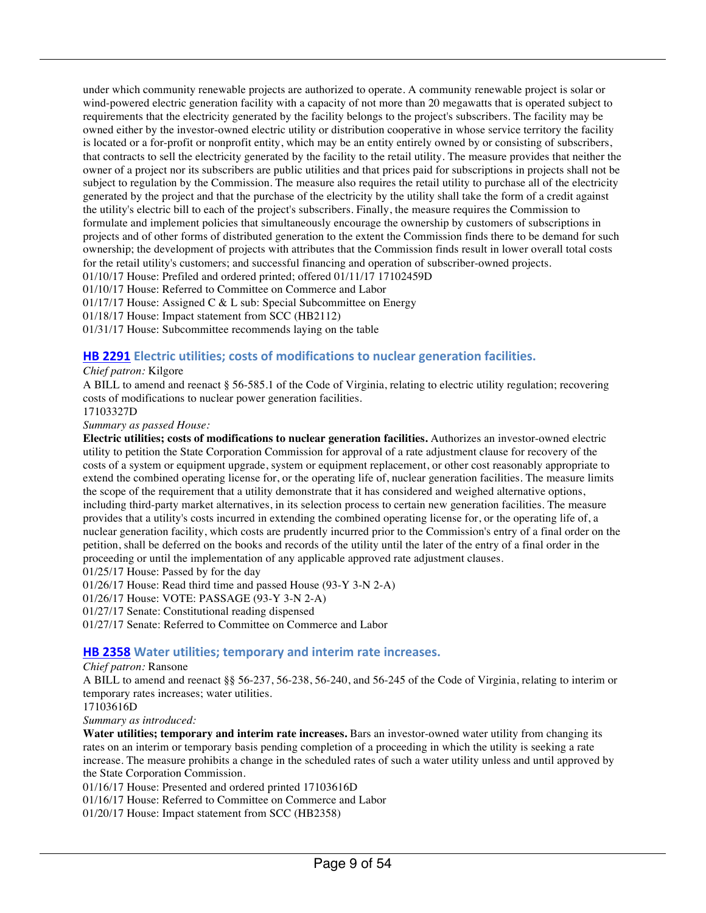under which community renewable projects are authorized to operate. A community renewable project is solar or wind-powered electric generation facility with a capacity of not more than 20 megawatts that is operated subject to requirements that the electricity generated by the facility belongs to the project's subscribers. The facility may be owned either by the investor-owned electric utility or distribution cooperative in whose service territory the facility is located or a for-profit or nonprofit entity, which may be an entity entirely owned by or consisting of subscribers, that contracts to sell the electricity generated by the facility to the retail utility. The measure provides that neither the owner of a project nor its subscribers are public utilities and that prices paid for subscriptions in projects shall not be subject to regulation by the Commission. The measure also requires the retail utility to purchase all of the electricity generated by the project and that the purchase of the electricity by the utility shall take the form of a credit against the utility's electric bill to each of the project's subscribers. Finally, the measure requires the Commission to formulate and implement policies that simultaneously encourage the ownership by customers of subscriptions in projects and of other forms of distributed generation to the extent the Commission finds there to be demand for such ownership; the development of projects with attributes that the Commission finds result in lower overall total costs for the retail utility's customers; and successful financing and operation of subscriber-owned projects. 01/10/17 House: Prefiled and ordered printed; offered 01/11/17 17102459D 01/10/17 House: Referred to Committee on Commerce and Labor

01/17/17 House: Assigned C & L sub: Special Subcommittee on Energy

01/18/17 House: Impact statement from SCC (HB2112)

01/31/17 House: Subcommittee recommends laying on the table

#### **HB 2291** Electric utilities; costs of modifications to nuclear generation facilities.

#### *Chief patron:* Kilgore

A BILL to amend and reenact § 56-585.1 of the Code of Virginia, relating to electric utility regulation; recovering costs of modifications to nuclear power generation facilities.

17103327D

*Summary as passed House:*

**Electric utilities; costs of modifications to nuclear generation facilities.** Authorizes an investor-owned electric utility to petition the State Corporation Commission for approval of a rate adjustment clause for recovery of the costs of a system or equipment upgrade, system or equipment replacement, or other cost reasonably appropriate to extend the combined operating license for, or the operating life of, nuclear generation facilities. The measure limits the scope of the requirement that a utility demonstrate that it has considered and weighed alternative options, including third-party market alternatives, in its selection process to certain new generation facilities. The measure provides that a utility's costs incurred in extending the combined operating license for, or the operating life of, a nuclear generation facility, which costs are prudently incurred prior to the Commission's entry of a final order on the petition, shall be deferred on the books and records of the utility until the later of the entry of a final order in the proceeding or until the implementation of any applicable approved rate adjustment clauses.

01/25/17 House: Passed by for the day

01/26/17 House: Read third time and passed House (93-Y 3-N 2-A)

01/26/17 House: VOTE: PASSAGE (93-Y 3-N 2-A)

01/27/17 Senate: Constitutional reading dispensed

01/27/17 Senate: Referred to Committee on Commerce and Labor

#### **HB 2358** Water utilities; temporary and interim rate increases.

#### *Chief patron:* Ransone

A BILL to amend and reenact §§ 56-237, 56-238, 56-240, and 56-245 of the Code of Virginia, relating to interim or temporary rates increases; water utilities.

17103616D

*Summary as introduced:*

**Water utilities; temporary and interim rate increases.** Bars an investor-owned water utility from changing its rates on an interim or temporary basis pending completion of a proceeding in which the utility is seeking a rate increase. The measure prohibits a change in the scheduled rates of such a water utility unless and until approved by the State Corporation Commission.

01/16/17 House: Presented and ordered printed 17103616D

01/16/17 House: Referred to Committee on Commerce and Labor

01/20/17 House: Impact statement from SCC (HB2358)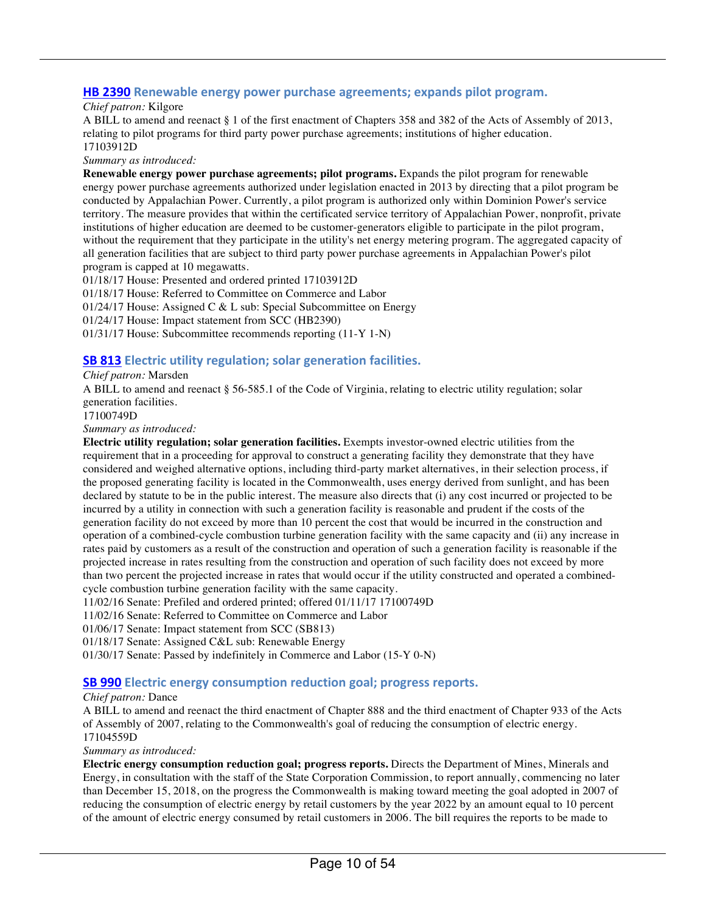#### **HB 2390** Renewable energy power purchase agreements; expands pilot program.

#### *Chief patron:* Kilgore

A BILL to amend and reenact § 1 of the first enactment of Chapters 358 and 382 of the Acts of Assembly of 2013, relating to pilot programs for third party power purchase agreements; institutions of higher education. 17103912D

*Summary as introduced:*

**Renewable energy power purchase agreements; pilot programs.** Expands the pilot program for renewable energy power purchase agreements authorized under legislation enacted in 2013 by directing that a pilot program be conducted by Appalachian Power. Currently, a pilot program is authorized only within Dominion Power's service territory. The measure provides that within the certificated service territory of Appalachian Power, nonprofit, private institutions of higher education are deemed to be customer-generators eligible to participate in the pilot program, without the requirement that they participate in the utility's net energy metering program. The aggregated capacity of all generation facilities that are subject to third party power purchase agreements in Appalachian Power's pilot program is capped at 10 megawatts.

01/18/17 House: Presented and ordered printed 17103912D 01/18/17 House: Referred to Committee on Commerce and Labor 01/24/17 House: Assigned C & L sub: Special Subcommittee on Energy 01/24/17 House: Impact statement from SCC (HB2390) 01/31/17 House: Subcommittee recommends reporting (11-Y 1-N)

#### **SB 813 Electric utility regulation; solar generation facilities.**

*Chief patron:* Marsden

A BILL to amend and reenact § 56-585.1 of the Code of Virginia, relating to electric utility regulation; solar generation facilities.

17100749D

*Summary as introduced:*

**Electric utility regulation; solar generation facilities.** Exempts investor-owned electric utilities from the requirement that in a proceeding for approval to construct a generating facility they demonstrate that they have considered and weighed alternative options, including third-party market alternatives, in their selection process, if the proposed generating facility is located in the Commonwealth, uses energy derived from sunlight, and has been declared by statute to be in the public interest. The measure also directs that (i) any cost incurred or projected to be incurred by a utility in connection with such a generation facility is reasonable and prudent if the costs of the generation facility do not exceed by more than 10 percent the cost that would be incurred in the construction and operation of a combined-cycle combustion turbine generation facility with the same capacity and (ii) any increase in rates paid by customers as a result of the construction and operation of such a generation facility is reasonable if the projected increase in rates resulting from the construction and operation of such facility does not exceed by more than two percent the projected increase in rates that would occur if the utility constructed and operated a combinedcycle combustion turbine generation facility with the same capacity.

11/02/16 Senate: Prefiled and ordered printed; offered 01/11/17 17100749D

11/02/16 Senate: Referred to Committee on Commerce and Labor

01/06/17 Senate: Impact statement from SCC (SB813)

01/18/17 Senate: Assigned C&L sub: Renewable Energy

01/30/17 Senate: Passed by indefinitely in Commerce and Labor (15-Y 0-N)

#### **SB 990** Electric energy consumption reduction goal; progress reports.

#### *Chief patron:* Dance

A BILL to amend and reenact the third enactment of Chapter 888 and the third enactment of Chapter 933 of the Acts of Assembly of 2007, relating to the Commonwealth's goal of reducing the consumption of electric energy. 17104559D

*Summary as introduced:*

**Electric energy consumption reduction goal; progress reports.** Directs the Department of Mines, Minerals and Energy, in consultation with the staff of the State Corporation Commission, to report annually, commencing no later than December 15, 2018, on the progress the Commonwealth is making toward meeting the goal adopted in 2007 of reducing the consumption of electric energy by retail customers by the year 2022 by an amount equal to 10 percent of the amount of electric energy consumed by retail customers in 2006. The bill requires the reports to be made to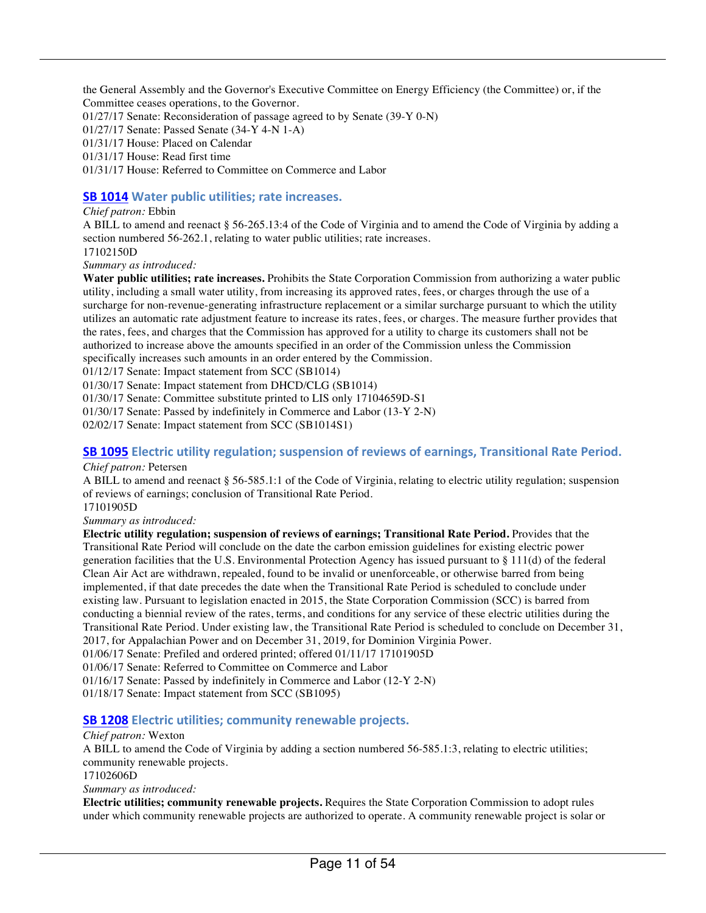the General Assembly and the Governor's Executive Committee on Energy Efficiency (the Committee) or, if the Committee ceases operations, to the Governor.

01/27/17 Senate: Reconsideration of passage agreed to by Senate (39-Y 0-N)

01/27/17 Senate: Passed Senate (34-Y 4-N 1-A)

01/31/17 House: Placed on Calendar

01/31/17 House: Read first time

01/31/17 House: Referred to Committee on Commerce and Labor

#### **SB 1014** Water public utilities; rate increases.

#### *Chief patron:* Ebbin

A BILL to amend and reenact § 56-265.13:4 of the Code of Virginia and to amend the Code of Virginia by adding a section numbered 56-262.1, relating to water public utilities; rate increases.

17102150D

*Summary as introduced:*

**Water public utilities; rate increases.** Prohibits the State Corporation Commission from authorizing a water public utility, including a small water utility, from increasing its approved rates, fees, or charges through the use of a surcharge for non-revenue-generating infrastructure replacement or a similar surcharge pursuant to which the utility utilizes an automatic rate adjustment feature to increase its rates, fees, or charges. The measure further provides that the rates, fees, and charges that the Commission has approved for a utility to charge its customers shall not be authorized to increase above the amounts specified in an order of the Commission unless the Commission specifically increases such amounts in an order entered by the Commission.

01/12/17 Senate: Impact statement from SCC (SB1014)

01/30/17 Senate: Impact statement from DHCD/CLG (SB1014)

01/30/17 Senate: Committee substitute printed to LIS only 17104659D-S1

01/30/17 Senate: Passed by indefinitely in Commerce and Labor (13-Y 2-N)

02/02/17 Senate: Impact statement from SCC (SB1014S1)

### **SB 1095** Electric utility regulation; suspension of reviews of earnings, Transitional Rate Period.

#### *Chief patron:* Petersen

A BILL to amend and reenact § 56-585.1:1 of the Code of Virginia, relating to electric utility regulation; suspension of reviews of earnings; conclusion of Transitional Rate Period.

17101905D

*Summary as introduced:*

**Electric utility regulation; suspension of reviews of earnings; Transitional Rate Period.** Provides that the Transitional Rate Period will conclude on the date the carbon emission guidelines for existing electric power generation facilities that the U.S. Environmental Protection Agency has issued pursuant to § 111(d) of the federal Clean Air Act are withdrawn, repealed, found to be invalid or unenforceable, or otherwise barred from being implemented, if that date precedes the date when the Transitional Rate Period is scheduled to conclude under existing law. Pursuant to legislation enacted in 2015, the State Corporation Commission (SCC) is barred from conducting a biennial review of the rates, terms, and conditions for any service of these electric utilities during the Transitional Rate Period. Under existing law, the Transitional Rate Period is scheduled to conclude on December 31, 2017, for Appalachian Power and on December 31, 2019, for Dominion Virginia Power.

01/06/17 Senate: Prefiled and ordered printed; offered 01/11/17 17101905D

01/06/17 Senate: Referred to Committee on Commerce and Labor

01/16/17 Senate: Passed by indefinitely in Commerce and Labor (12-Y 2-N)

01/18/17 Senate: Impact statement from SCC (SB1095)

#### **SB 1208** Electric utilities; community renewable projects.

#### *Chief patron:* Wexton

A BILL to amend the Code of Virginia by adding a section numbered 56-585.1:3, relating to electric utilities; community renewable projects.

17102606D

*Summary as introduced:*

**Electric utilities; community renewable projects.** Requires the State Corporation Commission to adopt rules under which community renewable projects are authorized to operate. A community renewable project is solar or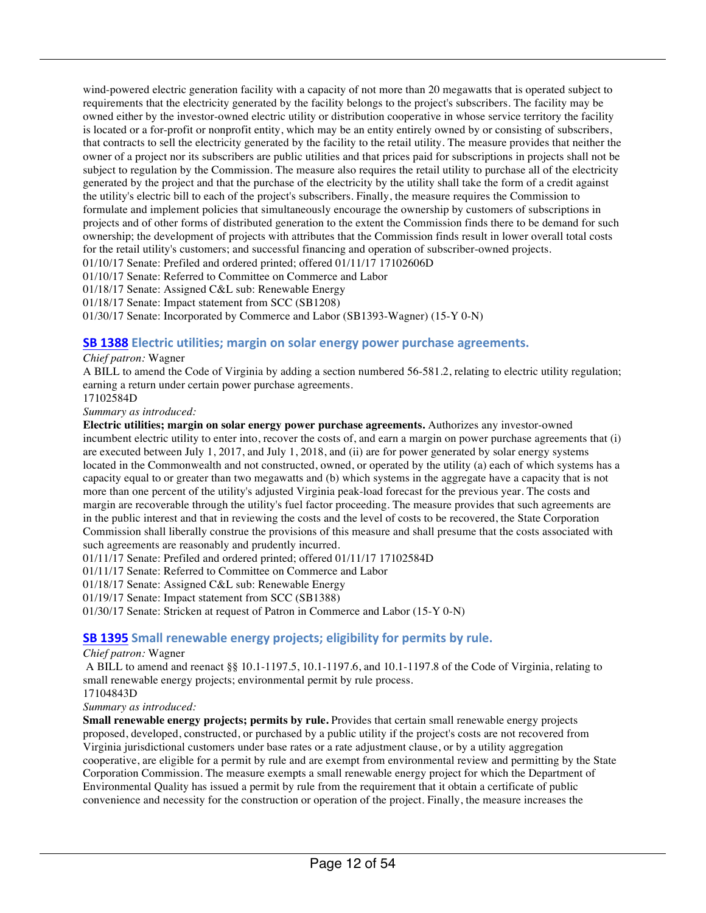wind-powered electric generation facility with a capacity of not more than 20 megawatts that is operated subject to requirements that the electricity generated by the facility belongs to the project's subscribers. The facility may be owned either by the investor-owned electric utility or distribution cooperative in whose service territory the facility is located or a for-profit or nonprofit entity, which may be an entity entirely owned by or consisting of subscribers, that contracts to sell the electricity generated by the facility to the retail utility. The measure provides that neither the owner of a project nor its subscribers are public utilities and that prices paid for subscriptions in projects shall not be subject to regulation by the Commission. The measure also requires the retail utility to purchase all of the electricity generated by the project and that the purchase of the electricity by the utility shall take the form of a credit against the utility's electric bill to each of the project's subscribers. Finally, the measure requires the Commission to formulate and implement policies that simultaneously encourage the ownership by customers of subscriptions in projects and of other forms of distributed generation to the extent the Commission finds there to be demand for such ownership; the development of projects with attributes that the Commission finds result in lower overall total costs for the retail utility's customers; and successful financing and operation of subscriber-owned projects.

01/10/17 Senate: Prefiled and ordered printed; offered 01/11/17 17102606D

01/10/17 Senate: Referred to Committee on Commerce and Labor

01/18/17 Senate: Assigned C&L sub: Renewable Energy

01/18/17 Senate: Impact statement from SCC (SB1208)

01/30/17 Senate: Incorporated by Commerce and Labor (SB1393-Wagner) (15-Y 0-N)

#### **SB 1388** Electric utilities; margin on solar energy power purchase agreements.

*Chief patron:* Wagner

A BILL to amend the Code of Virginia by adding a section numbered 56-581.2, relating to electric utility regulation; earning a return under certain power purchase agreements.

17102584D

*Summary as introduced:*

**Electric utilities; margin on solar energy power purchase agreements.** Authorizes any investor-owned incumbent electric utility to enter into, recover the costs of, and earn a margin on power purchase agreements that (i) are executed between July 1, 2017, and July 1, 2018, and (ii) are for power generated by solar energy systems located in the Commonwealth and not constructed, owned, or operated by the utility (a) each of which systems has a capacity equal to or greater than two megawatts and (b) which systems in the aggregate have a capacity that is not more than one percent of the utility's adjusted Virginia peak-load forecast for the previous year. The costs and margin are recoverable through the utility's fuel factor proceeding. The measure provides that such agreements are in the public interest and that in reviewing the costs and the level of costs to be recovered, the State Corporation Commission shall liberally construe the provisions of this measure and shall presume that the costs associated with such agreements are reasonably and prudently incurred.

01/11/17 Senate: Prefiled and ordered printed; offered 01/11/17 17102584D

01/11/17 Senate: Referred to Committee on Commerce and Labor

01/18/17 Senate: Assigned C&L sub: Renewable Energy

01/19/17 Senate: Impact statement from SCC (SB1388)

01/30/17 Senate: Stricken at request of Patron in Commerce and Labor (15-Y 0-N)

#### **SB 1395** Small renewable energy projects; eligibility for permits by rule.

#### *Chief patron:* Wagner

A BILL to amend and reenact §§ 10.1-1197.5, 10.1-1197.6, and 10.1-1197.8 of the Code of Virginia, relating to small renewable energy projects; environmental permit by rule process. 17104843D

*Summary as introduced:*

**Small renewable energy projects; permits by rule.** Provides that certain small renewable energy projects proposed, developed, constructed, or purchased by a public utility if the project's costs are not recovered from Virginia jurisdictional customers under base rates or a rate adjustment clause, or by a utility aggregation cooperative, are eligible for a permit by rule and are exempt from environmental review and permitting by the State Corporation Commission. The measure exempts a small renewable energy project for which the Department of Environmental Quality has issued a permit by rule from the requirement that it obtain a certificate of public convenience and necessity for the construction or operation of the project. Finally, the measure increases the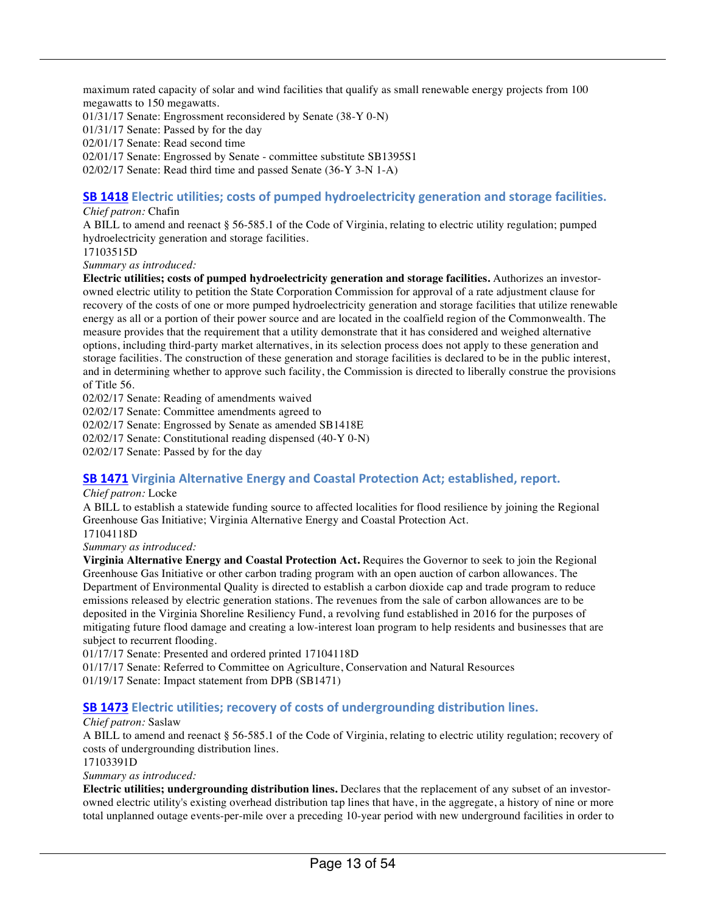maximum rated capacity of solar and wind facilities that qualify as small renewable energy projects from 100 megawatts to 150 megawatts.

01/31/17 Senate: Engrossment reconsidered by Senate (38-Y 0-N)

01/31/17 Senate: Passed by for the day

02/01/17 Senate: Read second time

02/01/17 Senate: Engrossed by Senate - committee substitute SB1395S1

02/02/17 Senate: Read third time and passed Senate (36-Y 3-N 1-A)

#### **SB 1418** Electric utilities; costs of pumped hydroelectricity generation and storage facilities.

#### *Chief patron:* Chafin

A BILL to amend and reenact § 56-585.1 of the Code of Virginia, relating to electric utility regulation; pumped hydroelectricity generation and storage facilities.

17103515D

*Summary as introduced:*

**Electric utilities; costs of pumped hydroelectricity generation and storage facilities.** Authorizes an investorowned electric utility to petition the State Corporation Commission for approval of a rate adjustment clause for recovery of the costs of one or more pumped hydroelectricity generation and storage facilities that utilize renewable energy as all or a portion of their power source and are located in the coalfield region of the Commonwealth. The measure provides that the requirement that a utility demonstrate that it has considered and weighed alternative options, including third-party market alternatives, in its selection process does not apply to these generation and storage facilities. The construction of these generation and storage facilities is declared to be in the public interest, and in determining whether to approve such facility, the Commission is directed to liberally construe the provisions of Title 56.

02/02/17 Senate: Reading of amendments waived

02/02/17 Senate: Committee amendments agreed to

02/02/17 Senate: Engrossed by Senate as amended SB1418E

02/02/17 Senate: Constitutional reading dispensed (40-Y 0-N)

02/02/17 Senate: Passed by for the day

#### **SB 1471** Virginia Alternative Energy and Coastal Protection Act; established, report.

#### *Chief patron:* Locke

A BILL to establish a statewide funding source to affected localities for flood resilience by joining the Regional Greenhouse Gas Initiative; Virginia Alternative Energy and Coastal Protection Act.

17104118D

*Summary as introduced:*

**Virginia Alternative Energy and Coastal Protection Act.** Requires the Governor to seek to join the Regional Greenhouse Gas Initiative or other carbon trading program with an open auction of carbon allowances. The Department of Environmental Quality is directed to establish a carbon dioxide cap and trade program to reduce emissions released by electric generation stations. The revenues from the sale of carbon allowances are to be deposited in the Virginia Shoreline Resiliency Fund, a revolving fund established in 2016 for the purposes of mitigating future flood damage and creating a low-interest loan program to help residents and businesses that are subject to recurrent flooding.

01/17/17 Senate: Presented and ordered printed 17104118D

01/17/17 Senate: Referred to Committee on Agriculture, Conservation and Natural Resources 01/19/17 Senate: Impact statement from DPB (SB1471)

#### **SB 1473** Electric utilities; recovery of costs of undergrounding distribution lines.

#### *Chief patron:* Saslaw

A BILL to amend and reenact § 56-585.1 of the Code of Virginia, relating to electric utility regulation; recovery of costs of undergrounding distribution lines.

17103391D

#### *Summary as introduced:*

**Electric utilities; undergrounding distribution lines.** Declares that the replacement of any subset of an investorowned electric utility's existing overhead distribution tap lines that have, in the aggregate, a history of nine or more total unplanned outage events-per-mile over a preceding 10-year period with new underground facilities in order to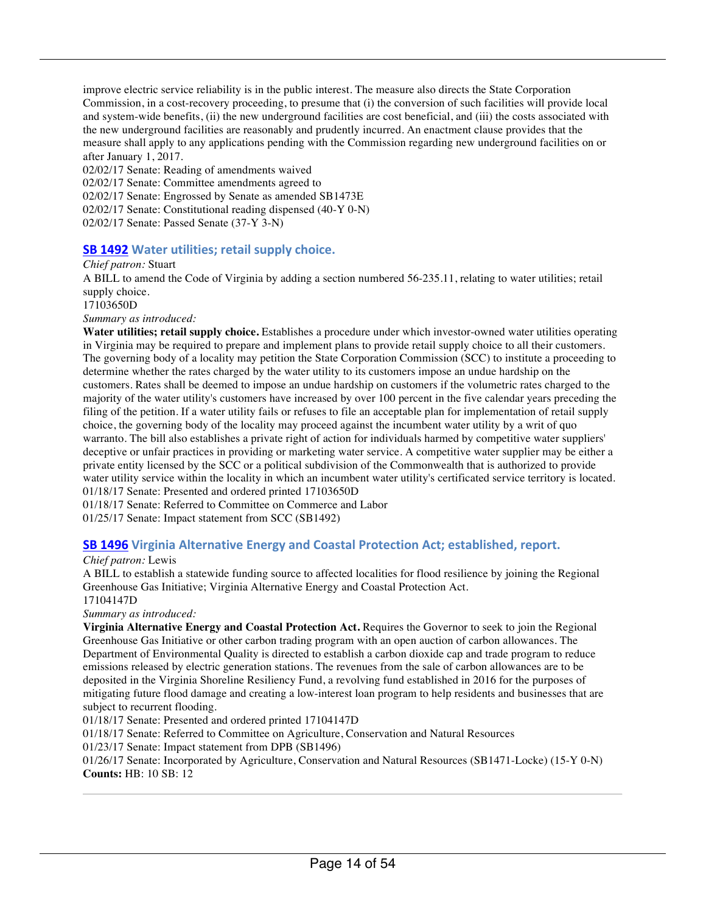improve electric service reliability is in the public interest. The measure also directs the State Corporation Commission, in a cost-recovery proceeding, to presume that (i) the conversion of such facilities will provide local and system-wide benefits, (ii) the new underground facilities are cost beneficial, and (iii) the costs associated with the new underground facilities are reasonably and prudently incurred. An enactment clause provides that the measure shall apply to any applications pending with the Commission regarding new underground facilities on or after January 1, 2017.

02/02/17 Senate: Reading of amendments waived

02/02/17 Senate: Committee amendments agreed to

02/02/17 Senate: Engrossed by Senate as amended SB1473E

02/02/17 Senate: Constitutional reading dispensed (40-Y 0-N)

02/02/17 Senate: Passed Senate (37-Y 3-N)

#### **SB 1492** Water utilities; retail supply choice.

*Chief patron:* Stuart

A BILL to amend the Code of Virginia by adding a section numbered 56-235.11, relating to water utilities; retail supply choice.

17103650D

*Summary as introduced:*

**Water utilities; retail supply choice.** Establishes a procedure under which investor-owned water utilities operating in Virginia may be required to prepare and implement plans to provide retail supply choice to all their customers. The governing body of a locality may petition the State Corporation Commission (SCC) to institute a proceeding to determine whether the rates charged by the water utility to its customers impose an undue hardship on the customers. Rates shall be deemed to impose an undue hardship on customers if the volumetric rates charged to the majority of the water utility's customers have increased by over 100 percent in the five calendar years preceding the filing of the petition. If a water utility fails or refuses to file an acceptable plan for implementation of retail supply choice, the governing body of the locality may proceed against the incumbent water utility by a writ of quo warranto. The bill also establishes a private right of action for individuals harmed by competitive water suppliers' deceptive or unfair practices in providing or marketing water service. A competitive water supplier may be either a private entity licensed by the SCC or a political subdivision of the Commonwealth that is authorized to provide water utility service within the locality in which an incumbent water utility's certificated service territory is located. 01/18/17 Senate: Presented and ordered printed 17103650D

01/18/17 Senate: Referred to Committee on Commerce and Labor

01/25/17 Senate: Impact statement from SCC (SB1492)

#### **SB 1496** Virginia Alternative Energy and Coastal Protection Act; established, report.

*Chief patron:* Lewis

A BILL to establish a statewide funding source to affected localities for flood resilience by joining the Regional Greenhouse Gas Initiative; Virginia Alternative Energy and Coastal Protection Act.

17104147D

*Summary as introduced:*

**Virginia Alternative Energy and Coastal Protection Act.** Requires the Governor to seek to join the Regional Greenhouse Gas Initiative or other carbon trading program with an open auction of carbon allowances. The Department of Environmental Quality is directed to establish a carbon dioxide cap and trade program to reduce emissions released by electric generation stations. The revenues from the sale of carbon allowances are to be deposited in the Virginia Shoreline Resiliency Fund, a revolving fund established in 2016 for the purposes of mitigating future flood damage and creating a low-interest loan program to help residents and businesses that are subject to recurrent flooding.

01/18/17 Senate: Presented and ordered printed 17104147D

01/18/17 Senate: Referred to Committee on Agriculture, Conservation and Natural Resources

01/23/17 Senate: Impact statement from DPB (SB1496)

01/26/17 Senate: Incorporated by Agriculture, Conservation and Natural Resources (SB1471-Locke) (15-Y 0-N) **Counts:** HB: 10 SB: 12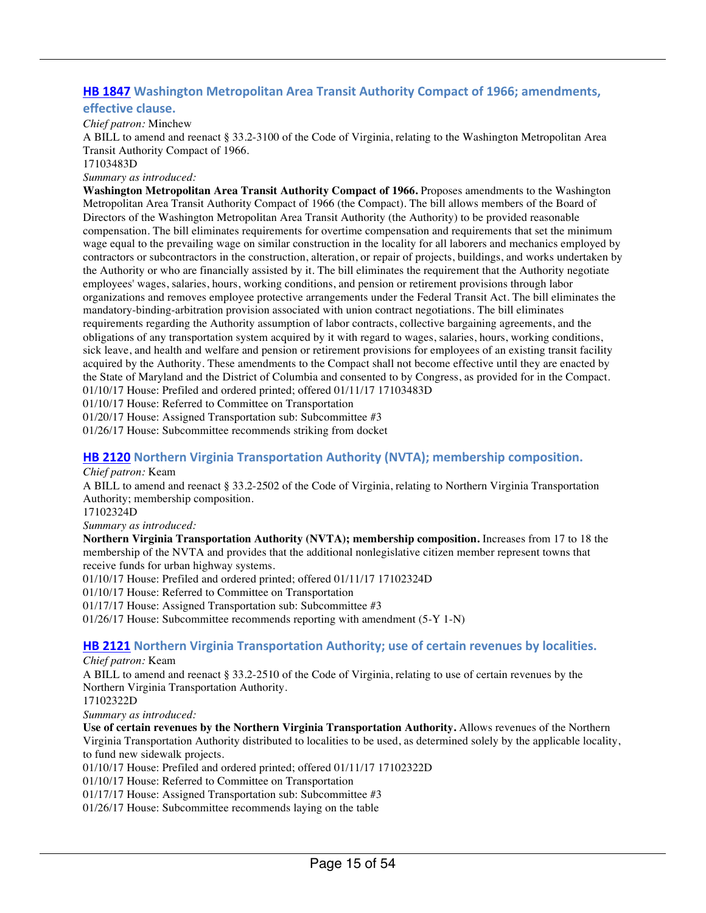### **HB 1847** Washington Metropolitan Area Transit Authority Compact of 1966; amendments,

#### **effective clause.**

*Chief patron:* Minchew

A BILL to amend and reenact § 33.2-3100 of the Code of Virginia, relating to the Washington Metropolitan Area Transit Authority Compact of 1966.

17103483D

*Summary as introduced:*

**Washington Metropolitan Area Transit Authority Compact of 1966.** Proposes amendments to the Washington Metropolitan Area Transit Authority Compact of 1966 (the Compact). The bill allows members of the Board of Directors of the Washington Metropolitan Area Transit Authority (the Authority) to be provided reasonable compensation. The bill eliminates requirements for overtime compensation and requirements that set the minimum wage equal to the prevailing wage on similar construction in the locality for all laborers and mechanics employed by contractors or subcontractors in the construction, alteration, or repair of projects, buildings, and works undertaken by the Authority or who are financially assisted by it. The bill eliminates the requirement that the Authority negotiate employees' wages, salaries, hours, working conditions, and pension or retirement provisions through labor organizations and removes employee protective arrangements under the Federal Transit Act. The bill eliminates the mandatory-binding-arbitration provision associated with union contract negotiations. The bill eliminates requirements regarding the Authority assumption of labor contracts, collective bargaining agreements, and the obligations of any transportation system acquired by it with regard to wages, salaries, hours, working conditions, sick leave, and health and welfare and pension or retirement provisions for employees of an existing transit facility acquired by the Authority. These amendments to the Compact shall not become effective until they are enacted by the State of Maryland and the District of Columbia and consented to by Congress, as provided for in the Compact. 01/10/17 House: Prefiled and ordered printed; offered 01/11/17 17103483D

01/10/17 House: Referred to Committee on Transportation

01/20/17 House: Assigned Transportation sub: Subcommittee #3

01/26/17 House: Subcommittee recommends striking from docket

#### **HB 2120** Northern Virginia Transportation Authority (NVTA); membership composition.

#### *Chief patron:* Keam

A BILL to amend and reenact § 33.2-2502 of the Code of Virginia, relating to Northern Virginia Transportation Authority; membership composition.

17102324D

#### *Summary as introduced:*

**Northern Virginia Transportation Authority (NVTA); membership composition.** Increases from 17 to 18 the membership of the NVTA and provides that the additional nonlegislative citizen member represent towns that receive funds for urban highway systems.

01/10/17 House: Prefiled and ordered printed; offered 01/11/17 17102324D

01/10/17 House: Referred to Committee on Transportation

01/17/17 House: Assigned Transportation sub: Subcommittee #3

01/26/17 House: Subcommittee recommends reporting with amendment (5-Y 1-N)

#### **HB 2121** Northern Virginia Transportation Authority; use of certain revenues by localities.

#### *Chief patron:* Keam

A BILL to amend and reenact § 33.2-2510 of the Code of Virginia, relating to use of certain revenues by the Northern Virginia Transportation Authority.

17102322D *Summary as introduced:*

**Use of certain revenues by the Northern Virginia Transportation Authority.** Allows revenues of the Northern Virginia Transportation Authority distributed to localities to be used, as determined solely by the applicable locality, to fund new sidewalk projects.

01/10/17 House: Prefiled and ordered printed; offered 01/11/17 17102322D

01/10/17 House: Referred to Committee on Transportation

01/17/17 House: Assigned Transportation sub: Subcommittee #3

01/26/17 House: Subcommittee recommends laying on the table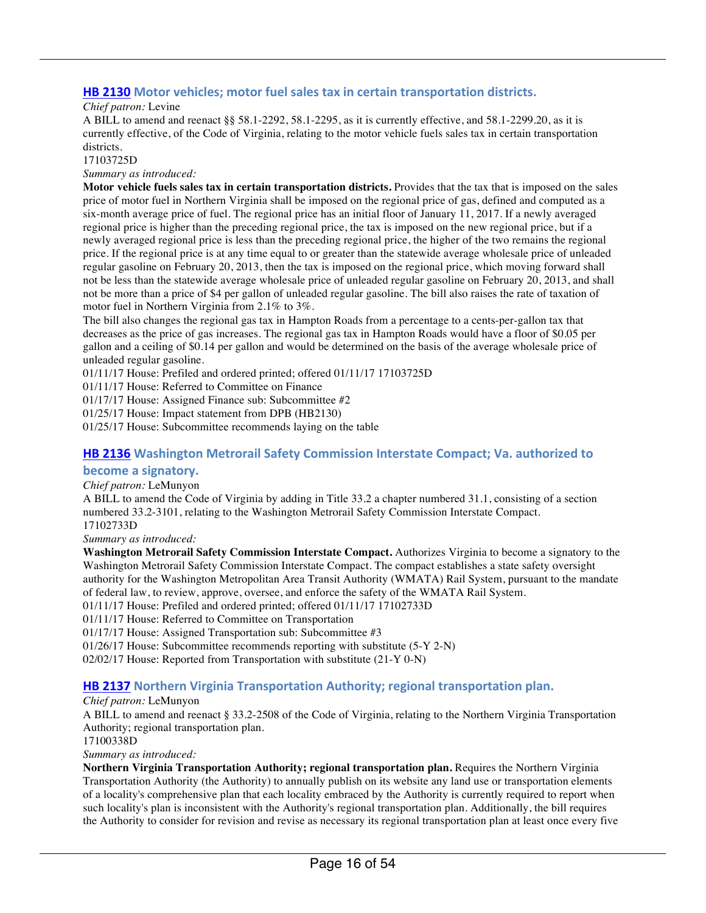#### **HB 2130** Motor vehicles; motor fuel sales tax in certain transportation districts.

#### *Chief patron:* Levine

A BILL to amend and reenact §§ 58.1-2292, 58.1-2295, as it is currently effective, and 58.1-2299.20, as it is currently effective, of the Code of Virginia, relating to the motor vehicle fuels sales tax in certain transportation districts.

17103725D

*Summary as introduced:*

**Motor vehicle fuels sales tax in certain transportation districts.** Provides that the tax that is imposed on the sales price of motor fuel in Northern Virginia shall be imposed on the regional price of gas, defined and computed as a six-month average price of fuel. The regional price has an initial floor of January 11, 2017. If a newly averaged regional price is higher than the preceding regional price, the tax is imposed on the new regional price, but if a newly averaged regional price is less than the preceding regional price, the higher of the two remains the regional price. If the regional price is at any time equal to or greater than the statewide average wholesale price of unleaded regular gasoline on February 20, 2013, then the tax is imposed on the regional price, which moving forward shall not be less than the statewide average wholesale price of unleaded regular gasoline on February 20, 2013, and shall not be more than a price of \$4 per gallon of unleaded regular gasoline. The bill also raises the rate of taxation of motor fuel in Northern Virginia from 2.1% to 3%.

The bill also changes the regional gas tax in Hampton Roads from a percentage to a cents-per-gallon tax that decreases as the price of gas increases. The regional gas tax in Hampton Roads would have a floor of \$0.05 per gallon and a ceiling of \$0.14 per gallon and would be determined on the basis of the average wholesale price of unleaded regular gasoline.

01/11/17 House: Prefiled and ordered printed; offered 01/11/17 17103725D

01/11/17 House: Referred to Committee on Finance

01/17/17 House: Assigned Finance sub: Subcommittee #2

01/25/17 House: Impact statement from DPB (HB2130)

01/25/17 House: Subcommittee recommends laying on the table

#### **HB 2136** Washington Metrorail Safety Commission Interstate Compact; Va. authorized to **become a signatory.**

#### *Chief patron:* LeMunyon

A BILL to amend the Code of Virginia by adding in Title 33.2 a chapter numbered 31.1, consisting of a section numbered 33.2-3101, relating to the Washington Metrorail Safety Commission Interstate Compact. 17102733D

*Summary as introduced:*

**Washington Metrorail Safety Commission Interstate Compact.** Authorizes Virginia to become a signatory to the Washington Metrorail Safety Commission Interstate Compact. The compact establishes a state safety oversight authority for the Washington Metropolitan Area Transit Authority (WMATA) Rail System, pursuant to the mandate of federal law, to review, approve, oversee, and enforce the safety of the WMATA Rail System.

01/11/17 House: Prefiled and ordered printed; offered 01/11/17 17102733D

01/11/17 House: Referred to Committee on Transportation

01/17/17 House: Assigned Transportation sub: Subcommittee #3

01/26/17 House: Subcommittee recommends reporting with substitute (5-Y 2-N)

02/02/17 House: Reported from Transportation with substitute (21-Y 0-N)

#### **HB 2137** Northern Virginia Transportation Authority; regional transportation plan.

#### *Chief patron:* LeMunyon

A BILL to amend and reenact § 33.2-2508 of the Code of Virginia, relating to the Northern Virginia Transportation Authority; regional transportation plan.

17100338D

*Summary as introduced:*

**Northern Virginia Transportation Authority; regional transportation plan.** Requires the Northern Virginia Transportation Authority (the Authority) to annually publish on its website any land use or transportation elements of a locality's comprehensive plan that each locality embraced by the Authority is currently required to report when such locality's plan is inconsistent with the Authority's regional transportation plan. Additionally, the bill requires the Authority to consider for revision and revise as necessary its regional transportation plan at least once every five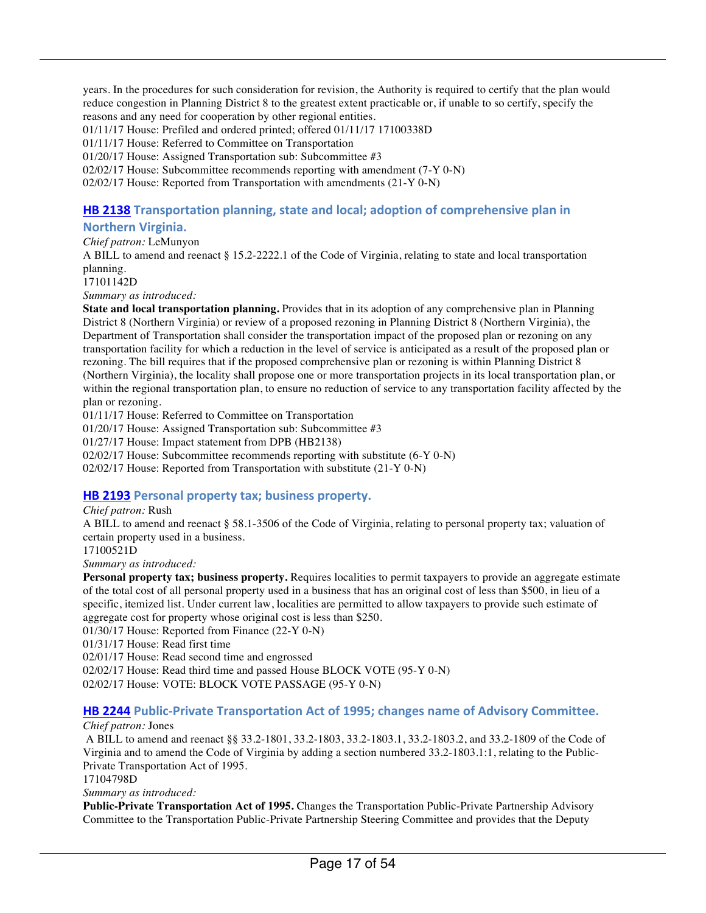years. In the procedures for such consideration for revision, the Authority is required to certify that the plan would reduce congestion in Planning District 8 to the greatest extent practicable or, if unable to so certify, specify the reasons and any need for cooperation by other regional entities. 01/11/17 House: Prefiled and ordered printed; offered 01/11/17 17100338D 01/11/17 House: Referred to Committee on Transportation 01/20/17 House: Assigned Transportation sub: Subcommittee #3 02/02/17 House: Subcommittee recommends reporting with amendment (7-Y 0-N) 02/02/17 House: Reported from Transportation with amendments (21-Y 0-N)

#### **HB 2138** Transportation planning, state and local; adoption of comprehensive plan in

#### **Northern Virginia.**

*Chief patron:* LeMunyon

A BILL to amend and reenact § 15.2-2222.1 of the Code of Virginia, relating to state and local transportation planning.

17101142D

*Summary as introduced:*

**State and local transportation planning.** Provides that in its adoption of any comprehensive plan in Planning District 8 (Northern Virginia) or review of a proposed rezoning in Planning District 8 (Northern Virginia), the Department of Transportation shall consider the transportation impact of the proposed plan or rezoning on any transportation facility for which a reduction in the level of service is anticipated as a result of the proposed plan or rezoning. The bill requires that if the proposed comprehensive plan or rezoning is within Planning District 8 (Northern Virginia), the locality shall propose one or more transportation projects in its local transportation plan, or within the regional transportation plan, to ensure no reduction of service to any transportation facility affected by the plan or rezoning.

01/11/17 House: Referred to Committee on Transportation

01/20/17 House: Assigned Transportation sub: Subcommittee #3

01/27/17 House: Impact statement from DPB (HB2138)

02/02/17 House: Subcommittee recommends reporting with substitute (6-Y 0-N)

02/02/17 House: Reported from Transportation with substitute (21-Y 0-N)

#### **HB 2193** Personal property tax; business property.

#### *Chief patron:* Rush

A BILL to amend and reenact § 58.1-3506 of the Code of Virginia, relating to personal property tax; valuation of certain property used in a business.

17100521D

*Summary as introduced:*

**Personal property tax; business property.** Requires localities to permit taxpayers to provide an aggregate estimate of the total cost of all personal property used in a business that has an original cost of less than \$500, in lieu of a specific, itemized list. Under current law, localities are permitted to allow taxpayers to provide such estimate of aggregate cost for property whose original cost is less than \$250.

01/30/17 House: Reported from Finance (22-Y 0-N)

01/31/17 House: Read first time

02/01/17 House: Read second time and engrossed

02/02/17 House: Read third time and passed House BLOCK VOTE (95-Y 0-N)

02/02/17 House: VOTE: BLOCK VOTE PASSAGE (95-Y 0-N)

#### **HB 2244** Public-Private Transportation Act of 1995; changes name of Advisory Committee.

#### *Chief patron:* Jones

A BILL to amend and reenact §§ 33.2-1801, 33.2-1803, 33.2-1803.1, 33.2-1803.2, and 33.2-1809 of the Code of Virginia and to amend the Code of Virginia by adding a section numbered 33.2-1803.1:1, relating to the Public-Private Transportation Act of 1995.

17104798D

*Summary as introduced:*

**Public-Private Transportation Act of 1995.** Changes the Transportation Public-Private Partnership Advisory Committee to the Transportation Public-Private Partnership Steering Committee and provides that the Deputy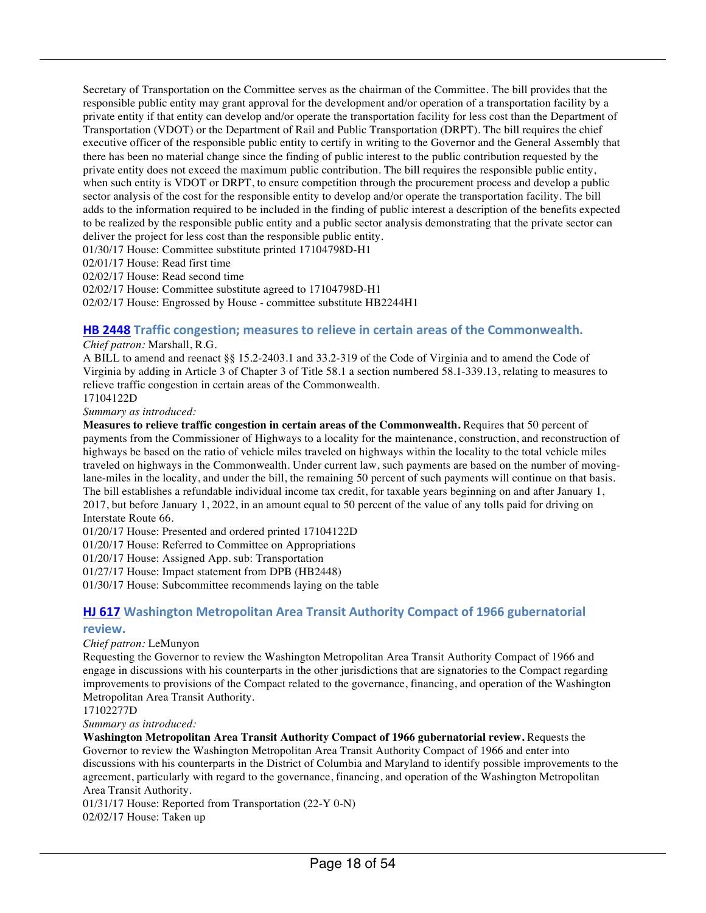Secretary of Transportation on the Committee serves as the chairman of the Committee. The bill provides that the responsible public entity may grant approval for the development and/or operation of a transportation facility by a private entity if that entity can develop and/or operate the transportation facility for less cost than the Department of Transportation (VDOT) or the Department of Rail and Public Transportation (DRPT). The bill requires the chief executive officer of the responsible public entity to certify in writing to the Governor and the General Assembly that there has been no material change since the finding of public interest to the public contribution requested by the private entity does not exceed the maximum public contribution. The bill requires the responsible public entity, when such entity is VDOT or DRPT, to ensure competition through the procurement process and develop a public sector analysis of the cost for the responsible entity to develop and/or operate the transportation facility. The bill adds to the information required to be included in the finding of public interest a description of the benefits expected to be realized by the responsible public entity and a public sector analysis demonstrating that the private sector can deliver the project for less cost than the responsible public entity.

01/30/17 House: Committee substitute printed 17104798D-H1

02/01/17 House: Read first time

02/02/17 House: Read second time

02/02/17 House: Committee substitute agreed to 17104798D-H1

02/02/17 House: Engrossed by House - committee substitute HB2244H1

#### **HB 2448** Traffic congestion; measures to relieve in certain areas of the Commonwealth.

#### *Chief patron:* Marshall, R.G.

A BILL to amend and reenact §§ 15.2-2403.1 and 33.2-319 of the Code of Virginia and to amend the Code of Virginia by adding in Article 3 of Chapter 3 of Title 58.1 a section numbered 58.1-339.13, relating to measures to relieve traffic congestion in certain areas of the Commonwealth. 17104122D

*Summary as introduced:*

**Measures to relieve traffic congestion in certain areas of the Commonwealth.** Requires that 50 percent of payments from the Commissioner of Highways to a locality for the maintenance, construction, and reconstruction of highways be based on the ratio of vehicle miles traveled on highways within the locality to the total vehicle miles traveled on highways in the Commonwealth. Under current law, such payments are based on the number of movinglane-miles in the locality, and under the bill, the remaining 50 percent of such payments will continue on that basis. The bill establishes a refundable individual income tax credit, for taxable years beginning on and after January 1, 2017, but before January 1, 2022, in an amount equal to 50 percent of the value of any tolls paid for driving on Interstate Route 66.

01/20/17 House: Presented and ordered printed 17104122D

01/20/17 House: Referred to Committee on Appropriations

01/20/17 House: Assigned App. sub: Transportation

01/27/17 House: Impact statement from DPB (HB2448)

01/30/17 House: Subcommittee recommends laying on the table

#### **HJ 617** Washington Metropolitan Area Transit Authority Compact of 1966 gubernatorial **review.**

#### *Chief patron:* LeMunyon

Requesting the Governor to review the Washington Metropolitan Area Transit Authority Compact of 1966 and engage in discussions with his counterparts in the other jurisdictions that are signatories to the Compact regarding improvements to provisions of the Compact related to the governance, financing, and operation of the Washington Metropolitan Area Transit Authority.

17102277D

*Summary as introduced:*

**Washington Metropolitan Area Transit Authority Compact of 1966 gubernatorial review.** Requests the Governor to review the Washington Metropolitan Area Transit Authority Compact of 1966 and enter into discussions with his counterparts in the District of Columbia and Maryland to identify possible improvements to the agreement, particularly with regard to the governance, financing, and operation of the Washington Metropolitan Area Transit Authority.

01/31/17 House: Reported from Transportation (22-Y 0-N) 02/02/17 House: Taken up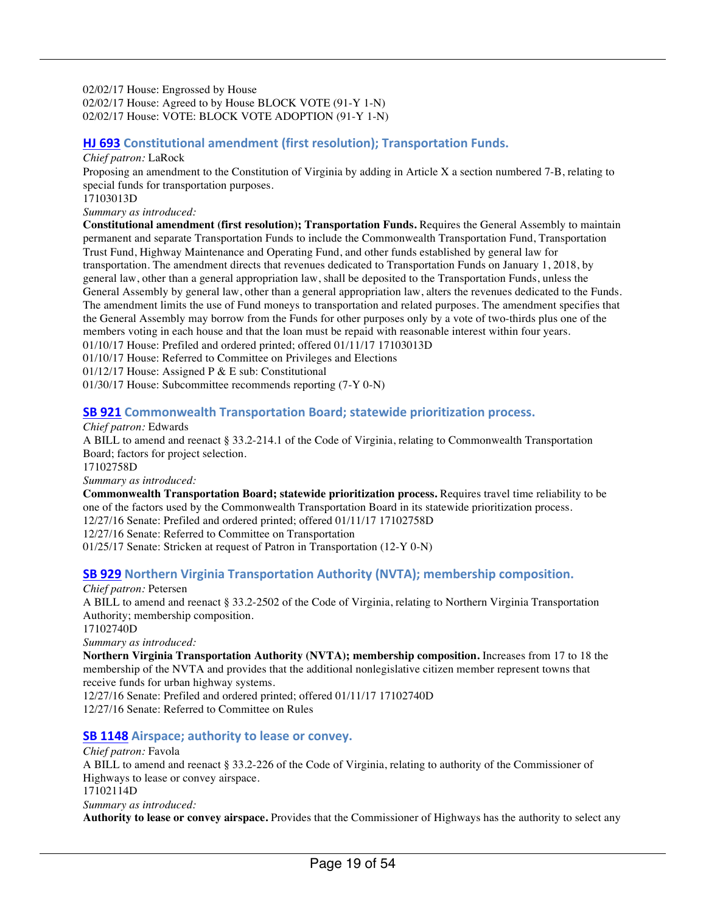02/02/17 House: Engrossed by House 02/02/17 House: Agreed to by House BLOCK VOTE (91-Y 1-N) 02/02/17 House: VOTE: BLOCK VOTE ADOPTION (91-Y 1-N)

#### **HJ 693** Constitutional amendment (first resolution); Transportation Funds.

#### *Chief patron:* LaRock

Proposing an amendment to the Constitution of Virginia by adding in Article X a section numbered 7-B, relating to special funds for transportation purposes.

17103013D

*Summary as introduced:*

**Constitutional amendment (first resolution); Transportation Funds.** Requires the General Assembly to maintain permanent and separate Transportation Funds to include the Commonwealth Transportation Fund, Transportation Trust Fund, Highway Maintenance and Operating Fund, and other funds established by general law for transportation. The amendment directs that revenues dedicated to Transportation Funds on January 1, 2018, by general law, other than a general appropriation law, shall be deposited to the Transportation Funds, unless the General Assembly by general law, other than a general appropriation law, alters the revenues dedicated to the Funds. The amendment limits the use of Fund moneys to transportation and related purposes. The amendment specifies that the General Assembly may borrow from the Funds for other purposes only by a vote of two-thirds plus one of the members voting in each house and that the loan must be repaid with reasonable interest within four years. 01/10/17 House: Prefiled and ordered printed; offered 01/11/17 17103013D 01/10/17 House: Referred to Committee on Privileges and Elections

01/12/17 House: Assigned P & E sub: Constitutional

01/30/17 House: Subcommittee recommends reporting (7-Y 0-N)

#### **SB 921** Commonwealth Transportation Board; statewide prioritization process.

*Chief patron:* Edwards

A BILL to amend and reenact § 33.2-214.1 of the Code of Virginia, relating to Commonwealth Transportation Board; factors for project selection.

17102758D

*Summary as introduced:*

**Commonwealth Transportation Board; statewide prioritization process.** Requires travel time reliability to be one of the factors used by the Commonwealth Transportation Board in its statewide prioritization process.

12/27/16 Senate: Prefiled and ordered printed; offered 01/11/17 17102758D

12/27/16 Senate: Referred to Committee on Transportation

01/25/17 Senate: Stricken at request of Patron in Transportation (12-Y 0-N)

#### **SB 929** Northern Virginia Transportation Authority (NVTA); membership composition.

*Chief patron:* Petersen

A BILL to amend and reenact § 33.2-2502 of the Code of Virginia, relating to Northern Virginia Transportation Authority; membership composition.

17102740D

*Summary as introduced:*

**Northern Virginia Transportation Authority (NVTA); membership composition.** Increases from 17 to 18 the membership of the NVTA and provides that the additional nonlegislative citizen member represent towns that receive funds for urban highway systems.

12/27/16 Senate: Prefiled and ordered printed; offered 01/11/17 17102740D

12/27/16 Senate: Referred to Committee on Rules

#### **SB 1148** Airspace; authority to lease or convey.

#### *Chief patron:* Favola A BILL to amend and reenact § 33.2-226 of the Code of Virginia, relating to authority of the Commissioner of Highways to lease or convey airspace. 17102114D *Summary as introduced:* **Authority to lease or convey airspace.** Provides that the Commissioner of Highways has the authority to select any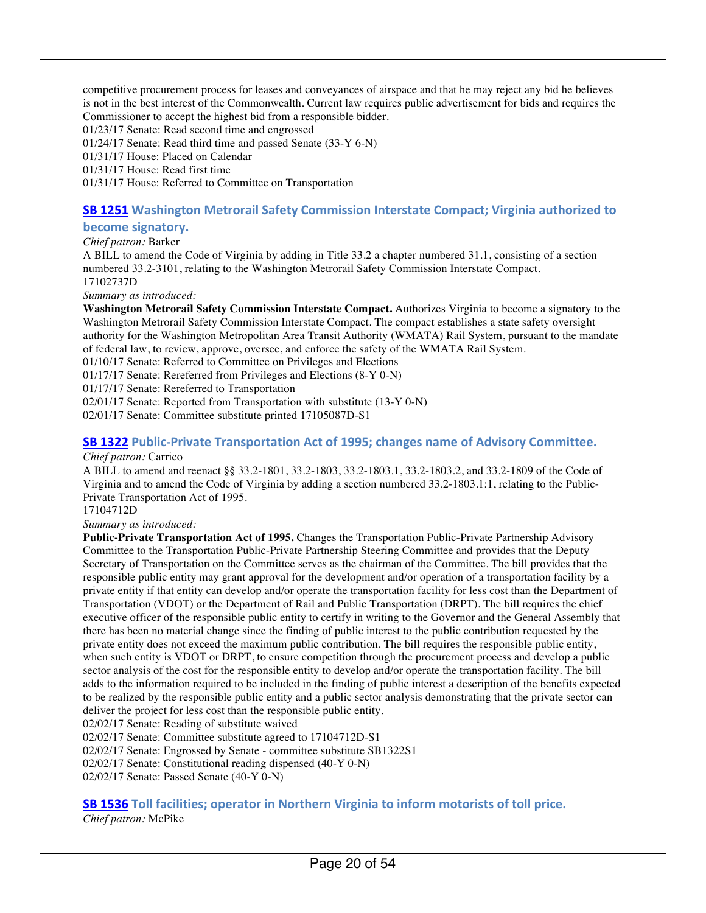competitive procurement process for leases and conveyances of airspace and that he may reject any bid he believes is not in the best interest of the Commonwealth. Current law requires public advertisement for bids and requires the Commissioner to accept the highest bid from a responsible bidder.

01/23/17 Senate: Read second time and engrossed

01/24/17 Senate: Read third time and passed Senate (33-Y 6-N)

01/31/17 House: Placed on Calendar

01/31/17 House: Read first time

01/31/17 House: Referred to Committee on Transportation

#### **SB 1251** Washington Metrorail Safety Commission Interstate Compact; Virginia authorized to

**become signatory.** 

#### *Chief patron:* Barker

A BILL to amend the Code of Virginia by adding in Title 33.2 a chapter numbered 31.1, consisting of a section numbered 33.2-3101, relating to the Washington Metrorail Safety Commission Interstate Compact. 17102737D

*Summary as introduced:*

**Washington Metrorail Safety Commission Interstate Compact.** Authorizes Virginia to become a signatory to the Washington Metrorail Safety Commission Interstate Compact. The compact establishes a state safety oversight authority for the Washington Metropolitan Area Transit Authority (WMATA) Rail System, pursuant to the mandate of federal law, to review, approve, oversee, and enforce the safety of the WMATA Rail System.

01/10/17 Senate: Referred to Committee on Privileges and Elections

01/17/17 Senate: Rereferred from Privileges and Elections (8-Y 0-N)

01/17/17 Senate: Rereferred to Transportation

02/01/17 Senate: Reported from Transportation with substitute (13-Y 0-N)

02/01/17 Senate: Committee substitute printed 17105087D-S1

#### **SB 1322** Public-Private Transportation Act of 1995; changes name of Advisory Committee.

#### *Chief patron:* Carrico

A BILL to amend and reenact §§ 33.2-1801, 33.2-1803, 33.2-1803.1, 33.2-1803.2, and 33.2-1809 of the Code of Virginia and to amend the Code of Virginia by adding a section numbered 33.2-1803.1:1, relating to the Public-Private Transportation Act of 1995.

17104712D

#### *Summary as introduced:*

**Public-Private Transportation Act of 1995.** Changes the Transportation Public-Private Partnership Advisory Committee to the Transportation Public-Private Partnership Steering Committee and provides that the Deputy Secretary of Transportation on the Committee serves as the chairman of the Committee. The bill provides that the responsible public entity may grant approval for the development and/or operation of a transportation facility by a private entity if that entity can develop and/or operate the transportation facility for less cost than the Department of Transportation (VDOT) or the Department of Rail and Public Transportation (DRPT). The bill requires the chief executive officer of the responsible public entity to certify in writing to the Governor and the General Assembly that there has been no material change since the finding of public interest to the public contribution requested by the private entity does not exceed the maximum public contribution. The bill requires the responsible public entity, when such entity is VDOT or DRPT, to ensure competition through the procurement process and develop a public sector analysis of the cost for the responsible entity to develop and/or operate the transportation facility. The bill adds to the information required to be included in the finding of public interest a description of the benefits expected to be realized by the responsible public entity and a public sector analysis demonstrating that the private sector can deliver the project for less cost than the responsible public entity.

02/02/17 Senate: Reading of substitute waived

02/02/17 Senate: Committee substitute agreed to 17104712D-S1

02/02/17 Senate: Engrossed by Senate - committee substitute SB1322S1

02/02/17 Senate: Constitutional reading dispensed (40-Y 0-N)

02/02/17 Senate: Passed Senate (40-Y 0-N)

### **SB 1536** Toll facilities; operator in Northern Virginia to inform motorists of toll price.

*Chief patron:* McPike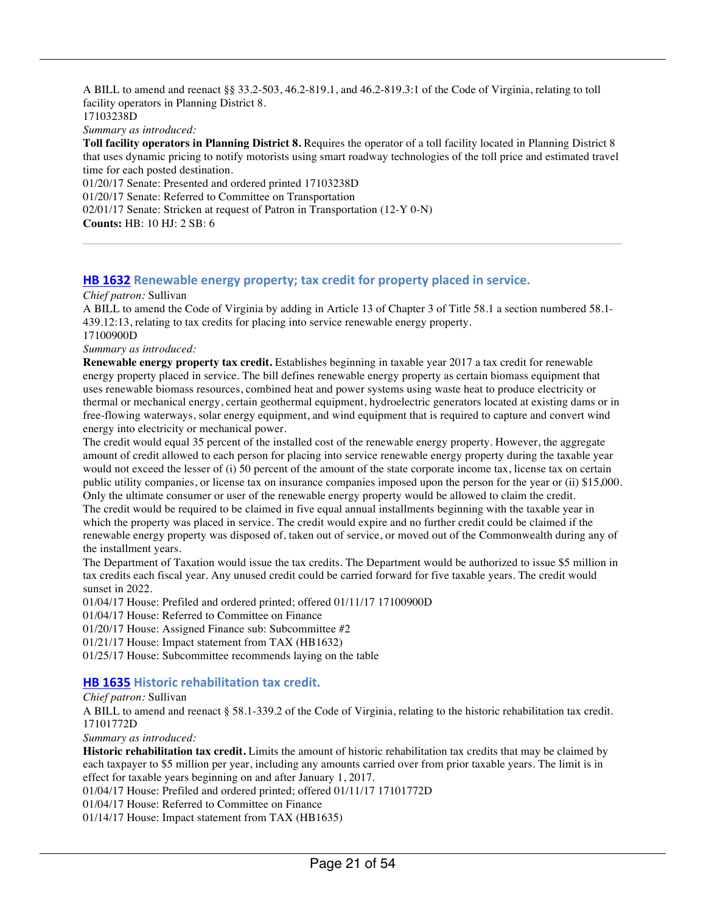A BILL to amend and reenact §§ 33.2-503, 46.2-819.1, and 46.2-819.3:1 of the Code of Virginia, relating to toll facility operators in Planning District 8. 17103238D *Summary as introduced:* **Toll facility operators in Planning District 8.** Requires the operator of a toll facility located in Planning District 8 that uses dynamic pricing to notify motorists using smart roadway technologies of the toll price and estimated travel time for each posted destination. 01/20/17 Senate: Presented and ordered printed 17103238D

01/20/17 Senate: Referred to Committee on Transportation 02/01/17 Senate: Stricken at request of Patron in Transportation (12-Y 0-N) **Counts:** HB: 10 HJ: 2 SB: 6

#### **HB 1632** Renewable energy property; tax credit for property placed in service.

#### *Chief patron:* Sullivan

A BILL to amend the Code of Virginia by adding in Article 13 of Chapter 3 of Title 58.1 a section numbered 58.1- 439.12:13, relating to tax credits for placing into service renewable energy property.

17100900D

*Summary as introduced:*

**Renewable energy property tax credit.** Establishes beginning in taxable year 2017 a tax credit for renewable energy property placed in service. The bill defines renewable energy property as certain biomass equipment that uses renewable biomass resources, combined heat and power systems using waste heat to produce electricity or thermal or mechanical energy, certain geothermal equipment, hydroelectric generators located at existing dams or in free-flowing waterways, solar energy equipment, and wind equipment that is required to capture and convert wind energy into electricity or mechanical power.

The credit would equal 35 percent of the installed cost of the renewable energy property. However, the aggregate amount of credit allowed to each person for placing into service renewable energy property during the taxable year would not exceed the lesser of (i) 50 percent of the amount of the state corporate income tax, license tax on certain public utility companies, or license tax on insurance companies imposed upon the person for the year or (ii) \$15,000. Only the ultimate consumer or user of the renewable energy property would be allowed to claim the credit.

The credit would be required to be claimed in five equal annual installments beginning with the taxable year in which the property was placed in service. The credit would expire and no further credit could be claimed if the renewable energy property was disposed of, taken out of service, or moved out of the Commonwealth during any of the installment years.

The Department of Taxation would issue the tax credits. The Department would be authorized to issue \$5 million in tax credits each fiscal year. Any unused credit could be carried forward for five taxable years. The credit would sunset in 2022.

01/04/17 House: Prefiled and ordered printed; offered 01/11/17 17100900D

01/04/17 House: Referred to Committee on Finance

01/20/17 House: Assigned Finance sub: Subcommittee #2

01/21/17 House: Impact statement from TAX (HB1632)

01/25/17 House: Subcommittee recommends laying on the table

#### **HB 1635 Historic rehabilitation tax credit.**

#### *Chief patron:* Sullivan

A BILL to amend and reenact § 58.1-339.2 of the Code of Virginia, relating to the historic rehabilitation tax credit. 17101772D

*Summary as introduced:*

**Historic rehabilitation tax credit.** Limits the amount of historic rehabilitation tax credits that may be claimed by each taxpayer to \$5 million per year, including any amounts carried over from prior taxable years. The limit is in effect for taxable years beginning on and after January 1, 2017.

01/04/17 House: Prefiled and ordered printed; offered 01/11/17 17101772D

01/04/17 House: Referred to Committee on Finance

01/14/17 House: Impact statement from TAX (HB1635)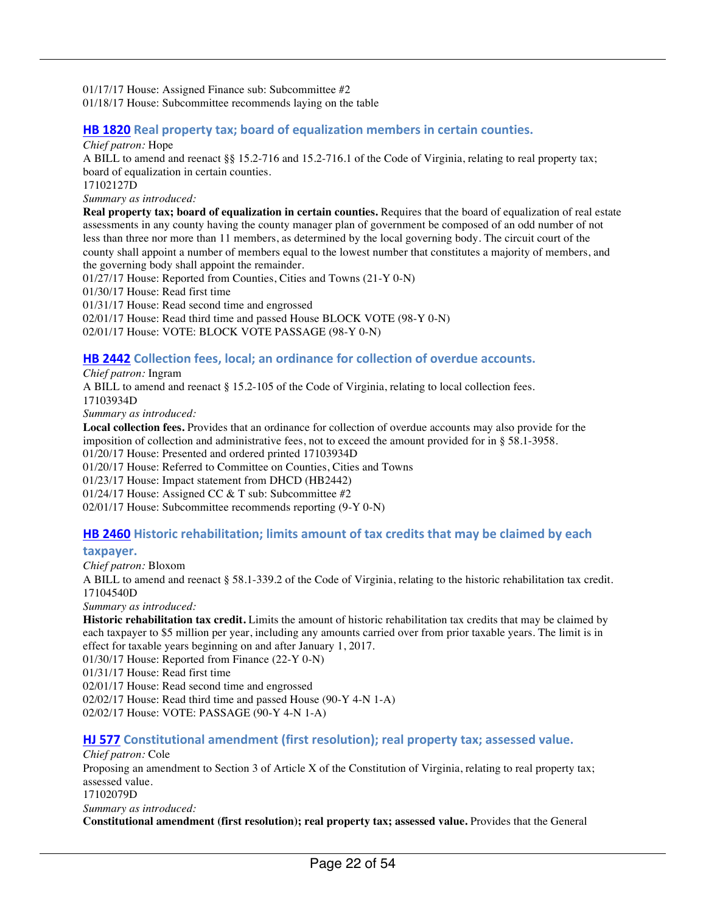01/17/17 House: Assigned Finance sub: Subcommittee #2 01/18/17 House: Subcommittee recommends laying on the table

#### **HB 1820** Real property tax; board of equalization members in certain counties.

#### *Chief patron:* Hope

A BILL to amend and reenact §§ 15.2-716 and 15.2-716.1 of the Code of Virginia, relating to real property tax; board of equalization in certain counties.

17102127D

*Summary as introduced:*

**Real property tax; board of equalization in certain counties.** Requires that the board of equalization of real estate assessments in any county having the county manager plan of government be composed of an odd number of not less than three nor more than 11 members, as determined by the local governing body. The circuit court of the county shall appoint a number of members equal to the lowest number that constitutes a majority of members, and the governing body shall appoint the remainder.

01/27/17 House: Reported from Counties, Cities and Towns (21-Y 0-N)

01/30/17 House: Read first time

01/31/17 House: Read second time and engrossed

02/01/17 House: Read third time and passed House BLOCK VOTE (98-Y 0-N)

02/01/17 House: VOTE: BLOCK VOTE PASSAGE (98-Y 0-N)

#### **HB 2442** Collection fees, local; an ordinance for collection of overdue accounts.

*Chief patron:* Ingram

A BILL to amend and reenact § 15.2-105 of the Code of Virginia, relating to local collection fees. 17103934D

*Summary as introduced:*

**Local collection fees.** Provides that an ordinance for collection of overdue accounts may also provide for the imposition of collection and administrative fees, not to exceed the amount provided for in § 58.1-3958. 01/20/17 House: Presented and ordered printed 17103934D

01/20/17 House: Referred to Committee on Counties, Cities and Towns

01/23/17 House: Impact statement from DHCD (HB2442)

01/24/17 House: Assigned CC & T sub: Subcommittee #2

02/01/17 House: Subcommittee recommends reporting (9-Y 0-N)

#### **HB 2460** Historic rehabilitation; limits amount of tax credits that may be claimed by each

#### **taxpayer.**

*Chief patron:* Bloxom

A BILL to amend and reenact § 58.1-339.2 of the Code of Virginia, relating to the historic rehabilitation tax credit. 17104540D

*Summary as introduced:*

**Historic rehabilitation tax credit.** Limits the amount of historic rehabilitation tax credits that may be claimed by each taxpayer to \$5 million per year, including any amounts carried over from prior taxable years. The limit is in effect for taxable years beginning on and after January 1, 2017.

01/30/17 House: Reported from Finance (22-Y 0-N)

01/31/17 House: Read first time

02/01/17 House: Read second time and engrossed

02/02/17 House: Read third time and passed House (90-Y 4-N 1-A)

02/02/17 House: VOTE: PASSAGE (90-Y 4-N 1-A)

#### **HJ 577** Constitutional amendment (first resolution); real property tax; assessed value.

*Chief patron:* Cole Proposing an amendment to Section 3 of Article X of the Constitution of Virginia, relating to real property tax; assessed value. 17102079D *Summary as introduced:* **Constitutional amendment (first resolution); real property tax; assessed value.** Provides that the General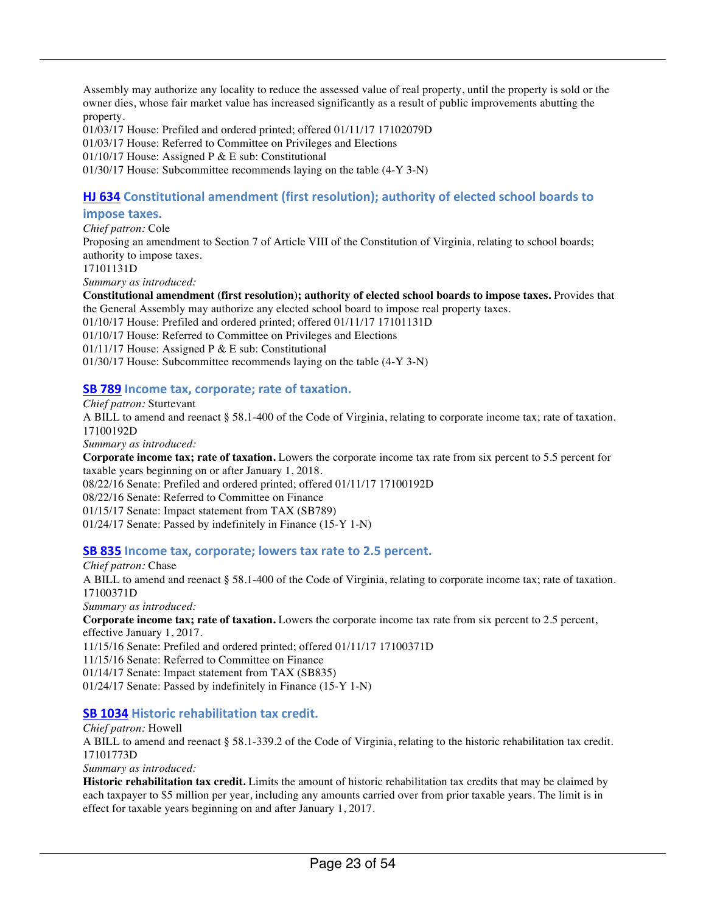Assembly may authorize any locality to reduce the assessed value of real property, until the property is sold or the owner dies, whose fair market value has increased significantly as a result of public improvements abutting the property.

01/03/17 House: Prefiled and ordered printed; offered 01/11/17 17102079D

01/03/17 House: Referred to Committee on Privileges and Elections

01/10/17 House: Assigned P & E sub: Constitutional

01/30/17 House: Subcommittee recommends laying on the table (4-Y 3-N)

#### **HJ 634** Constitutional amendment (first resolution); authority of elected school boards to

#### **impose taxes.**

*Chief patron:* Cole Proposing an amendment to Section 7 of Article VIII of the Constitution of Virginia, relating to school boards; authority to impose taxes. 17101131D *Summary as introduced:* **Constitutional amendment (first resolution); authority of elected school boards to impose taxes.** Provides that the General Assembly may authorize any elected school board to impose real property taxes. 01/10/17 House: Prefiled and ordered printed; offered 01/11/17 17101131D

01/10/17 House: Referred to Committee on Privileges and Elections 01/11/17 House: Assigned P & E sub: Constitutional 01/30/17 House: Subcommittee recommends laying on the table (4-Y 3-N)

#### **SB 789** Income tax, corporate; rate of taxation.

*Chief patron:* Sturtevant

A BILL to amend and reenact § 58.1-400 of the Code of Virginia, relating to corporate income tax; rate of taxation. 17100192D

*Summary as introduced:*

**Corporate income tax; rate of taxation.** Lowers the corporate income tax rate from six percent to 5.5 percent for taxable years beginning on or after January 1, 2018.

08/22/16 Senate: Prefiled and ordered printed; offered 01/11/17 17100192D

08/22/16 Senate: Referred to Committee on Finance

01/15/17 Senate: Impact statement from TAX (SB789)

01/24/17 Senate: Passed by indefinitely in Finance (15-Y 1-N)

#### **SB 835** Income tax, corporate; lowers tax rate to 2.5 percent.

*Chief patron:* Chase

A BILL to amend and reenact § 58.1-400 of the Code of Virginia, relating to corporate income tax; rate of taxation. 17100371D

*Summary as introduced:*

**Corporate income tax; rate of taxation.** Lowers the corporate income tax rate from six percent to 2.5 percent, effective January 1, 2017.

11/15/16 Senate: Prefiled and ordered printed; offered 01/11/17 17100371D

11/15/16 Senate: Referred to Committee on Finance

01/14/17 Senate: Impact statement from TAX (SB835)

01/24/17 Senate: Passed by indefinitely in Finance (15-Y 1-N)

#### **SB 1034 Historic rehabilitation tax credit.**

*Chief patron:* Howell

A BILL to amend and reenact § 58.1-339.2 of the Code of Virginia, relating to the historic rehabilitation tax credit. 17101773D

*Summary as introduced:*

**Historic rehabilitation tax credit.** Limits the amount of historic rehabilitation tax credits that may be claimed by each taxpayer to \$5 million per year, including any amounts carried over from prior taxable years. The limit is in effect for taxable years beginning on and after January 1, 2017.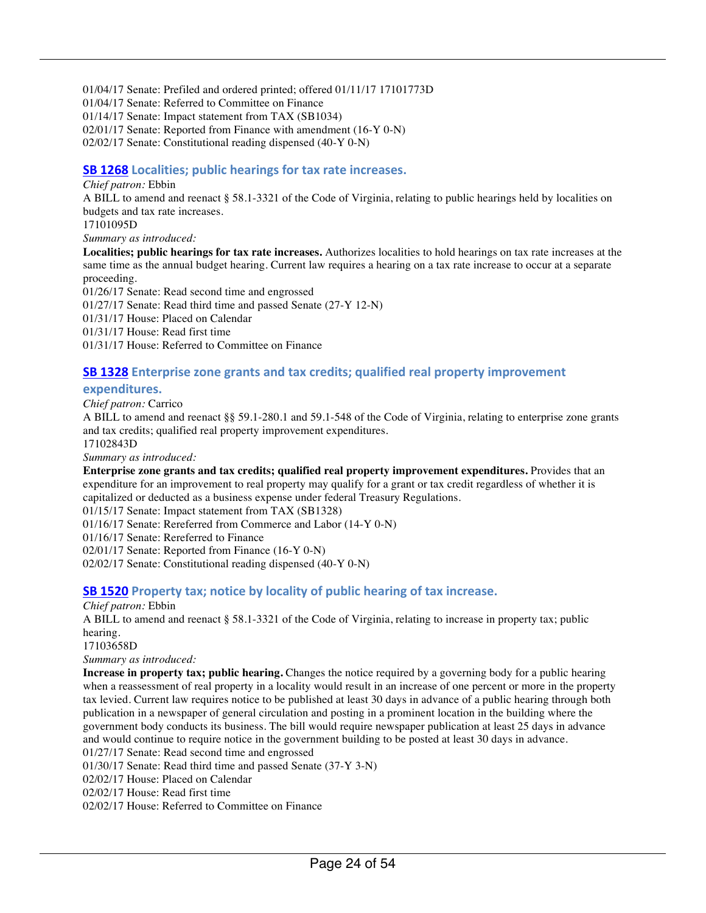01/04/17 Senate: Prefiled and ordered printed; offered 01/11/17 17101773D

01/04/17 Senate: Referred to Committee on Finance

01/14/17 Senate: Impact statement from TAX (SB1034)

02/01/17 Senate: Reported from Finance with amendment (16-Y 0-N)

02/02/17 Senate: Constitutional reading dispensed (40-Y 0-N)

#### **SB 1268** Localities; public hearings for tax rate increases.

#### *Chief patron:* Ebbin

A BILL to amend and reenact § 58.1-3321 of the Code of Virginia, relating to public hearings held by localities on budgets and tax rate increases.

17101095D

*Summary as introduced:*

**Localities; public hearings for tax rate increases.** Authorizes localities to hold hearings on tax rate increases at the same time as the annual budget hearing. Current law requires a hearing on a tax rate increase to occur at a separate proceeding.

01/26/17 Senate: Read second time and engrossed

01/27/17 Senate: Read third time and passed Senate (27-Y 12-N)

01/31/17 House: Placed on Calendar

01/31/17 House: Read first time

01/31/17 House: Referred to Committee on Finance

#### **SB 1328** Enterprise zone grants and tax credits; qualified real property improvement

#### **expenditures.**

*Chief patron:* Carrico

A BILL to amend and reenact §§ 59.1-280.1 and 59.1-548 of the Code of Virginia, relating to enterprise zone grants and tax credits; qualified real property improvement expenditures.

17102843D

*Summary as introduced:*

**Enterprise zone grants and tax credits; qualified real property improvement expenditures.** Provides that an expenditure for an improvement to real property may qualify for a grant or tax credit regardless of whether it is capitalized or deducted as a business expense under federal Treasury Regulations.

01/15/17 Senate: Impact statement from TAX (SB1328)

01/16/17 Senate: Rereferred from Commerce and Labor (14-Y 0-N)

01/16/17 Senate: Rereferred to Finance

02/01/17 Senate: Reported from Finance (16-Y 0-N)

02/02/17 Senate: Constitutional reading dispensed (40-Y 0-N)

#### **SB 1520** Property tax; notice by locality of public hearing of tax increase.

*Chief patron:* Ebbin

A BILL to amend and reenact § 58.1-3321 of the Code of Virginia, relating to increase in property tax; public hearing.

17103658D

*Summary as introduced:*

**Increase in property tax; public hearing.** Changes the notice required by a governing body for a public hearing when a reassessment of real property in a locality would result in an increase of one percent or more in the property tax levied. Current law requires notice to be published at least 30 days in advance of a public hearing through both publication in a newspaper of general circulation and posting in a prominent location in the building where the government body conducts its business. The bill would require newspaper publication at least 25 days in advance and would continue to require notice in the government building to be posted at least 30 days in advance. 01/27/17 Senate: Read second time and engrossed

01/30/17 Senate: Read third time and passed Senate (37-Y 3-N)

02/02/17 House: Placed on Calendar

02/02/17 House: Read first time

02/02/17 House: Referred to Committee on Finance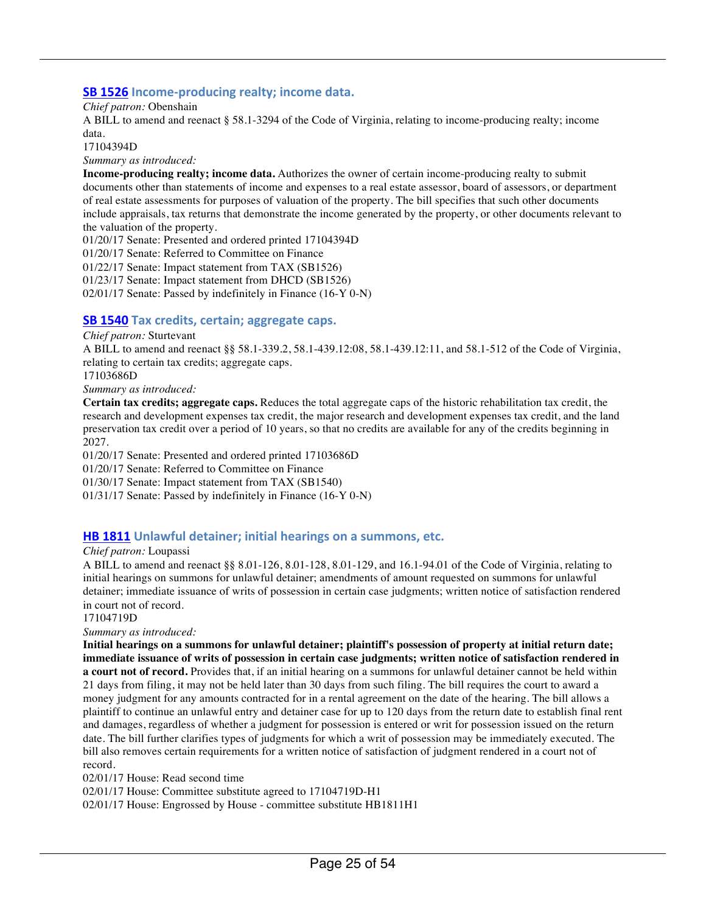#### **SB 1526** Income-producing realty; income data.

*Chief patron:* Obenshain

A BILL to amend and reenact § 58.1-3294 of the Code of Virginia, relating to income-producing realty; income data.

17104394D

*Summary as introduced:*

**Income-producing realty; income data.** Authorizes the owner of certain income-producing realty to submit documents other than statements of income and expenses to a real estate assessor, board of assessors, or department of real estate assessments for purposes of valuation of the property. The bill specifies that such other documents include appraisals, tax returns that demonstrate the income generated by the property, or other documents relevant to the valuation of the property.

01/20/17 Senate: Presented and ordered printed 17104394D 01/20/17 Senate: Referred to Committee on Finance 01/22/17 Senate: Impact statement from TAX (SB1526) 01/23/17 Senate: Impact statement from DHCD (SB1526) 02/01/17 Senate: Passed by indefinitely in Finance (16-Y 0-N)

#### **SB 1540** Tax credits, certain; aggregate caps.

#### *Chief patron:* Sturtevant

A BILL to amend and reenact §§ 58.1-339.2, 58.1-439.12:08, 58.1-439.12:11, and 58.1-512 of the Code of Virginia, relating to certain tax credits; aggregate caps.

17103686D

*Summary as introduced:*

**Certain tax credits; aggregate caps.** Reduces the total aggregate caps of the historic rehabilitation tax credit, the research and development expenses tax credit, the major research and development expenses tax credit, and the land preservation tax credit over a period of 10 years, so that no credits are available for any of the credits beginning in 2027.

01/20/17 Senate: Presented and ordered printed 17103686D

01/20/17 Senate: Referred to Committee on Finance

01/30/17 Senate: Impact statement from TAX (SB1540)

01/31/17 Senate: Passed by indefinitely in Finance (16-Y 0-N)

#### **HB 1811** Unlawful detainer; initial hearings on a summons, etc.

#### *Chief patron:* Loupassi

A BILL to amend and reenact §§ 8.01-126, 8.01-128, 8.01-129, and 16.1-94.01 of the Code of Virginia, relating to initial hearings on summons for unlawful detainer; amendments of amount requested on summons for unlawful detainer; immediate issuance of writs of possession in certain case judgments; written notice of satisfaction rendered in court not of record.

17104719D

*Summary as introduced:*

**Initial hearings on a summons for unlawful detainer; plaintiff's possession of property at initial return date; immediate issuance of writs of possession in certain case judgments; written notice of satisfaction rendered in a court not of record.** Provides that, if an initial hearing on a summons for unlawful detainer cannot be held within 21 days from filing, it may not be held later than 30 days from such filing. The bill requires the court to award a money judgment for any amounts contracted for in a rental agreement on the date of the hearing. The bill allows a plaintiff to continue an unlawful entry and detainer case for up to 120 days from the return date to establish final rent and damages, regardless of whether a judgment for possession is entered or writ for possession issued on the return date. The bill further clarifies types of judgments for which a writ of possession may be immediately executed. The bill also removes certain requirements for a written notice of satisfaction of judgment rendered in a court not of record.

02/01/17 House: Read second time

02/01/17 House: Committee substitute agreed to 17104719D-H1

02/01/17 House: Engrossed by House - committee substitute HB1811H1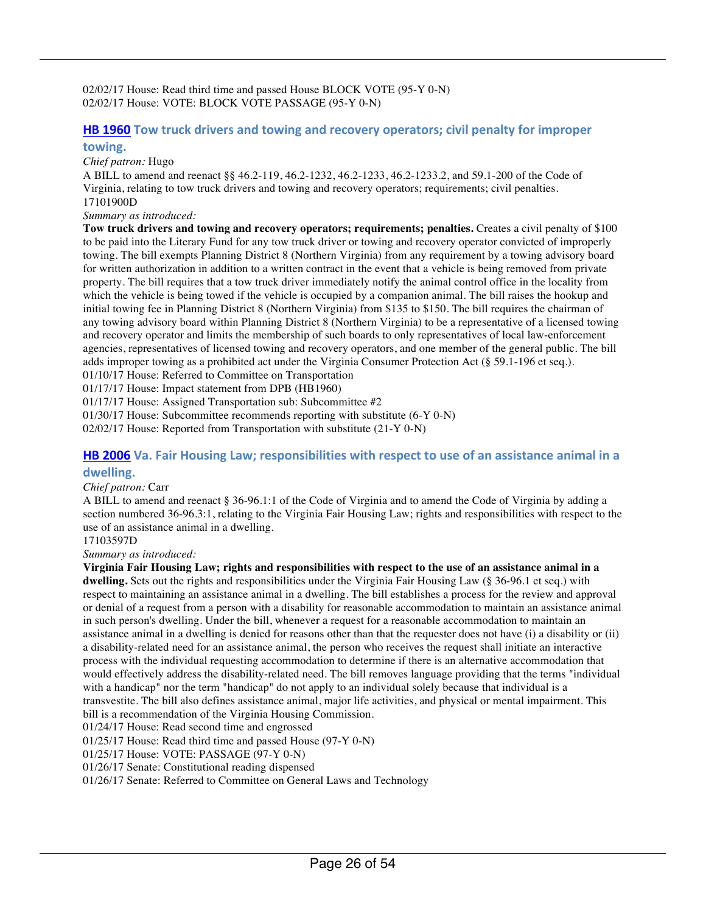02/02/17 House: Read third time and passed House BLOCK VOTE (95-Y 0-N) 02/02/17 House: VOTE: BLOCK VOTE PASSAGE (95-Y 0-N)

#### **HB 1960** Tow truck drivers and towing and recovery operators; civil penalty for improper **towing.**

*Chief patron:* Hugo

A BILL to amend and reenact §§ 46.2-119, 46.2-1232, 46.2-1233, 46.2-1233.2, and 59.1-200 of the Code of Virginia, relating to tow truck drivers and towing and recovery operators; requirements; civil penalties. 17101900D

*Summary as introduced:*

**Tow truck drivers and towing and recovery operators; requirements; penalties.** Creates a civil penalty of \$100 to be paid into the Literary Fund for any tow truck driver or towing and recovery operator convicted of improperly towing. The bill exempts Planning District 8 (Northern Virginia) from any requirement by a towing advisory board for written authorization in addition to a written contract in the event that a vehicle is being removed from private property. The bill requires that a tow truck driver immediately notify the animal control office in the locality from which the vehicle is being towed if the vehicle is occupied by a companion animal. The bill raises the hookup and initial towing fee in Planning District 8 (Northern Virginia) from \$135 to \$150. The bill requires the chairman of any towing advisory board within Planning District 8 (Northern Virginia) to be a representative of a licensed towing and recovery operator and limits the membership of such boards to only representatives of local law-enforcement agencies, representatives of licensed towing and recovery operators, and one member of the general public. The bill adds improper towing as a prohibited act under the Virginia Consumer Protection Act (§ 59.1-196 et seq.). 01/10/17 House: Referred to Committee on Transportation

01/17/17 House: Impact statement from DPB (HB1960)

01/17/17 House: Assigned Transportation sub: Subcommittee #2

01/30/17 House: Subcommittee recommends reporting with substitute (6-Y 0-N)

02/02/17 House: Reported from Transportation with substitute (21-Y 0-N)

#### **HB 2006** Va. Fair Housing Law; responsibilities with respect to use of an assistance animal in a **dwelling.**

#### *Chief patron:* Carr

A BILL to amend and reenact § 36-96.1:1 of the Code of Virginia and to amend the Code of Virginia by adding a section numbered 36-96.3:1, relating to the Virginia Fair Housing Law; rights and responsibilities with respect to the use of an assistance animal in a dwelling.

17103597D

*Summary as introduced:*

**Virginia Fair Housing Law; rights and responsibilities with respect to the use of an assistance animal in a dwelling.** Sets out the rights and responsibilities under the Virginia Fair Housing Law (§ 36-96.1 et seq.) with respect to maintaining an assistance animal in a dwelling. The bill establishes a process for the review and approval or denial of a request from a person with a disability for reasonable accommodation to maintain an assistance animal in such person's dwelling. Under the bill, whenever a request for a reasonable accommodation to maintain an assistance animal in a dwelling is denied for reasons other than that the requester does not have (i) a disability or (ii) a disability-related need for an assistance animal, the person who receives the request shall initiate an interactive process with the individual requesting accommodation to determine if there is an alternative accommodation that would effectively address the disability-related need. The bill removes language providing that the terms "individual with a handicap" nor the term "handicap" do not apply to an individual solely because that individual is a transvestite. The bill also defines assistance animal, major life activities, and physical or mental impairment. This bill is a recommendation of the Virginia Housing Commission.

01/24/17 House: Read second time and engrossed

01/25/17 House: Read third time and passed House (97-Y 0-N)

01/25/17 House: VOTE: PASSAGE (97-Y 0-N)

01/26/17 Senate: Constitutional reading dispensed

01/26/17 Senate: Referred to Committee on General Laws and Technology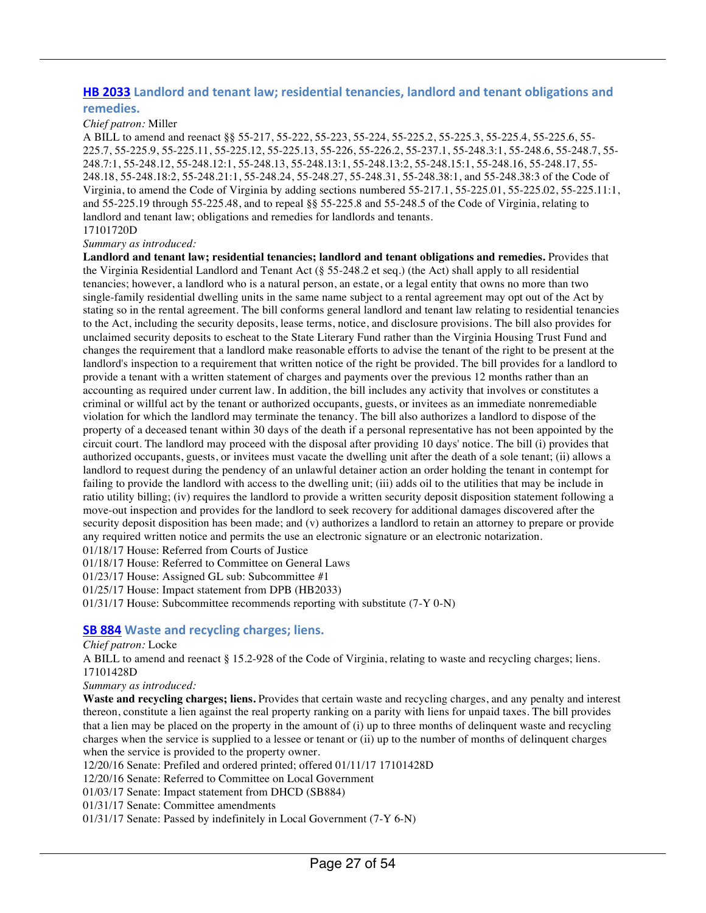#### **HB 2033** Landlord and tenant law; residential tenancies, landlord and tenant obligations and **remedies.**

#### *Chief patron:* Miller

A BILL to amend and reenact §§ 55-217, 55-222, 55-223, 55-224, 55-225.2, 55-225.3, 55-225.4, 55-225.6, 55- 225.7, 55-225.9, 55-225.11, 55-225.12, 55-225.13, 55-226, 55-226.2, 55-237.1, 55-248.3:1, 55-248.6, 55-248.7, 55- 248.7:1, 55-248.12, 55-248.12:1, 55-248.13, 55-248.13:1, 55-248.13:2, 55-248.15:1, 55-248.16, 55-248.17, 55- 248.18, 55-248.18:2, 55-248.21:1, 55-248.24, 55-248.27, 55-248.31, 55-248.38:1, and 55-248.38:3 of the Code of Virginia, to amend the Code of Virginia by adding sections numbered 55-217.1, 55-225.01, 55-225.02, 55-225.11:1, and 55-225.19 through 55-225.48, and to repeal §§ 55-225.8 and 55-248.5 of the Code of Virginia, relating to landlord and tenant law; obligations and remedies for landlords and tenants. 17101720D

#### *Summary as introduced:*

**Landlord and tenant law; residential tenancies; landlord and tenant obligations and remedies.** Provides that the Virginia Residential Landlord and Tenant Act (§ 55-248.2 et seq.) (the Act) shall apply to all residential tenancies; however, a landlord who is a natural person, an estate, or a legal entity that owns no more than two single-family residential dwelling units in the same name subject to a rental agreement may opt out of the Act by stating so in the rental agreement. The bill conforms general landlord and tenant law relating to residential tenancies to the Act, including the security deposits, lease terms, notice, and disclosure provisions. The bill also provides for unclaimed security deposits to escheat to the State Literary Fund rather than the Virginia Housing Trust Fund and changes the requirement that a landlord make reasonable efforts to advise the tenant of the right to be present at the landlord's inspection to a requirement that written notice of the right be provided. The bill provides for a landlord to provide a tenant with a written statement of charges and payments over the previous 12 months rather than an accounting as required under current law. In addition, the bill includes any activity that involves or constitutes a criminal or willful act by the tenant or authorized occupants, guests, or invitees as an immediate nonremediable violation for which the landlord may terminate the tenancy. The bill also authorizes a landlord to dispose of the property of a deceased tenant within 30 days of the death if a personal representative has not been appointed by the circuit court. The landlord may proceed with the disposal after providing 10 days' notice. The bill (i) provides that authorized occupants, guests, or invitees must vacate the dwelling unit after the death of a sole tenant; (ii) allows a landlord to request during the pendency of an unlawful detainer action an order holding the tenant in contempt for failing to provide the landlord with access to the dwelling unit; (iii) adds oil to the utilities that may be include in ratio utility billing; (iv) requires the landlord to provide a written security deposit disposition statement following a move-out inspection and provides for the landlord to seek recovery for additional damages discovered after the security deposit disposition has been made; and (v) authorizes a landlord to retain an attorney to prepare or provide any required written notice and permits the use an electronic signature or an electronic notarization.

01/18/17 House: Referred from Courts of Justice

01/18/17 House: Referred to Committee on General Laws

01/23/17 House: Assigned GL sub: Subcommittee #1

01/25/17 House: Impact statement from DPB (HB2033)

01/31/17 House: Subcommittee recommends reporting with substitute (7-Y 0-N)

#### **SB 884** Waste and recycling charges; liens.

#### *Chief patron:* Locke

A BILL to amend and reenact § 15.2-928 of the Code of Virginia, relating to waste and recycling charges; liens. 17101428D

*Summary as introduced:*

**Waste and recycling charges; liens.** Provides that certain waste and recycling charges, and any penalty and interest thereon, constitute a lien against the real property ranking on a parity with liens for unpaid taxes. The bill provides that a lien may be placed on the property in the amount of (i) up to three months of delinquent waste and recycling charges when the service is supplied to a lessee or tenant or (ii) up to the number of months of delinquent charges when the service is provided to the property owner.

12/20/16 Senate: Prefiled and ordered printed; offered 01/11/17 17101428D

- 12/20/16 Senate: Referred to Committee on Local Government
- 01/03/17 Senate: Impact statement from DHCD (SB884)

01/31/17 Senate: Committee amendments

01/31/17 Senate: Passed by indefinitely in Local Government (7-Y 6-N)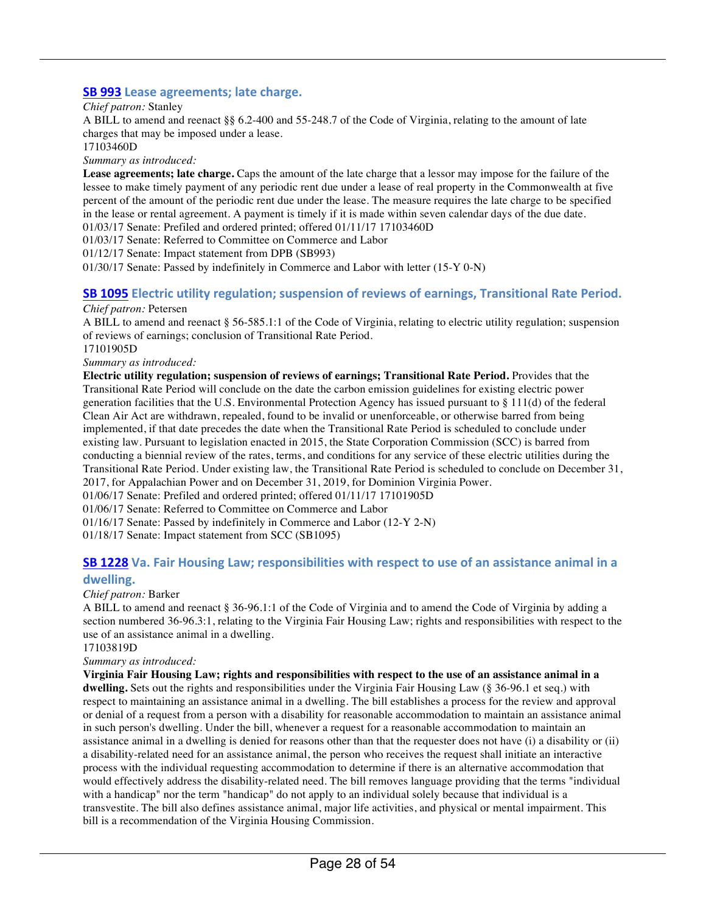#### **SB 993** Lease agreements; late charge.

*Chief patron:* Stanley

A BILL to amend and reenact §§ 6.2-400 and 55-248.7 of the Code of Virginia, relating to the amount of late charges that may be imposed under a lease.

17103460D

*Summary as introduced:*

**Lease agreements; late charge.** Caps the amount of the late charge that a lessor may impose for the failure of the lessee to make timely payment of any periodic rent due under a lease of real property in the Commonwealth at five percent of the amount of the periodic rent due under the lease. The measure requires the late charge to be specified in the lease or rental agreement. A payment is timely if it is made within seven calendar days of the due date. 01/03/17 Senate: Prefiled and ordered printed; offered 01/11/17 17103460D

01/03/17 Senate: Referred to Committee on Commerce and Labor

01/12/17 Senate: Impact statement from DPB (SB993)

01/30/17 Senate: Passed by indefinitely in Commerce and Labor with letter (15-Y 0-N)

### **SB 1095** Electric utility regulation; suspension of reviews of earnings, Transitional Rate Period.

#### *Chief patron:* Petersen

A BILL to amend and reenact § 56-585.1:1 of the Code of Virginia, relating to electric utility regulation; suspension of reviews of earnings; conclusion of Transitional Rate Period.

17101905D

*Summary as introduced:*

**Electric utility regulation; suspension of reviews of earnings; Transitional Rate Period.** Provides that the Transitional Rate Period will conclude on the date the carbon emission guidelines for existing electric power generation facilities that the U.S. Environmental Protection Agency has issued pursuant to § 111(d) of the federal Clean Air Act are withdrawn, repealed, found to be invalid or unenforceable, or otherwise barred from being implemented, if that date precedes the date when the Transitional Rate Period is scheduled to conclude under existing law. Pursuant to legislation enacted in 2015, the State Corporation Commission (SCC) is barred from conducting a biennial review of the rates, terms, and conditions for any service of these electric utilities during the Transitional Rate Period. Under existing law, the Transitional Rate Period is scheduled to conclude on December 31, 2017, for Appalachian Power and on December 31, 2019, for Dominion Virginia Power.

01/06/17 Senate: Prefiled and ordered printed; offered 01/11/17 17101905D

01/06/17 Senate: Referred to Committee on Commerce and Labor

01/16/17 Senate: Passed by indefinitely in Commerce and Labor (12-Y 2-N)

01/18/17 Senate: Impact statement from SCC (SB1095)

#### **SB 1228** Va. Fair Housing Law; responsibilities with respect to use of an assistance animal in a **dwelling.**

#### *Chief patron:* Barker

A BILL to amend and reenact § 36-96.1:1 of the Code of Virginia and to amend the Code of Virginia by adding a section numbered 36-96.3:1, relating to the Virginia Fair Housing Law; rights and responsibilities with respect to the use of an assistance animal in a dwelling.

17103819D

#### *Summary as introduced:*

**Virginia Fair Housing Law; rights and responsibilities with respect to the use of an assistance animal in a dwelling.** Sets out the rights and responsibilities under the Virginia Fair Housing Law (§ 36-96.1 et seq.) with respect to maintaining an assistance animal in a dwelling. The bill establishes a process for the review and approval or denial of a request from a person with a disability for reasonable accommodation to maintain an assistance animal in such person's dwelling. Under the bill, whenever a request for a reasonable accommodation to maintain an assistance animal in a dwelling is denied for reasons other than that the requester does not have (i) a disability or (ii) a disability-related need for an assistance animal, the person who receives the request shall initiate an interactive process with the individual requesting accommodation to determine if there is an alternative accommodation that would effectively address the disability-related need. The bill removes language providing that the terms "individual with a handicap" nor the term "handicap" do not apply to an individual solely because that individual is a transvestite. The bill also defines assistance animal, major life activities, and physical or mental impairment. This bill is a recommendation of the Virginia Housing Commission.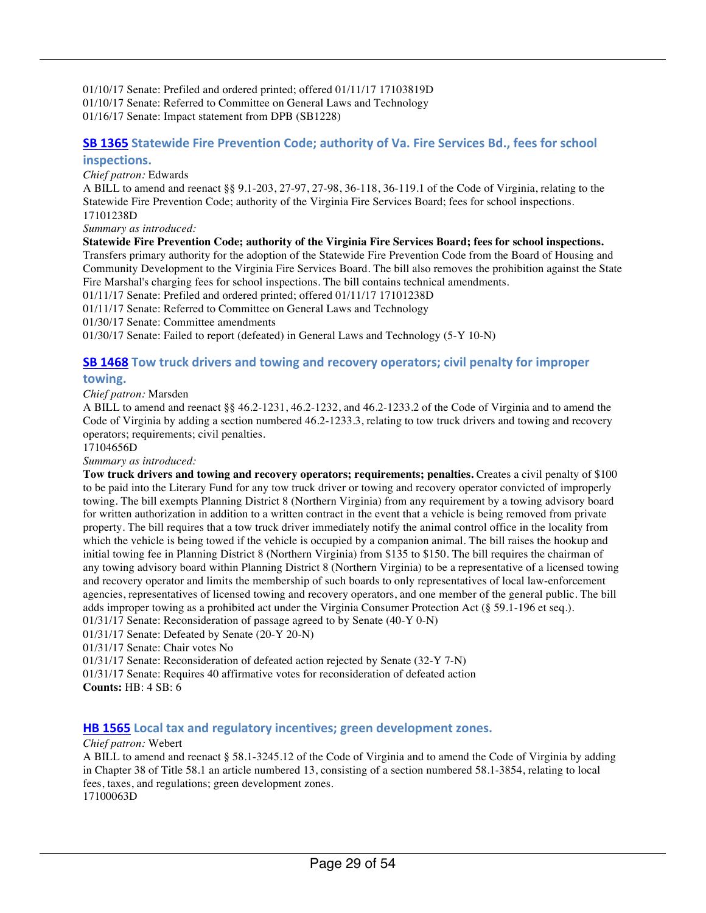01/10/17 Senate: Prefiled and ordered printed; offered 01/11/17 17103819D 01/10/17 Senate: Referred to Committee on General Laws and Technology 01/16/17 Senate: Impact statement from DPB (SB1228)

#### **SB 1365** Statewide Fire Prevention Code; authority of Va. Fire Services Bd., fees for school **inspections.**

#### *Chief patron:* Edwards

A BILL to amend and reenact §§ 9.1-203, 27-97, 27-98, 36-118, 36-119.1 of the Code of Virginia, relating to the Statewide Fire Prevention Code; authority of the Virginia Fire Services Board; fees for school inspections. 17101238D

*Summary as introduced:*

**Statewide Fire Prevention Code; authority of the Virginia Fire Services Board; fees for school inspections.**

Transfers primary authority for the adoption of the Statewide Fire Prevention Code from the Board of Housing and Community Development to the Virginia Fire Services Board. The bill also removes the prohibition against the State Fire Marshal's charging fees for school inspections. The bill contains technical amendments.

01/11/17 Senate: Prefiled and ordered printed; offered 01/11/17 17101238D

01/11/17 Senate: Referred to Committee on General Laws and Technology

01/30/17 Senate: Committee amendments

01/30/17 Senate: Failed to report (defeated) in General Laws and Technology (5-Y 10-N)

#### **SB 1468** Tow truck drivers and towing and recovery operators; civil penalty for improper

#### **towing.**

*Chief patron:* Marsden

A BILL to amend and reenact §§ 46.2-1231, 46.2-1232, and 46.2-1233.2 of the Code of Virginia and to amend the Code of Virginia by adding a section numbered 46.2-1233.3, relating to tow truck drivers and towing and recovery operators; requirements; civil penalties.

17104656D

*Summary as introduced:*

**Tow truck drivers and towing and recovery operators; requirements; penalties.** Creates a civil penalty of \$100 to be paid into the Literary Fund for any tow truck driver or towing and recovery operator convicted of improperly towing. The bill exempts Planning District 8 (Northern Virginia) from any requirement by a towing advisory board for written authorization in addition to a written contract in the event that a vehicle is being removed from private property. The bill requires that a tow truck driver immediately notify the animal control office in the locality from which the vehicle is being towed if the vehicle is occupied by a companion animal. The bill raises the hookup and initial towing fee in Planning District 8 (Northern Virginia) from \$135 to \$150. The bill requires the chairman of any towing advisory board within Planning District 8 (Northern Virginia) to be a representative of a licensed towing and recovery operator and limits the membership of such boards to only representatives of local law-enforcement agencies, representatives of licensed towing and recovery operators, and one member of the general public. The bill adds improper towing as a prohibited act under the Virginia Consumer Protection Act (§ 59.1-196 et seq.). 01/31/17 Senate: Reconsideration of passage agreed to by Senate (40-Y 0-N)

01/31/17 Senate: Defeated by Senate (20-Y 20-N)

01/31/17 Senate: Chair votes No

01/31/17 Senate: Reconsideration of defeated action rejected by Senate (32-Y 7-N)

01/31/17 Senate: Requires 40 affirmative votes for reconsideration of defeated action **Counts:** HB: 4 SB: 6

#### **HB 1565** Local tax and regulatory incentives; green development zones.

#### *Chief patron:* Webert

A BILL to amend and reenact § 58.1-3245.12 of the Code of Virginia and to amend the Code of Virginia by adding in Chapter 38 of Title 58.1 an article numbered 13, consisting of a section numbered 58.1-3854, relating to local fees, taxes, and regulations; green development zones. 17100063D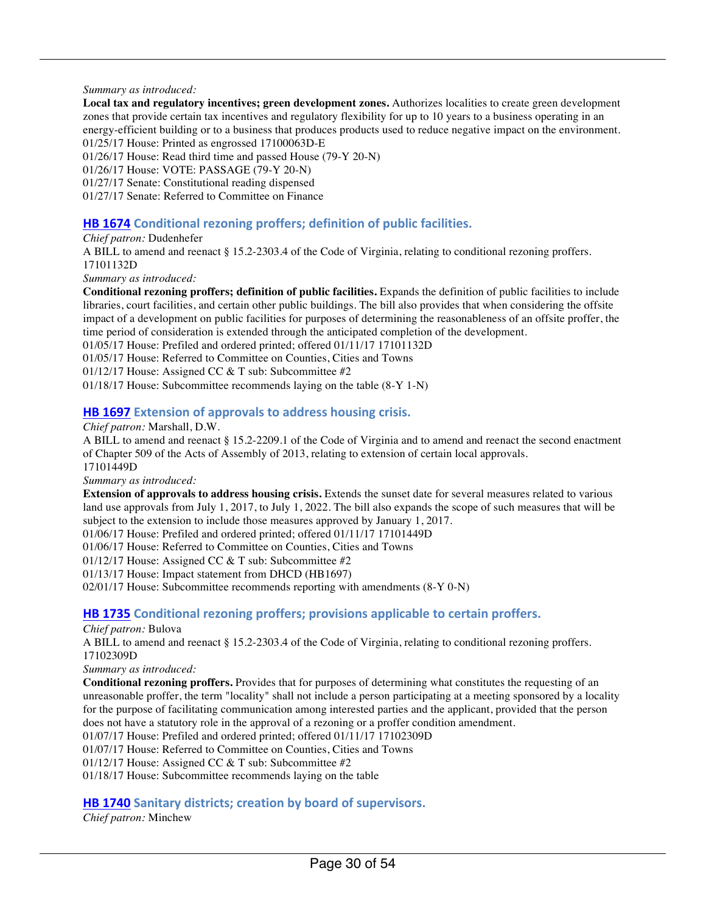#### *Summary as introduced:*

**Local tax and regulatory incentives; green development zones.** Authorizes localities to create green development zones that provide certain tax incentives and regulatory flexibility for up to 10 years to a business operating in an energy-efficient building or to a business that produces products used to reduce negative impact on the environment. 01/25/17 House: Printed as engrossed 17100063D-E

01/26/17 House: Read third time and passed House (79-Y 20-N)

01/26/17 House: VOTE: PASSAGE (79-Y 20-N)

01/27/17 Senate: Constitutional reading dispensed

01/27/17 Senate: Referred to Committee on Finance

#### **HB 1674** Conditional rezoning proffers; definition of public facilities.

*Chief patron:* Dudenhefer

A BILL to amend and reenact § 15.2-2303.4 of the Code of Virginia, relating to conditional rezoning proffers. 17101132D

*Summary as introduced:*

**Conditional rezoning proffers; definition of public facilities.** Expands the definition of public facilities to include libraries, court facilities, and certain other public buildings. The bill also provides that when considering the offsite impact of a development on public facilities for purposes of determining the reasonableness of an offsite proffer, the time period of consideration is extended through the anticipated completion of the development.

01/05/17 House: Prefiled and ordered printed; offered 01/11/17 17101132D

01/05/17 House: Referred to Committee on Counties, Cities and Towns

01/12/17 House: Assigned CC & T sub: Subcommittee #2

01/18/17 House: Subcommittee recommends laying on the table (8-Y 1-N)

#### **HB 1697** Extension of approvals to address housing crisis.

*Chief patron:* Marshall, D.W.

A BILL to amend and reenact § 15.2-2209.1 of the Code of Virginia and to amend and reenact the second enactment of Chapter 509 of the Acts of Assembly of 2013, relating to extension of certain local approvals. 17101449D

*Summary as introduced:*

**Extension of approvals to address housing crisis.** Extends the sunset date for several measures related to various land use approvals from July 1, 2017, to July 1, 2022. The bill also expands the scope of such measures that will be subject to the extension to include those measures approved by January 1, 2017.

01/06/17 House: Prefiled and ordered printed; offered 01/11/17 17101449D

01/06/17 House: Referred to Committee on Counties, Cities and Towns

01/12/17 House: Assigned CC & T sub: Subcommittee #2

01/13/17 House: Impact statement from DHCD (HB1697)

02/01/17 House: Subcommittee recommends reporting with amendments (8-Y 0-N)

#### **HB 1735** Conditional rezoning proffers; provisions applicable to certain proffers.

*Chief patron:* Bulova

A BILL to amend and reenact § 15.2-2303.4 of the Code of Virginia, relating to conditional rezoning proffers. 17102309D

*Summary as introduced:*

**Conditional rezoning proffers.** Provides that for purposes of determining what constitutes the requesting of an unreasonable proffer, the term "locality" shall not include a person participating at a meeting sponsored by a locality for the purpose of facilitating communication among interested parties and the applicant, provided that the person does not have a statutory role in the approval of a rezoning or a proffer condition amendment.

01/07/17 House: Prefiled and ordered printed; offered 01/11/17 17102309D

01/07/17 House: Referred to Committee on Counties, Cities and Towns

01/12/17 House: Assigned CC & T sub: Subcommittee #2

01/18/17 House: Subcommittee recommends laying on the table

#### **HB 1740** Sanitary districts; creation by board of supervisors.

*Chief patron:* Minchew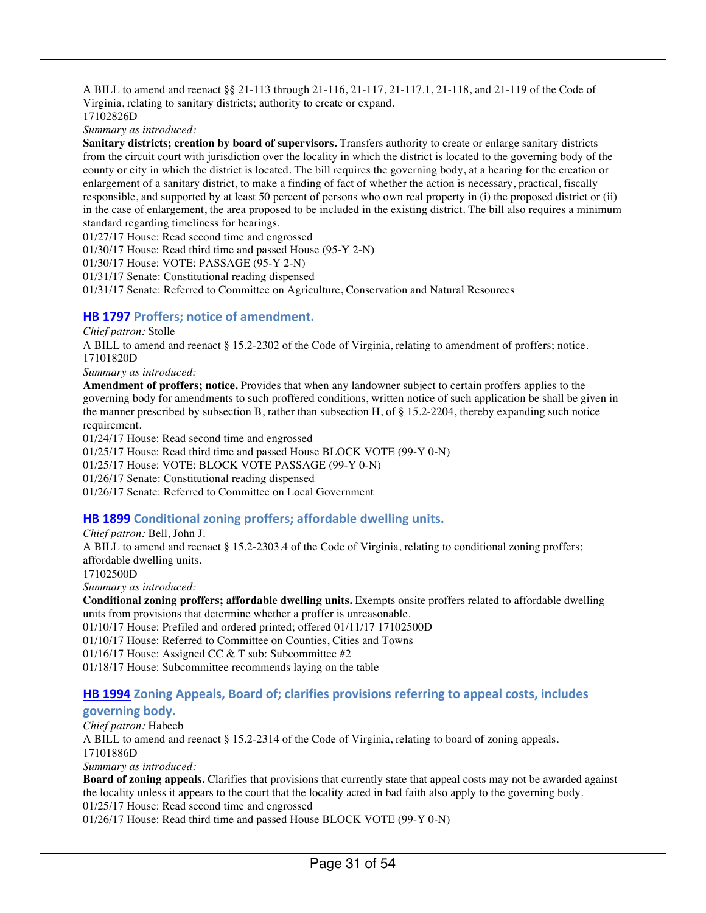A BILL to amend and reenact §§ 21-113 through 21-116, 21-117, 21-117.1, 21-118, and 21-119 of the Code of Virginia, relating to sanitary districts; authority to create or expand. 17102826D

*Summary as introduced:*

**Sanitary districts; creation by board of supervisors.** Transfers authority to create or enlarge sanitary districts from the circuit court with jurisdiction over the locality in which the district is located to the governing body of the county or city in which the district is located. The bill requires the governing body, at a hearing for the creation or enlargement of a sanitary district, to make a finding of fact of whether the action is necessary, practical, fiscally responsible, and supported by at least 50 percent of persons who own real property in (i) the proposed district or (ii) in the case of enlargement, the area proposed to be included in the existing district. The bill also requires a minimum standard regarding timeliness for hearings.

01/27/17 House: Read second time and engrossed

01/30/17 House: Read third time and passed House (95-Y 2-N)

01/30/17 House: VOTE: PASSAGE (95-Y 2-N)

01/31/17 Senate: Constitutional reading dispensed

01/31/17 Senate: Referred to Committee on Agriculture, Conservation and Natural Resources

#### **HB 1797** Proffers; notice of amendment.

*Chief patron:* Stolle

A BILL to amend and reenact § 15.2-2302 of the Code of Virginia, relating to amendment of proffers; notice. 17101820D

*Summary as introduced:*

**Amendment of proffers; notice.** Provides that when any landowner subject to certain proffers applies to the governing body for amendments to such proffered conditions, written notice of such application be shall be given in the manner prescribed by subsection B, rather than subsection H, of § 15.2-2204, thereby expanding such notice requirement.

01/24/17 House: Read second time and engrossed

01/25/17 House: Read third time and passed House BLOCK VOTE (99-Y 0-N)

01/25/17 House: VOTE: BLOCK VOTE PASSAGE (99-Y 0-N)

01/26/17 Senate: Constitutional reading dispensed

01/26/17 Senate: Referred to Committee on Local Government

#### **HB 1899** Conditional zoning proffers; affordable dwelling units.

*Chief patron:* Bell, John J. A BILL to amend and reenact § 15.2-2303.4 of the Code of Virginia, relating to conditional zoning proffers; affordable dwelling units. 17102500D *Summary as introduced:*

**Conditional zoning proffers; affordable dwelling units.** Exempts onsite proffers related to affordable dwelling units from provisions that determine whether a proffer is unreasonable.

01/10/17 House: Prefiled and ordered printed; offered 01/11/17 17102500D

01/10/17 House: Referred to Committee on Counties, Cities and Towns

01/16/17 House: Assigned CC & T sub: Subcommittee #2

01/18/17 House: Subcommittee recommends laying on the table

#### **HB 1994** Zoning Appeals, Board of; clarifies provisions referring to appeal costs, includes

#### **governing body.**

*Chief patron:* Habeeb A BILL to amend and reenact § 15.2-2314 of the Code of Virginia, relating to board of zoning appeals. 17101886D *Summary as introduced:* **Board of zoning appeals.** Clarifies that provisions that currently state that appeal costs may not be awarded against

the locality unless it appears to the court that the locality acted in bad faith also apply to the governing body.

01/25/17 House: Read second time and engrossed

01/26/17 House: Read third time and passed House BLOCK VOTE (99-Y 0-N)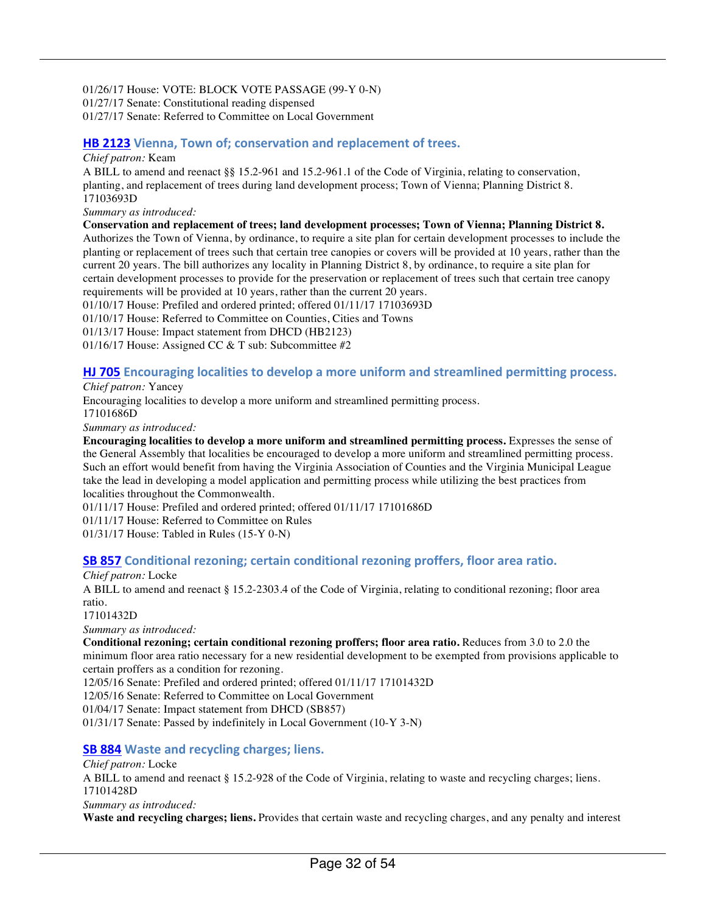01/26/17 House: VOTE: BLOCK VOTE PASSAGE (99-Y 0-N) 01/27/17 Senate: Constitutional reading dispensed 01/27/17 Senate: Referred to Committee on Local Government

#### **HB 2123** Vienna, Town of; conservation and replacement of trees.

#### *Chief patron:* Keam

A BILL to amend and reenact §§ 15.2-961 and 15.2-961.1 of the Code of Virginia, relating to conservation, planting, and replacement of trees during land development process; Town of Vienna; Planning District 8. 17103693D

*Summary as introduced:*

**Conservation and replacement of trees; land development processes; Town of Vienna; Planning District 8.**

Authorizes the Town of Vienna, by ordinance, to require a site plan for certain development processes to include the planting or replacement of trees such that certain tree canopies or covers will be provided at 10 years, rather than the current 20 years. The bill authorizes any locality in Planning District 8, by ordinance, to require a site plan for certain development processes to provide for the preservation or replacement of trees such that certain tree canopy requirements will be provided at 10 years, rather than the current 20 years.

01/10/17 House: Prefiled and ordered printed; offered 01/11/17 17103693D

01/10/17 House: Referred to Committee on Counties, Cities and Towns

01/13/17 House: Impact statement from DHCD (HB2123)

01/16/17 House: Assigned CC & T sub: Subcommittee #2

#### **HJ 705** Encouraging localities to develop a more uniform and streamlined permitting process.

*Chief patron:* Yancey

Encouraging localities to develop a more uniform and streamlined permitting process.

17101686D

*Summary as introduced:*

**Encouraging localities to develop a more uniform and streamlined permitting process.** Expresses the sense of the General Assembly that localities be encouraged to develop a more uniform and streamlined permitting process. Such an effort would benefit from having the Virginia Association of Counties and the Virginia Municipal League take the lead in developing a model application and permitting process while utilizing the best practices from localities throughout the Commonwealth.

01/11/17 House: Prefiled and ordered printed; offered 01/11/17 17101686D

01/11/17 House: Referred to Committee on Rules

01/31/17 House: Tabled in Rules (15-Y 0-N)

#### **SB 857** Conditional rezoning; certain conditional rezoning proffers, floor area ratio.

#### *Chief patron:* Locke

A BILL to amend and reenact § 15.2-2303.4 of the Code of Virginia, relating to conditional rezoning; floor area ratio.

17101432D

*Summary as introduced:*

**Conditional rezoning; certain conditional rezoning proffers; floor area ratio.** Reduces from 3.0 to 2.0 the minimum floor area ratio necessary for a new residential development to be exempted from provisions applicable to certain proffers as a condition for rezoning.

12/05/16 Senate: Prefiled and ordered printed; offered 01/11/17 17101432D

12/05/16 Senate: Referred to Committee on Local Government

01/04/17 Senate: Impact statement from DHCD (SB857)

01/31/17 Senate: Passed by indefinitely in Local Government (10-Y 3-N)

#### **SB 884** Waste and recycling charges; liens.

#### *Chief patron:* Locke

A BILL to amend and reenact § 15.2-928 of the Code of Virginia, relating to waste and recycling charges; liens. 17101428D

*Summary as introduced:*

**Waste and recycling charges; liens.** Provides that certain waste and recycling charges, and any penalty and interest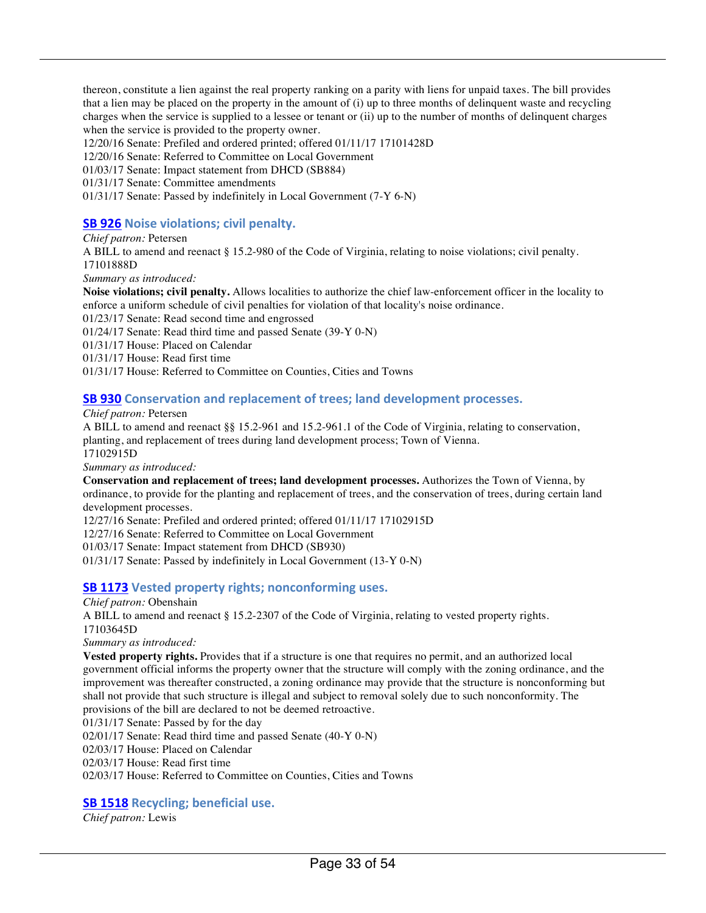thereon, constitute a lien against the real property ranking on a parity with liens for unpaid taxes. The bill provides that a lien may be placed on the property in the amount of (i) up to three months of delinquent waste and recycling charges when the service is supplied to a lessee or tenant or (ii) up to the number of months of delinquent charges when the service is provided to the property owner.

12/20/16 Senate: Prefiled and ordered printed; offered 01/11/17 17101428D

12/20/16 Senate: Referred to Committee on Local Government

01/03/17 Senate: Impact statement from DHCD (SB884)

01/31/17 Senate: Committee amendments

01/31/17 Senate: Passed by indefinitely in Local Government (7-Y 6-N)

#### **SB 926** Noise violations; civil penalty.

#### *Chief patron:* Petersen

A BILL to amend and reenact § 15.2-980 of the Code of Virginia, relating to noise violations; civil penalty. 17101888D *Summary as introduced:*

**Noise violations; civil penalty.** Allows localities to authorize the chief law-enforcement officer in the locality to enforce a uniform schedule of civil penalties for violation of that locality's noise ordinance.

01/23/17 Senate: Read second time and engrossed

01/24/17 Senate: Read third time and passed Senate (39-Y 0-N)

01/31/17 House: Placed on Calendar

01/31/17 House: Read first time

01/31/17 House: Referred to Committee on Counties, Cities and Towns

#### **SB 930** Conservation and replacement of trees; land development processes.

#### *Chief patron:* Petersen

A BILL to amend and reenact §§ 15.2-961 and 15.2-961.1 of the Code of Virginia, relating to conservation, planting, and replacement of trees during land development process; Town of Vienna. 17102915D

*Summary as introduced:*

**Conservation and replacement of trees; land development processes.** Authorizes the Town of Vienna, by ordinance, to provide for the planting and replacement of trees, and the conservation of trees, during certain land development processes.

12/27/16 Senate: Prefiled and ordered printed; offered 01/11/17 17102915D

12/27/16 Senate: Referred to Committee on Local Government

01/03/17 Senate: Impact statement from DHCD (SB930)

01/31/17 Senate: Passed by indefinitely in Local Government (13-Y 0-N)

#### **SB 1173** Vested property rights; nonconforming uses.

#### *Chief patron:* Obenshain

A BILL to amend and reenact § 15.2-2307 of the Code of Virginia, relating to vested property rights. 17103645D

*Summary as introduced:*

**Vested property rights.** Provides that if a structure is one that requires no permit, and an authorized local government official informs the property owner that the structure will comply with the zoning ordinance, and the improvement was thereafter constructed, a zoning ordinance may provide that the structure is nonconforming but shall not provide that such structure is illegal and subject to removal solely due to such nonconformity. The provisions of the bill are declared to not be deemed retroactive.

01/31/17 Senate: Passed by for the day

02/01/17 Senate: Read third time and passed Senate (40-Y 0-N)

02/03/17 House: Placed on Calendar

02/03/17 House: Read first time

02/03/17 House: Referred to Committee on Counties, Cities and Towns

#### **SB 1518** Recycling; beneficial use.

*Chief patron:* Lewis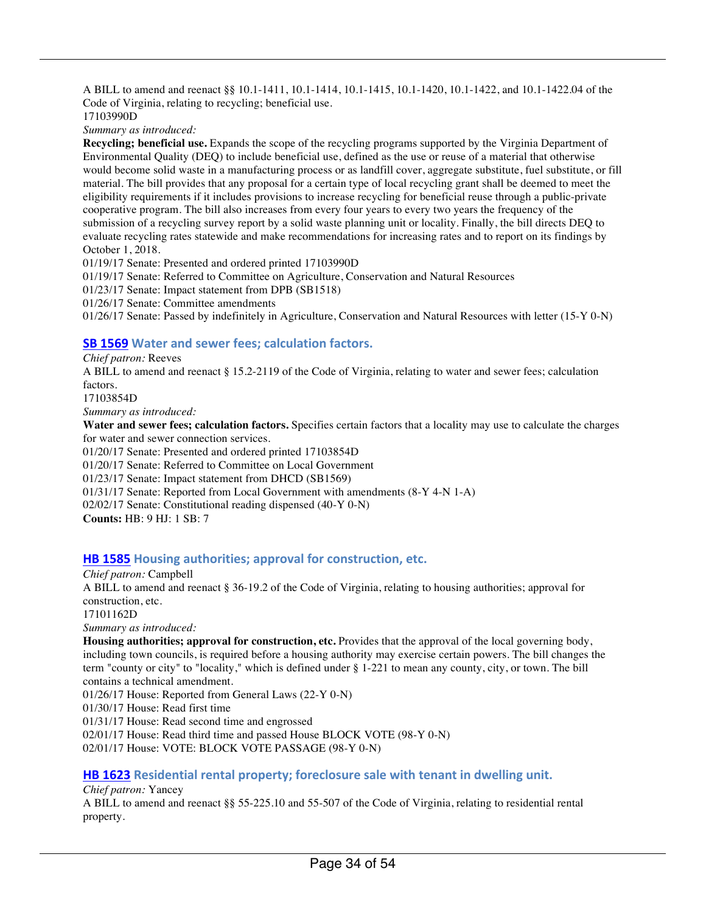A BILL to amend and reenact §§ 10.1-1411, 10.1-1414, 10.1-1415, 10.1-1420, 10.1-1422, and 10.1-1422.04 of the Code of Virginia, relating to recycling; beneficial use. 17103990D

*Summary as introduced:*

**Recycling; beneficial use.** Expands the scope of the recycling programs supported by the Virginia Department of Environmental Quality (DEQ) to include beneficial use, defined as the use or reuse of a material that otherwise would become solid waste in a manufacturing process or as landfill cover, aggregate substitute, fuel substitute, or fill material. The bill provides that any proposal for a certain type of local recycling grant shall be deemed to meet the eligibility requirements if it includes provisions to increase recycling for beneficial reuse through a public-private cooperative program. The bill also increases from every four years to every two years the frequency of the submission of a recycling survey report by a solid waste planning unit or locality. Finally, the bill directs DEQ to evaluate recycling rates statewide and make recommendations for increasing rates and to report on its findings by October 1, 2018.

01/19/17 Senate: Presented and ordered printed 17103990D

01/19/17 Senate: Referred to Committee on Agriculture, Conservation and Natural Resources

01/23/17 Senate: Impact statement from DPB (SB1518)

01/26/17 Senate: Committee amendments

01/26/17 Senate: Passed by indefinitely in Agriculture, Conservation and Natural Resources with letter (15-Y 0-N)

#### **SB 1569** Water and sewer fees; calculation factors.

*Chief patron:* Reeves

A BILL to amend and reenact § 15.2-2119 of the Code of Virginia, relating to water and sewer fees; calculation factors.

17103854D

*Summary as introduced:*

**Water and sewer fees; calculation factors.** Specifies certain factors that a locality may use to calculate the charges for water and sewer connection services.

01/20/17 Senate: Presented and ordered printed 17103854D

01/20/17 Senate: Referred to Committee on Local Government

01/23/17 Senate: Impact statement from DHCD (SB1569)

01/31/17 Senate: Reported from Local Government with amendments (8-Y 4-N 1-A)

02/02/17 Senate: Constitutional reading dispensed (40-Y 0-N)

**Counts:** HB: 9 HJ: 1 SB: 7

#### **HB 1585** Housing authorities; approval for construction, etc.

*Chief patron:* Campbell A BILL to amend and reenact § 36-19.2 of the Code of Virginia, relating to housing authorities; approval for construction, etc. 17101162D *Summary as introduced:*

**Housing authorities; approval for construction, etc.** Provides that the approval of the local governing body, including town councils, is required before a housing authority may exercise certain powers. The bill changes the term "county or city" to "locality," which is defined under § 1-221 to mean any county, city, or town. The bill contains a technical amendment.

01/26/17 House: Reported from General Laws (22-Y 0-N)

01/30/17 House: Read first time

01/31/17 House: Read second time and engrossed

02/01/17 House: Read third time and passed House BLOCK VOTE (98-Y 0-N)

02/01/17 House: VOTE: BLOCK VOTE PASSAGE (98-Y 0-N)

#### **HB 1623** Residential rental property; foreclosure sale with tenant in dwelling unit.

*Chief patron:* Yancey

A BILL to amend and reenact §§ 55-225.10 and 55-507 of the Code of Virginia, relating to residential rental property.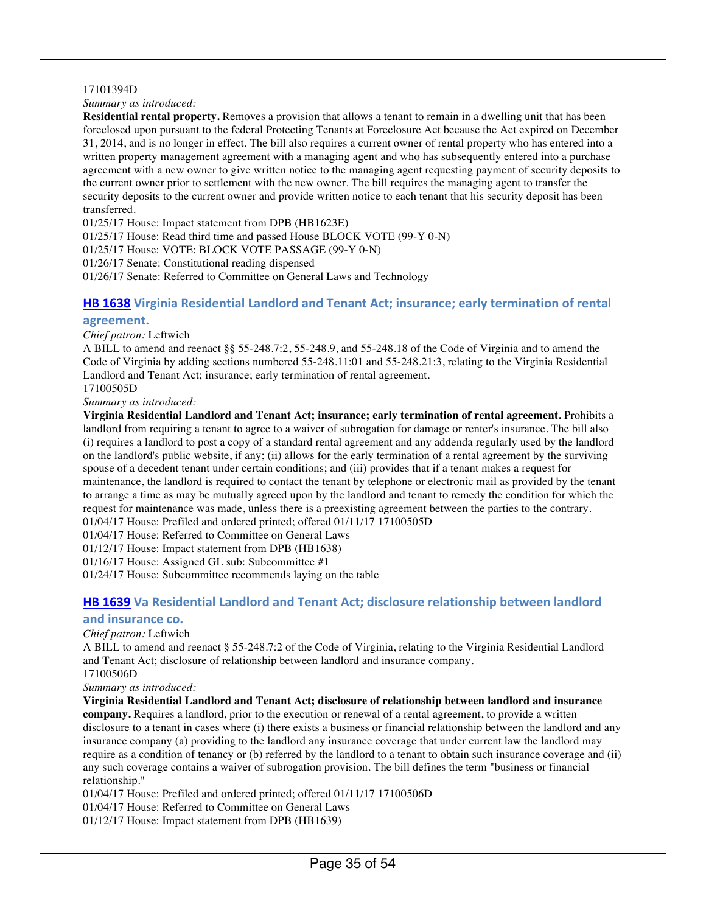#### 17101394D

#### *Summary as introduced:*

**Residential rental property.** Removes a provision that allows a tenant to remain in a dwelling unit that has been foreclosed upon pursuant to the federal Protecting Tenants at Foreclosure Act because the Act expired on December 31, 2014, and is no longer in effect. The bill also requires a current owner of rental property who has entered into a written property management agreement with a managing agent and who has subsequently entered into a purchase agreement with a new owner to give written notice to the managing agent requesting payment of security deposits to the current owner prior to settlement with the new owner. The bill requires the managing agent to transfer the security deposits to the current owner and provide written notice to each tenant that his security deposit has been transferred.

01/25/17 House: Impact statement from DPB (HB1623E)

01/25/17 House: Read third time and passed House BLOCK VOTE (99-Y 0-N)

01/25/17 House: VOTE: BLOCK VOTE PASSAGE (99-Y 0-N)

01/26/17 Senate: Constitutional reading dispensed

01/26/17 Senate: Referred to Committee on General Laws and Technology

#### **HB 1638** Virginia Residential Landlord and Tenant Act; insurance; early termination of rental **agreement.**

#### *Chief patron:* Leftwich

A BILL to amend and reenact §§ 55-248.7:2, 55-248.9, and 55-248.18 of the Code of Virginia and to amend the Code of Virginia by adding sections numbered 55-248.11:01 and 55-248.21:3, relating to the Virginia Residential Landlord and Tenant Act; insurance; early termination of rental agreement.

17100505D

*Summary as introduced:*

**Virginia Residential Landlord and Tenant Act; insurance; early termination of rental agreement.** Prohibits a landlord from requiring a tenant to agree to a waiver of subrogation for damage or renter's insurance. The bill also (i) requires a landlord to post a copy of a standard rental agreement and any addenda regularly used by the landlord on the landlord's public website, if any; (ii) allows for the early termination of a rental agreement by the surviving spouse of a decedent tenant under certain conditions; and (iii) provides that if a tenant makes a request for maintenance, the landlord is required to contact the tenant by telephone or electronic mail as provided by the tenant to arrange a time as may be mutually agreed upon by the landlord and tenant to remedy the condition for which the request for maintenance was made, unless there is a preexisting agreement between the parties to the contrary. 01/04/17 House: Prefiled and ordered printed; offered 01/11/17 17100505D

01/04/17 House: Referred to Committee on General Laws

01/12/17 House: Impact statement from DPB (HB1638)

01/16/17 House: Assigned GL sub: Subcommittee #1

01/24/17 House: Subcommittee recommends laying on the table

### **HB 1639** Va Residential Landlord and Tenant Act; disclosure relationship between landlord

#### and insurance co.

#### *Chief patron:* Leftwich

A BILL to amend and reenact § 55-248.7:2 of the Code of Virginia, relating to the Virginia Residential Landlord and Tenant Act; disclosure of relationship between landlord and insurance company. 17100506D

*Summary as introduced:*

**Virginia Residential Landlord and Tenant Act; disclosure of relationship between landlord and insurance** 

**company.** Requires a landlord, prior to the execution or renewal of a rental agreement, to provide a written disclosure to a tenant in cases where (i) there exists a business or financial relationship between the landlord and any insurance company (a) providing to the landlord any insurance coverage that under current law the landlord may require as a condition of tenancy or (b) referred by the landlord to a tenant to obtain such insurance coverage and (ii) any such coverage contains a waiver of subrogation provision. The bill defines the term "business or financial relationship."

01/04/17 House: Prefiled and ordered printed; offered 01/11/17 17100506D

01/04/17 House: Referred to Committee on General Laws

01/12/17 House: Impact statement from DPB (HB1639)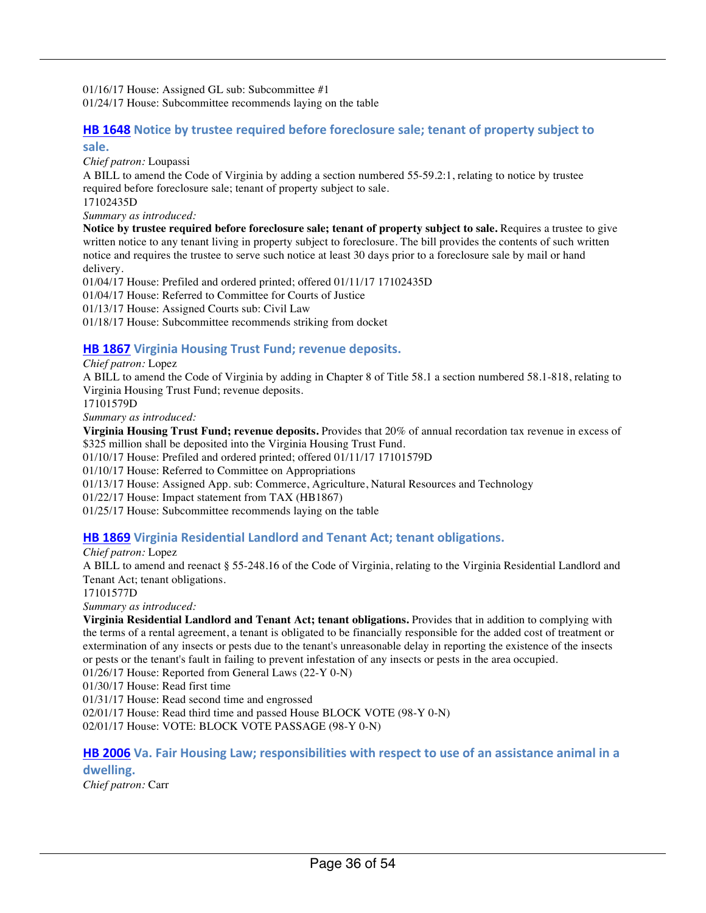01/16/17 House: Assigned GL sub: Subcommittee #1 01/24/17 House: Subcommittee recommends laying on the table

#### **HB 1648** Notice by trustee required before foreclosure sale; tenant of property subject to **sale.**

*Chief patron:* Loupassi

A BILL to amend the Code of Virginia by adding a section numbered 55-59.2:1, relating to notice by trustee required before foreclosure sale; tenant of property subject to sale.

17102435D

*Summary as introduced:*

**Notice by trustee required before foreclosure sale; tenant of property subject to sale.** Requires a trustee to give written notice to any tenant living in property subject to foreclosure. The bill provides the contents of such written notice and requires the trustee to serve such notice at least 30 days prior to a foreclosure sale by mail or hand delivery.

01/04/17 House: Prefiled and ordered printed; offered 01/11/17 17102435D 01/04/17 House: Referred to Committee for Courts of Justice 01/13/17 House: Assigned Courts sub: Civil Law 01/18/17 House: Subcommittee recommends striking from docket

### **HB 1867** Virginia Housing Trust Fund; revenue deposits.

*Chief patron:* Lopez

A BILL to amend the Code of Virginia by adding in Chapter 8 of Title 58.1 a section numbered 58.1-818, relating to Virginia Housing Trust Fund; revenue deposits.

17101579D

*Summary as introduced:*

**Virginia Housing Trust Fund; revenue deposits.** Provides that 20% of annual recordation tax revenue in excess of \$325 million shall be deposited into the Virginia Housing Trust Fund.

01/10/17 House: Prefiled and ordered printed; offered 01/11/17 17101579D

01/10/17 House: Referred to Committee on Appropriations

01/13/17 House: Assigned App. sub: Commerce, Agriculture, Natural Resources and Technology

01/22/17 House: Impact statement from TAX (HB1867)

01/25/17 House: Subcommittee recommends laying on the table

#### **HB 1869** Virginia Residential Landlord and Tenant Act; tenant obligations.

*Chief patron:* Lopez A BILL to amend and reenact § 55-248.16 of the Code of Virginia, relating to the Virginia Residential Landlord and Tenant Act; tenant obligations.

17101577D

*Summary as introduced:*

**Virginia Residential Landlord and Tenant Act; tenant obligations.** Provides that in addition to complying with the terms of a rental agreement, a tenant is obligated to be financially responsible for the added cost of treatment or extermination of any insects or pests due to the tenant's unreasonable delay in reporting the existence of the insects or pests or the tenant's fault in failing to prevent infestation of any insects or pests in the area occupied.

01/26/17 House: Reported from General Laws (22-Y 0-N)

01/30/17 House: Read first time

01/31/17 House: Read second time and engrossed

02/01/17 House: Read third time and passed House BLOCK VOTE (98-Y 0-N)

02/01/17 House: VOTE: BLOCK VOTE PASSAGE (98-Y 0-N)

**HB 2006** Va. Fair Housing Law; responsibilities with respect to use of an assistance animal in a **dwelling.**

*Chief patron:* Carr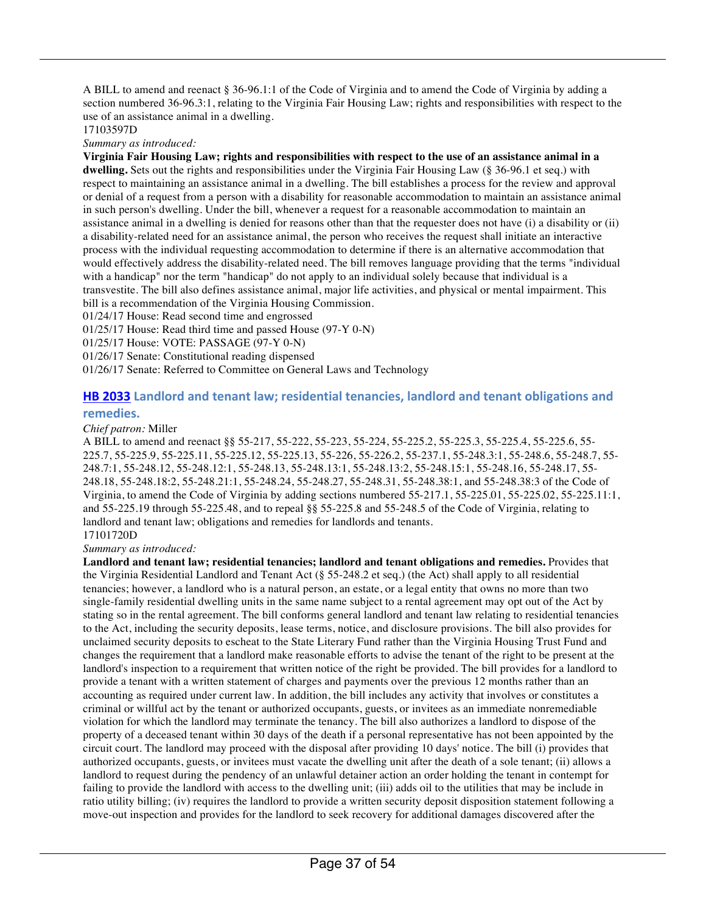A BILL to amend and reenact § 36-96.1:1 of the Code of Virginia and to amend the Code of Virginia by adding a section numbered 36-96.3:1, relating to the Virginia Fair Housing Law; rights and responsibilities with respect to the use of an assistance animal in a dwelling.

#### 17103597D

*Summary as introduced:*

**Virginia Fair Housing Law; rights and responsibilities with respect to the use of an assistance animal in a dwelling.** Sets out the rights and responsibilities under the Virginia Fair Housing Law (§ 36-96.1 et seq.) with respect to maintaining an assistance animal in a dwelling. The bill establishes a process for the review and approval or denial of a request from a person with a disability for reasonable accommodation to maintain an assistance animal in such person's dwelling. Under the bill, whenever a request for a reasonable accommodation to maintain an assistance animal in a dwelling is denied for reasons other than that the requester does not have (i) a disability or (ii) a disability-related need for an assistance animal, the person who receives the request shall initiate an interactive process with the individual requesting accommodation to determine if there is an alternative accommodation that would effectively address the disability-related need. The bill removes language providing that the terms "individual with a handicap" nor the term "handicap" do not apply to an individual solely because that individual is a transvestite. The bill also defines assistance animal, major life activities, and physical or mental impairment. This bill is a recommendation of the Virginia Housing Commission.

01/24/17 House: Read second time and engrossed

01/25/17 House: Read third time and passed House (97-Y 0-N)

01/25/17 House: VOTE: PASSAGE (97-Y 0-N)

01/26/17 Senate: Constitutional reading dispensed

01/26/17 Senate: Referred to Committee on General Laws and Technology

#### **HB 2033** Landlord and tenant law; residential tenancies, landlord and tenant obligations and **remedies.**

#### *Chief patron:* Miller

A BILL to amend and reenact §§ 55-217, 55-222, 55-223, 55-224, 55-225.2, 55-225.3, 55-225.4, 55-225.6, 55- 225.7, 55-225.9, 55-225.11, 55-225.12, 55-225.13, 55-226, 55-226.2, 55-237.1, 55-248.3:1, 55-248.6, 55-248.7, 55- 248.7:1, 55-248.12, 55-248.12:1, 55-248.13, 55-248.13:1, 55-248.13:2, 55-248.15:1, 55-248.16, 55-248.17, 55- 248.18, 55-248.18:2, 55-248.21:1, 55-248.24, 55-248.27, 55-248.31, 55-248.38:1, and 55-248.38:3 of the Code of Virginia, to amend the Code of Virginia by adding sections numbered 55-217.1, 55-225.01, 55-225.02, 55-225.11:1, and 55-225.19 through 55-225.48, and to repeal §§ 55-225.8 and 55-248.5 of the Code of Virginia, relating to landlord and tenant law; obligations and remedies for landlords and tenants. 17101720D

#### *Summary as introduced:*

**Landlord and tenant law; residential tenancies; landlord and tenant obligations and remedies.** Provides that the Virginia Residential Landlord and Tenant Act (§ 55-248.2 et seq.) (the Act) shall apply to all residential tenancies; however, a landlord who is a natural person, an estate, or a legal entity that owns no more than two single-family residential dwelling units in the same name subject to a rental agreement may opt out of the Act by stating so in the rental agreement. The bill conforms general landlord and tenant law relating to residential tenancies to the Act, including the security deposits, lease terms, notice, and disclosure provisions. The bill also provides for unclaimed security deposits to escheat to the State Literary Fund rather than the Virginia Housing Trust Fund and changes the requirement that a landlord make reasonable efforts to advise the tenant of the right to be present at the landlord's inspection to a requirement that written notice of the right be provided. The bill provides for a landlord to provide a tenant with a written statement of charges and payments over the previous 12 months rather than an accounting as required under current law. In addition, the bill includes any activity that involves or constitutes a criminal or willful act by the tenant or authorized occupants, guests, or invitees as an immediate nonremediable violation for which the landlord may terminate the tenancy. The bill also authorizes a landlord to dispose of the property of a deceased tenant within 30 days of the death if a personal representative has not been appointed by the circuit court. The landlord may proceed with the disposal after providing 10 days' notice. The bill (i) provides that authorized occupants, guests, or invitees must vacate the dwelling unit after the death of a sole tenant; (ii) allows a landlord to request during the pendency of an unlawful detainer action an order holding the tenant in contempt for failing to provide the landlord with access to the dwelling unit; (iii) adds oil to the utilities that may be include in ratio utility billing; (iv) requires the landlord to provide a written security deposit disposition statement following a move-out inspection and provides for the landlord to seek recovery for additional damages discovered after the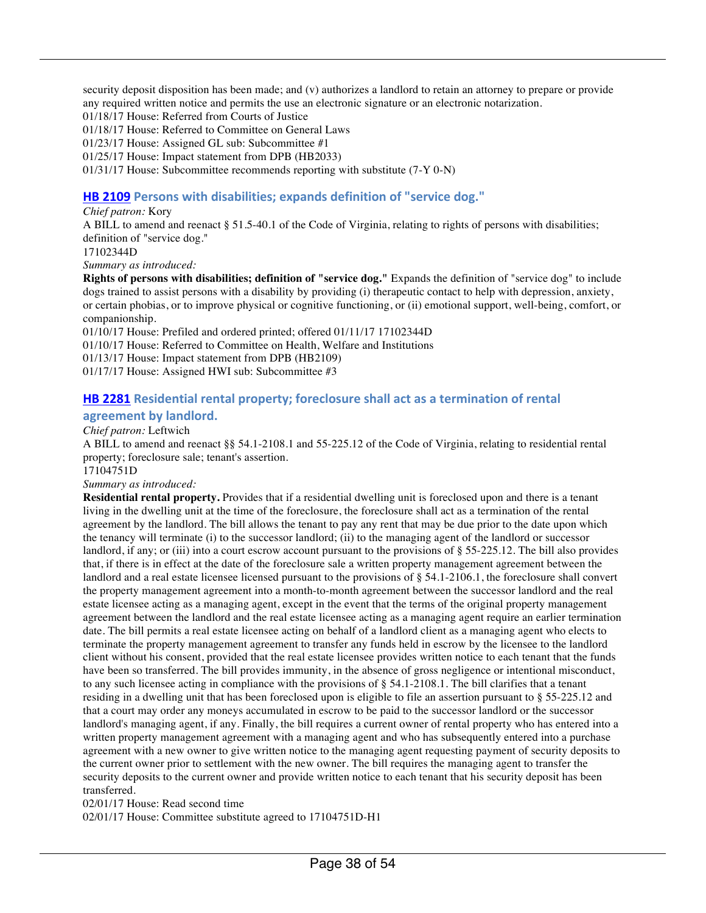security deposit disposition has been made; and (v) authorizes a landlord to retain an attorney to prepare or provide any required written notice and permits the use an electronic signature or an electronic notarization.

01/18/17 House: Referred from Courts of Justice

01/18/17 House: Referred to Committee on General Laws

01/23/17 House: Assigned GL sub: Subcommittee #1

01/25/17 House: Impact statement from DPB (HB2033)

01/31/17 House: Subcommittee recommends reporting with substitute (7-Y 0-N)

#### **HB 2109** Persons with disabilities; expands definition of "service dog."

#### *Chief patron:* Kory

A BILL to amend and reenact § 51.5-40.1 of the Code of Virginia, relating to rights of persons with disabilities; definition of "service dog."

17102344D

*Summary as introduced:*

**Rights of persons with disabilities; definition of "service dog."** Expands the definition of "service dog" to include dogs trained to assist persons with a disability by providing (i) therapeutic contact to help with depression, anxiety, or certain phobias, or to improve physical or cognitive functioning, or (ii) emotional support, well-being, comfort, or companionship.

01/10/17 House: Prefiled and ordered printed; offered 01/11/17 17102344D 01/10/17 House: Referred to Committee on Health, Welfare and Institutions 01/13/17 House: Impact statement from DPB (HB2109) 01/17/17 House: Assigned HWI sub: Subcommittee #3

#### **HB 2281** Residential rental property; foreclosure shall act as a termination of rental

#### agreement by landlord.

#### *Chief patron:* Leftwich

A BILL to amend and reenact §§ 54.1-2108.1 and 55-225.12 of the Code of Virginia, relating to residential rental property; foreclosure sale; tenant's assertion.

17104751D

#### *Summary as introduced:*

**Residential rental property.** Provides that if a residential dwelling unit is foreclosed upon and there is a tenant living in the dwelling unit at the time of the foreclosure, the foreclosure shall act as a termination of the rental agreement by the landlord. The bill allows the tenant to pay any rent that may be due prior to the date upon which the tenancy will terminate (i) to the successor landlord; (ii) to the managing agent of the landlord or successor landlord, if any; or (iii) into a court escrow account pursuant to the provisions of § 55-225.12. The bill also provides that, if there is in effect at the date of the foreclosure sale a written property management agreement between the landlord and a real estate licensee licensed pursuant to the provisions of § 54.1-2106.1, the foreclosure shall convert the property management agreement into a month-to-month agreement between the successor landlord and the real estate licensee acting as a managing agent, except in the event that the terms of the original property management agreement between the landlord and the real estate licensee acting as a managing agent require an earlier termination date. The bill permits a real estate licensee acting on behalf of a landlord client as a managing agent who elects to terminate the property management agreement to transfer any funds held in escrow by the licensee to the landlord client without his consent, provided that the real estate licensee provides written notice to each tenant that the funds have been so transferred. The bill provides immunity, in the absence of gross negligence or intentional misconduct, to any such licensee acting in compliance with the provisions of  $\S$  54.1-2108.1. The bill clarifies that a tenant residing in a dwelling unit that has been foreclosed upon is eligible to file an assertion pursuant to § 55-225.12 and that a court may order any moneys accumulated in escrow to be paid to the successor landlord or the successor landlord's managing agent, if any. Finally, the bill requires a current owner of rental property who has entered into a written property management agreement with a managing agent and who has subsequently entered into a purchase agreement with a new owner to give written notice to the managing agent requesting payment of security deposits to the current owner prior to settlement with the new owner. The bill requires the managing agent to transfer the security deposits to the current owner and provide written notice to each tenant that his security deposit has been transferred.

02/01/17 House: Read second time

02/01/17 House: Committee substitute agreed to 17104751D-H1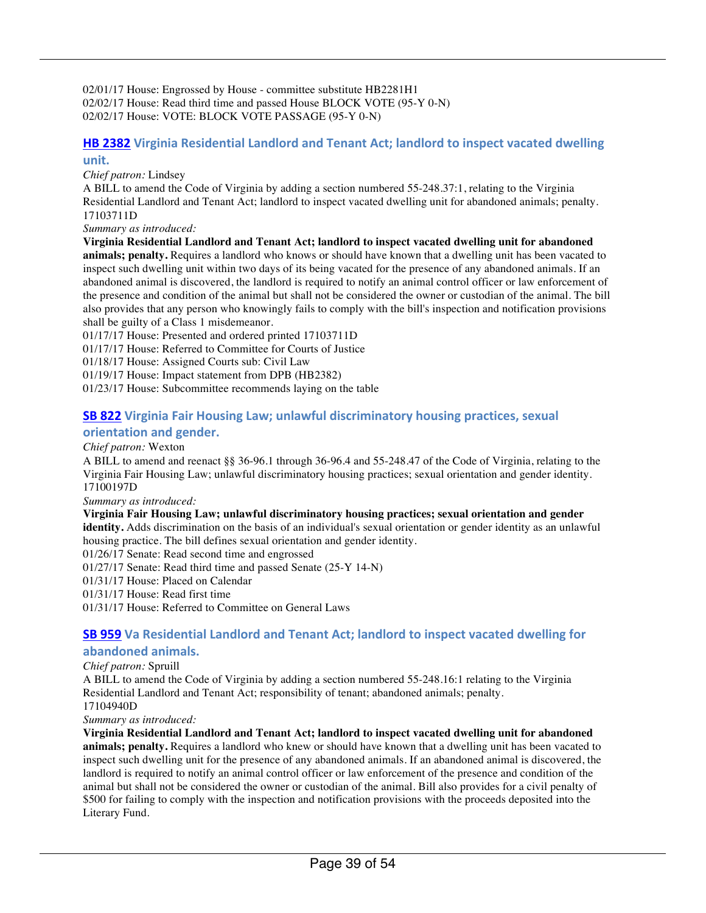02/01/17 House: Engrossed by House - committee substitute HB2281H1 02/02/17 House: Read third time and passed House BLOCK VOTE (95-Y 0-N) 02/02/17 House: VOTE: BLOCK VOTE PASSAGE (95-Y 0-N)

#### **HB 2382** Virginia Residential Landlord and Tenant Act; landlord to inspect vacated dwelling **unit.**

*Chief patron:* Lindsey

A BILL to amend the Code of Virginia by adding a section numbered 55-248.37:1, relating to the Virginia Residential Landlord and Tenant Act; landlord to inspect vacated dwelling unit for abandoned animals; penalty. 17103711D

*Summary as introduced:*

**Virginia Residential Landlord and Tenant Act; landlord to inspect vacated dwelling unit for abandoned animals; penalty.** Requires a landlord who knows or should have known that a dwelling unit has been vacated to inspect such dwelling unit within two days of its being vacated for the presence of any abandoned animals. If an abandoned animal is discovered, the landlord is required to notify an animal control officer or law enforcement of the presence and condition of the animal but shall not be considered the owner or custodian of the animal. The bill also provides that any person who knowingly fails to comply with the bill's inspection and notification provisions shall be guilty of a Class 1 misdemeanor.

01/17/17 House: Presented and ordered printed 17103711D

01/17/17 House: Referred to Committee for Courts of Justice

01/18/17 House: Assigned Courts sub: Civil Law

01/19/17 House: Impact statement from DPB (HB2382)

01/23/17 House: Subcommittee recommends laying on the table

#### **SB 822** Virginia Fair Housing Law; unlawful discriminatory housing practices, sexual **orientation and gender.**

#### *Chief patron:* Wexton

A BILL to amend and reenact §§ 36-96.1 through 36-96.4 and 55-248.47 of the Code of Virginia, relating to the Virginia Fair Housing Law; unlawful discriminatory housing practices; sexual orientation and gender identity. 17100197D

*Summary as introduced:*

#### **Virginia Fair Housing Law; unlawful discriminatory housing practices; sexual orientation and gender**

**identity.** Adds discrimination on the basis of an individual's sexual orientation or gender identity as an unlawful housing practice. The bill defines sexual orientation and gender identity.

01/26/17 Senate: Read second time and engrossed

01/27/17 Senate: Read third time and passed Senate (25-Y 14-N)

01/31/17 House: Placed on Calendar

01/31/17 House: Read first time

01/31/17 House: Referred to Committee on General Laws

#### **SB 959** Va Residential Landlord and Tenant Act; landlord to inspect vacated dwelling for **abandoned animals.**

#### *Chief patron:* Spruill

A BILL to amend the Code of Virginia by adding a section numbered 55-248.16:1 relating to the Virginia Residential Landlord and Tenant Act; responsibility of tenant; abandoned animals; penalty. 17104940D

#### *Summary as introduced:*

**Virginia Residential Landlord and Tenant Act; landlord to inspect vacated dwelling unit for abandoned animals; penalty.** Requires a landlord who knew or should have known that a dwelling unit has been vacated to inspect such dwelling unit for the presence of any abandoned animals. If an abandoned animal is discovered, the landlord is required to notify an animal control officer or law enforcement of the presence and condition of the animal but shall not be considered the owner or custodian of the animal. Bill also provides for a civil penalty of \$500 for failing to comply with the inspection and notification provisions with the proceeds deposited into the Literary Fund.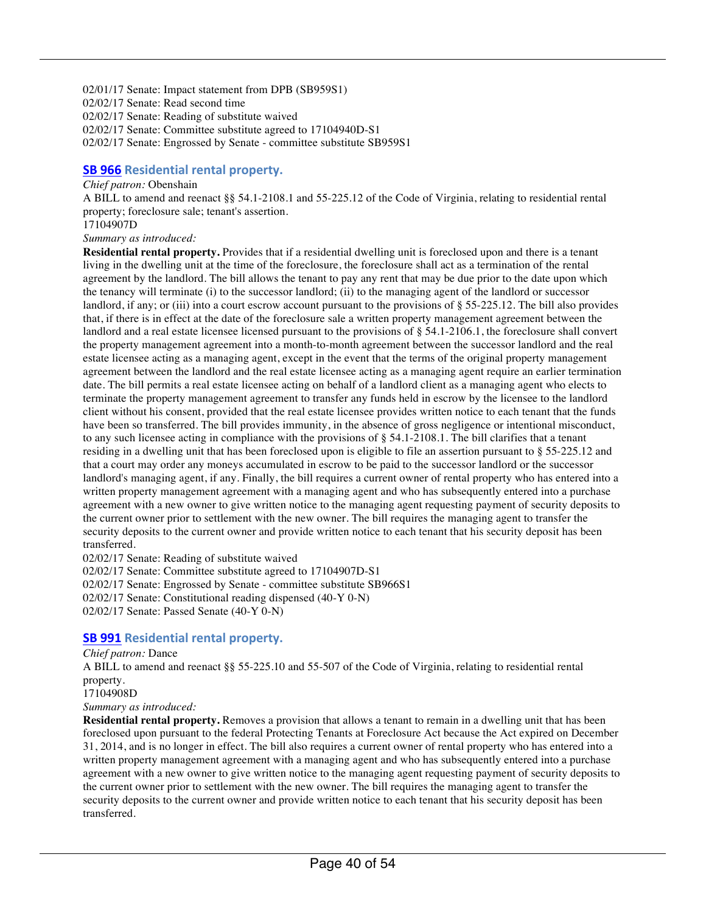02/01/17 Senate: Impact statement from DPB (SB959S1) 02/02/17 Senate: Read second time 02/02/17 Senate: Reading of substitute waived 02/02/17 Senate: Committee substitute agreed to 17104940D-S1 02/02/17 Senate: Engrossed by Senate - committee substitute SB959S1

#### **SB 966** Residential rental property.

#### *Chief patron:* Obenshain

A BILL to amend and reenact §§ 54.1-2108.1 and 55-225.12 of the Code of Virginia, relating to residential rental property; foreclosure sale; tenant's assertion.

17104907D

*Summary as introduced:*

**Residential rental property.** Provides that if a residential dwelling unit is foreclosed upon and there is a tenant living in the dwelling unit at the time of the foreclosure, the foreclosure shall act as a termination of the rental agreement by the landlord. The bill allows the tenant to pay any rent that may be due prior to the date upon which the tenancy will terminate (i) to the successor landlord; (ii) to the managing agent of the landlord or successor landlord, if any; or (iii) into a court escrow account pursuant to the provisions of § 55-225.12. The bill also provides that, if there is in effect at the date of the foreclosure sale a written property management agreement between the landlord and a real estate licensee licensed pursuant to the provisions of § 54.1-2106.1, the foreclosure shall convert the property management agreement into a month-to-month agreement between the successor landlord and the real estate licensee acting as a managing agent, except in the event that the terms of the original property management agreement between the landlord and the real estate licensee acting as a managing agent require an earlier termination date. The bill permits a real estate licensee acting on behalf of a landlord client as a managing agent who elects to terminate the property management agreement to transfer any funds held in escrow by the licensee to the landlord client without his consent, provided that the real estate licensee provides written notice to each tenant that the funds have been so transferred. The bill provides immunity, in the absence of gross negligence or intentional misconduct, to any such licensee acting in compliance with the provisions of  $\S$  54.1-2108.1. The bill clarifies that a tenant residing in a dwelling unit that has been foreclosed upon is eligible to file an assertion pursuant to § 55-225.12 and that a court may order any moneys accumulated in escrow to be paid to the successor landlord or the successor landlord's managing agent, if any. Finally, the bill requires a current owner of rental property who has entered into a written property management agreement with a managing agent and who has subsequently entered into a purchase agreement with a new owner to give written notice to the managing agent requesting payment of security deposits to the current owner prior to settlement with the new owner. The bill requires the managing agent to transfer the security deposits to the current owner and provide written notice to each tenant that his security deposit has been transferred.

02/02/17 Senate: Reading of substitute waived

02/02/17 Senate: Committee substitute agreed to 17104907D-S1

02/02/17 Senate: Engrossed by Senate - committee substitute SB966S1

02/02/17 Senate: Constitutional reading dispensed (40-Y 0-N)

02/02/17 Senate: Passed Senate (40-Y 0-N)

#### **SB 991** Residential rental property.

#### *Chief patron:* Dance

A BILL to amend and reenact §§ 55-225.10 and 55-507 of the Code of Virginia, relating to residential rental property.

17104908D

*Summary as introduced:*

**Residential rental property.** Removes a provision that allows a tenant to remain in a dwelling unit that has been foreclosed upon pursuant to the federal Protecting Tenants at Foreclosure Act because the Act expired on December 31, 2014, and is no longer in effect. The bill also requires a current owner of rental property who has entered into a written property management agreement with a managing agent and who has subsequently entered into a purchase agreement with a new owner to give written notice to the managing agent requesting payment of security deposits to the current owner prior to settlement with the new owner. The bill requires the managing agent to transfer the security deposits to the current owner and provide written notice to each tenant that his security deposit has been transferred.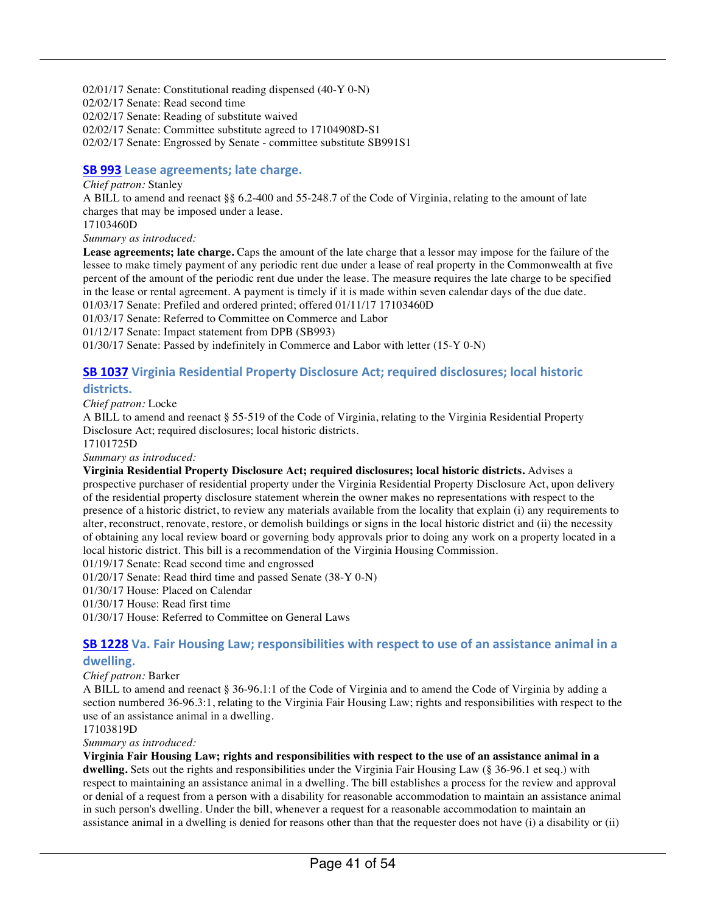02/01/17 Senate: Constitutional reading dispensed (40-Y 0-N) 02/02/17 Senate: Read second time 02/02/17 Senate: Reading of substitute waived 02/02/17 Senate: Committee substitute agreed to 17104908D-S1 02/02/17 Senate: Engrossed by Senate - committee substitute SB991S1

#### **SB 993** Lease agreements; late charge.

#### *Chief patron:* Stanley

A BILL to amend and reenact §§ 6.2-400 and 55-248.7 of the Code of Virginia, relating to the amount of late charges that may be imposed under a lease.

17103460D

*Summary as introduced:*

**Lease agreements; late charge.** Caps the amount of the late charge that a lessor may impose for the failure of the lessee to make timely payment of any periodic rent due under a lease of real property in the Commonwealth at five percent of the amount of the periodic rent due under the lease. The measure requires the late charge to be specified in the lease or rental agreement. A payment is timely if it is made within seven calendar days of the due date.

01/03/17 Senate: Prefiled and ordered printed; offered 01/11/17 17103460D

01/03/17 Senate: Referred to Committee on Commerce and Labor

01/12/17 Senate: Impact statement from DPB (SB993)

01/30/17 Senate: Passed by indefinitely in Commerce and Labor with letter (15-Y 0-N)

### **SB 1037** Virginia Residential Property Disclosure Act; required disclosures; local historic

#### **districts.**

*Chief patron:* Locke

A BILL to amend and reenact § 55-519 of the Code of Virginia, relating to the Virginia Residential Property Disclosure Act; required disclosures; local historic districts.

17101725D

*Summary as introduced:*

**Virginia Residential Property Disclosure Act; required disclosures; local historic districts.** Advises a prospective purchaser of residential property under the Virginia Residential Property Disclosure Act, upon delivery of the residential property disclosure statement wherein the owner makes no representations with respect to the presence of a historic district, to review any materials available from the locality that explain (i) any requirements to alter, reconstruct, renovate, restore, or demolish buildings or signs in the local historic district and (ii) the necessity of obtaining any local review board or governing body approvals prior to doing any work on a property located in a local historic district. This bill is a recommendation of the Virginia Housing Commission.

01/19/17 Senate: Read second time and engrossed

01/20/17 Senate: Read third time and passed Senate (38-Y 0-N)

01/30/17 House: Placed on Calendar

01/30/17 House: Read first time

01/30/17 House: Referred to Committee on General Laws

#### **SB 1228** Va. Fair Housing Law; responsibilities with respect to use of an assistance animal in a **dwelling.**

#### *Chief patron:* Barker

A BILL to amend and reenact § 36-96.1:1 of the Code of Virginia and to amend the Code of Virginia by adding a section numbered 36-96.3:1, relating to the Virginia Fair Housing Law; rights and responsibilities with respect to the use of an assistance animal in a dwelling.

17103819D

*Summary as introduced:*

**Virginia Fair Housing Law; rights and responsibilities with respect to the use of an assistance animal in a dwelling.** Sets out the rights and responsibilities under the Virginia Fair Housing Law (§ 36-96.1 et seq.) with respect to maintaining an assistance animal in a dwelling. The bill establishes a process for the review and approval or denial of a request from a person with a disability for reasonable accommodation to maintain an assistance animal in such person's dwelling. Under the bill, whenever a request for a reasonable accommodation to maintain an assistance animal in a dwelling is denied for reasons other than that the requester does not have (i) a disability or (ii)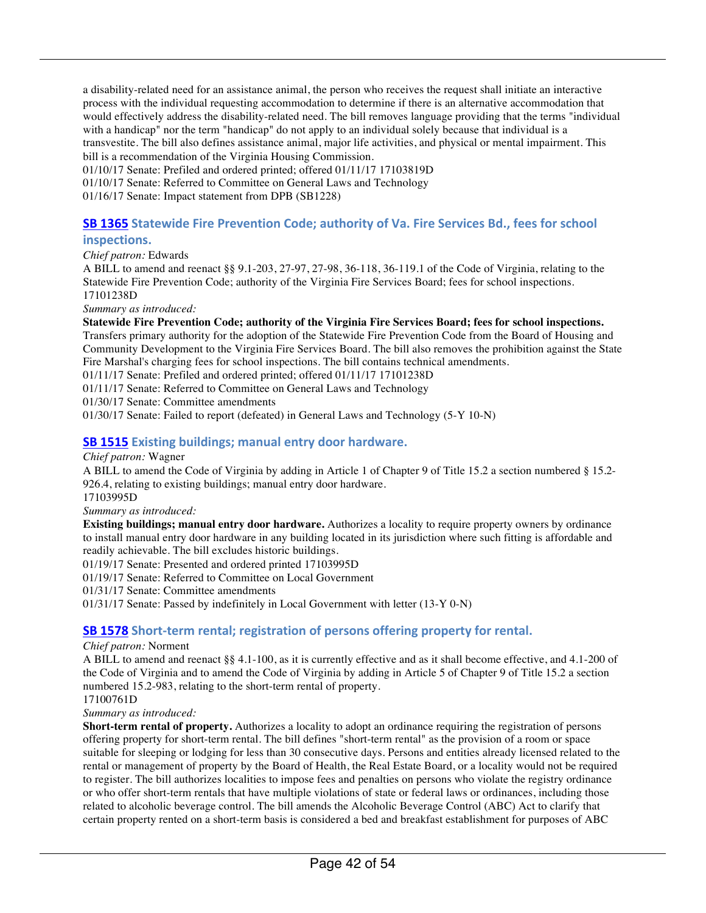a disability-related need for an assistance animal, the person who receives the request shall initiate an interactive process with the individual requesting accommodation to determine if there is an alternative accommodation that would effectively address the disability-related need. The bill removes language providing that the terms "individual with a handicap" nor the term "handicap" do not apply to an individual solely because that individual is a transvestite. The bill also defines assistance animal, major life activities, and physical or mental impairment. This bill is a recommendation of the Virginia Housing Commission.

01/10/17 Senate: Prefiled and ordered printed; offered 01/11/17 17103819D

01/10/17 Senate: Referred to Committee on General Laws and Technology

01/16/17 Senate: Impact statement from DPB (SB1228)

#### **SB 1365** Statewide Fire Prevention Code; authority of Va. Fire Services Bd., fees for school

#### **inspections.**

*Chief patron:* Edwards

A BILL to amend and reenact §§ 9.1-203, 27-97, 27-98, 36-118, 36-119.1 of the Code of Virginia, relating to the Statewide Fire Prevention Code; authority of the Virginia Fire Services Board; fees for school inspections. 17101238D

*Summary as introduced:*

**Statewide Fire Prevention Code; authority of the Virginia Fire Services Board; fees for school inspections.** Transfers primary authority for the adoption of the Statewide Fire Prevention Code from the Board of Housing and Community Development to the Virginia Fire Services Board. The bill also removes the prohibition against the State Fire Marshal's charging fees for school inspections. The bill contains technical amendments.

01/11/17 Senate: Prefiled and ordered printed; offered 01/11/17 17101238D

01/11/17 Senate: Referred to Committee on General Laws and Technology

01/30/17 Senate: Committee amendments

01/30/17 Senate: Failed to report (defeated) in General Laws and Technology (5-Y 10-N)

#### **SB 1515** Existing buildings; manual entry door hardware.

*Chief patron:* Wagner

A BILL to amend the Code of Virginia by adding in Article 1 of Chapter 9 of Title 15.2 a section numbered § 15.2- 926.4, relating to existing buildings; manual entry door hardware.

17103995D

*Summary as introduced:*

**Existing buildings; manual entry door hardware.** Authorizes a locality to require property owners by ordinance to install manual entry door hardware in any building located in its jurisdiction where such fitting is affordable and readily achievable. The bill excludes historic buildings.

01/19/17 Senate: Presented and ordered printed 17103995D

01/19/17 Senate: Referred to Committee on Local Government

01/31/17 Senate: Committee amendments

01/31/17 Senate: Passed by indefinitely in Local Government with letter (13-Y 0-N)

#### **SB 1578** Short-term rental; registration of persons offering property for rental.

#### *Chief patron:* Norment

A BILL to amend and reenact §§ 4.1-100, as it is currently effective and as it shall become effective, and 4.1-200 of the Code of Virginia and to amend the Code of Virginia by adding in Article 5 of Chapter 9 of Title 15.2 a section numbered 15.2-983, relating to the short-term rental of property.

17100761D

#### *Summary as introduced:*

**Short-term rental of property.** Authorizes a locality to adopt an ordinance requiring the registration of persons offering property for short-term rental. The bill defines "short-term rental" as the provision of a room or space suitable for sleeping or lodging for less than 30 consecutive days. Persons and entities already licensed related to the rental or management of property by the Board of Health, the Real Estate Board, or a locality would not be required to register. The bill authorizes localities to impose fees and penalties on persons who violate the registry ordinance or who offer short-term rentals that have multiple violations of state or federal laws or ordinances, including those related to alcoholic beverage control. The bill amends the Alcoholic Beverage Control (ABC) Act to clarify that certain property rented on a short-term basis is considered a bed and breakfast establishment for purposes of ABC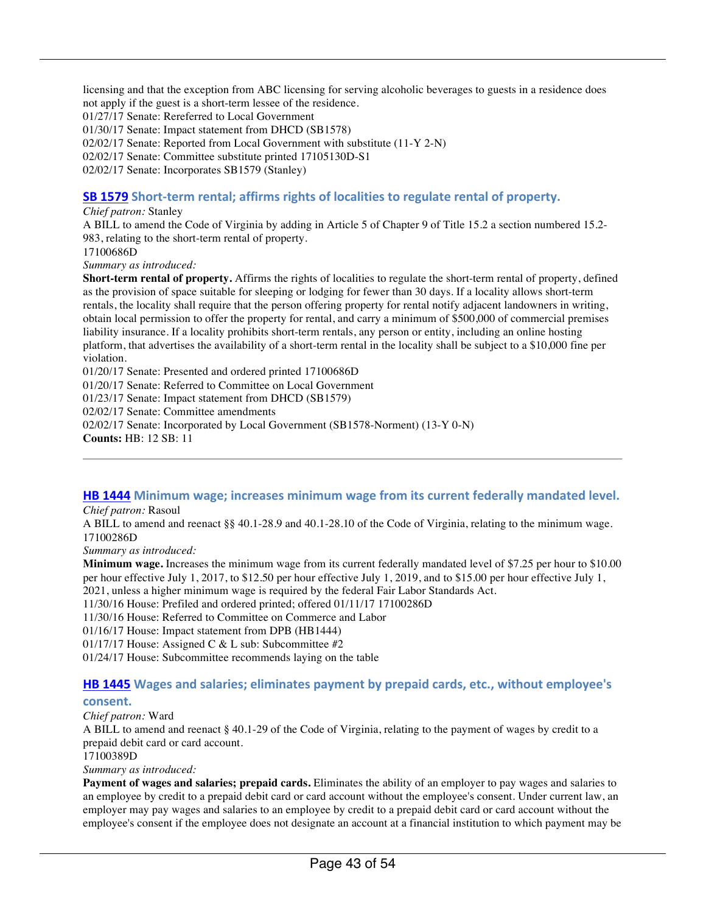licensing and that the exception from ABC licensing for serving alcoholic beverages to guests in a residence does not apply if the guest is a short-term lessee of the residence.

01/27/17 Senate: Rereferred to Local Government

01/30/17 Senate: Impact statement from DHCD (SB1578)

02/02/17 Senate: Reported from Local Government with substitute (11-Y 2-N)

02/02/17 Senate: Committee substitute printed 17105130D-S1

02/02/17 Senate: Incorporates SB1579 (Stanley)

#### **SB 1579** Short-term rental; affirms rights of localities to regulate rental of property.

#### *Chief patron:* Stanley

A BILL to amend the Code of Virginia by adding in Article 5 of Chapter 9 of Title 15.2 a section numbered 15.2- 983, relating to the short-term rental of property.

17100686D

*Summary as introduced:*

**Short-term rental of property.** Affirms the rights of localities to regulate the short-term rental of property, defined as the provision of space suitable for sleeping or lodging for fewer than 30 days. If a locality allows short-term rentals, the locality shall require that the person offering property for rental notify adjacent landowners in writing, obtain local permission to offer the property for rental, and carry a minimum of \$500,000 of commercial premises liability insurance. If a locality prohibits short-term rentals, any person or entity, including an online hosting platform, that advertises the availability of a short-term rental in the locality shall be subject to a \$10,000 fine per violation.

01/20/17 Senate: Presented and ordered printed 17100686D

01/20/17 Senate: Referred to Committee on Local Government

01/23/17 Senate: Impact statement from DHCD (SB1579)

02/02/17 Senate: Committee amendments

02/02/17 Senate: Incorporated by Local Government (SB1578-Norment) (13-Y 0-N)

**Counts:** HB: 12 SB: 11

#### **HB 1444** Minimum wage; increases minimum wage from its current federally mandated level.

*Chief patron:* Rasoul

A BILL to amend and reenact §§ 40.1-28.9 and 40.1-28.10 of the Code of Virginia, relating to the minimum wage. 17100286D

*Summary as introduced:*

**Minimum wage.** Increases the minimum wage from its current federally mandated level of \$7.25 per hour to \$10.00 per hour effective July 1, 2017, to \$12.50 per hour effective July 1, 2019, and to \$15.00 per hour effective July 1,

2021, unless a higher minimum wage is required by the federal Fair Labor Standards Act.

11/30/16 House: Prefiled and ordered printed; offered 01/11/17 17100286D

11/30/16 House: Referred to Committee on Commerce and Labor

01/16/17 House: Impact statement from DPB (HB1444)

01/17/17 House: Assigned C & L sub: Subcommittee #2

01/24/17 House: Subcommittee recommends laying on the table

## **HB 1445** Wages and salaries; eliminates payment by prepaid cards, etc., without employee's

#### **consent.**

#### *Chief patron:* Ward

A BILL to amend and reenact § 40.1-29 of the Code of Virginia, relating to the payment of wages by credit to a prepaid debit card or card account.

17100389D

*Summary as introduced:*

**Payment of wages and salaries; prepaid cards.** Eliminates the ability of an employer to pay wages and salaries to an employee by credit to a prepaid debit card or card account without the employee's consent. Under current law, an employer may pay wages and salaries to an employee by credit to a prepaid debit card or card account without the employee's consent if the employee does not designate an account at a financial institution to which payment may be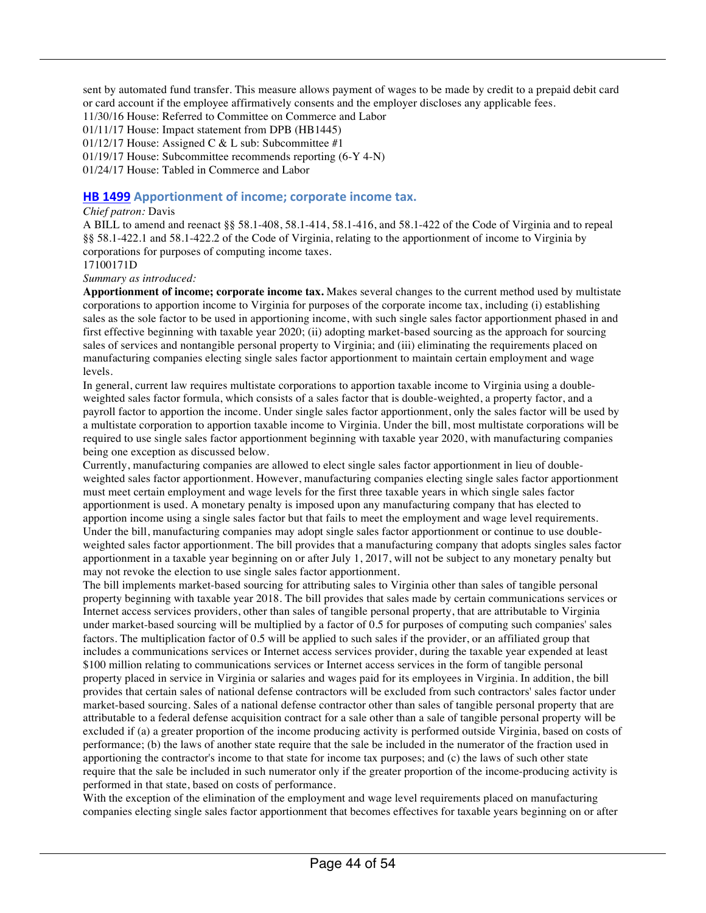sent by automated fund transfer. This measure allows payment of wages to be made by credit to a prepaid debit card or card account if the employee affirmatively consents and the employer discloses any applicable fees.

11/30/16 House: Referred to Committee on Commerce and Labor

01/11/17 House: Impact statement from DPB (HB1445)

01/12/17 House: Assigned C & L sub: Subcommittee  $#1$ 

01/19/17 House: Subcommittee recommends reporting (6-Y 4-N)

01/24/17 House: Tabled in Commerce and Labor

#### **HB 1499** Apportionment of income; corporate income tax.

#### *Chief patron:* Davis

A BILL to amend and reenact §§ 58.1-408, 58.1-414, 58.1-416, and 58.1-422 of the Code of Virginia and to repeal §§ 58.1-422.1 and 58.1-422.2 of the Code of Virginia, relating to the apportionment of income to Virginia by corporations for purposes of computing income taxes.

17100171D

*Summary as introduced:*

**Apportionment of income; corporate income tax.** Makes several changes to the current method used by multistate corporations to apportion income to Virginia for purposes of the corporate income tax, including (i) establishing sales as the sole factor to be used in apportioning income, with such single sales factor apportionment phased in and first effective beginning with taxable year 2020; (ii) adopting market-based sourcing as the approach for sourcing sales of services and nontangible personal property to Virginia; and (iii) eliminating the requirements placed on manufacturing companies electing single sales factor apportionment to maintain certain employment and wage levels.

In general, current law requires multistate corporations to apportion taxable income to Virginia using a doubleweighted sales factor formula, which consists of a sales factor that is double-weighted, a property factor, and a payroll factor to apportion the income. Under single sales factor apportionment, only the sales factor will be used by a multistate corporation to apportion taxable income to Virginia. Under the bill, most multistate corporations will be required to use single sales factor apportionment beginning with taxable year 2020, with manufacturing companies being one exception as discussed below.

Currently, manufacturing companies are allowed to elect single sales factor apportionment in lieu of doubleweighted sales factor apportionment. However, manufacturing companies electing single sales factor apportionment must meet certain employment and wage levels for the first three taxable years in which single sales factor apportionment is used. A monetary penalty is imposed upon any manufacturing company that has elected to apportion income using a single sales factor but that fails to meet the employment and wage level requirements. Under the bill, manufacturing companies may adopt single sales factor apportionment or continue to use doubleweighted sales factor apportionment. The bill provides that a manufacturing company that adopts singles sales factor apportionment in a taxable year beginning on or after July 1, 2017, will not be subject to any monetary penalty but may not revoke the election to use single sales factor apportionment.

The bill implements market-based sourcing for attributing sales to Virginia other than sales of tangible personal property beginning with taxable year 2018. The bill provides that sales made by certain communications services or Internet access services providers, other than sales of tangible personal property, that are attributable to Virginia under market-based sourcing will be multiplied by a factor of 0.5 for purposes of computing such companies' sales factors. The multiplication factor of 0.5 will be applied to such sales if the provider, or an affiliated group that includes a communications services or Internet access services provider, during the taxable year expended at least \$100 million relating to communications services or Internet access services in the form of tangible personal property placed in service in Virginia or salaries and wages paid for its employees in Virginia. In addition, the bill provides that certain sales of national defense contractors will be excluded from such contractors' sales factor under market-based sourcing. Sales of a national defense contractor other than sales of tangible personal property that are attributable to a federal defense acquisition contract for a sale other than a sale of tangible personal property will be excluded if (a) a greater proportion of the income producing activity is performed outside Virginia, based on costs of performance; (b) the laws of another state require that the sale be included in the numerator of the fraction used in apportioning the contractor's income to that state for income tax purposes; and (c) the laws of such other state require that the sale be included in such numerator only if the greater proportion of the income-producing activity is performed in that state, based on costs of performance.

With the exception of the elimination of the employment and wage level requirements placed on manufacturing companies electing single sales factor apportionment that becomes effectives for taxable years beginning on or after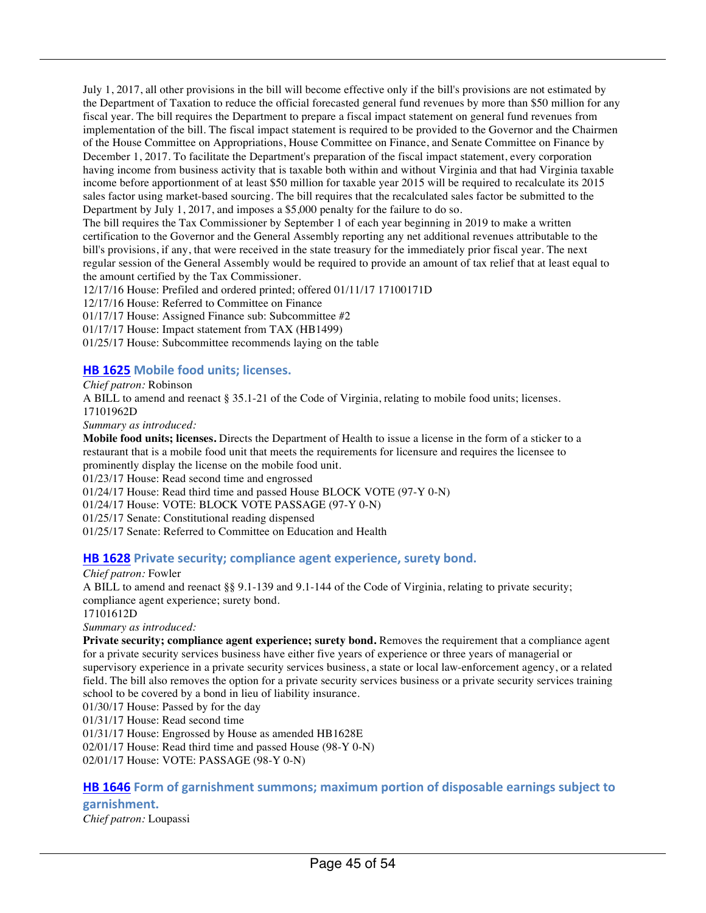July 1, 2017, all other provisions in the bill will become effective only if the bill's provisions are not estimated by the Department of Taxation to reduce the official forecasted general fund revenues by more than \$50 million for any fiscal year. The bill requires the Department to prepare a fiscal impact statement on general fund revenues from implementation of the bill. The fiscal impact statement is required to be provided to the Governor and the Chairmen of the House Committee on Appropriations, House Committee on Finance, and Senate Committee on Finance by December 1, 2017. To facilitate the Department's preparation of the fiscal impact statement, every corporation having income from business activity that is taxable both within and without Virginia and that had Virginia taxable income before apportionment of at least \$50 million for taxable year 2015 will be required to recalculate its 2015 sales factor using market-based sourcing. The bill requires that the recalculated sales factor be submitted to the Department by July 1, 2017, and imposes a \$5,000 penalty for the failure to do so.

The bill requires the Tax Commissioner by September 1 of each year beginning in 2019 to make a written certification to the Governor and the General Assembly reporting any net additional revenues attributable to the bill's provisions, if any, that were received in the state treasury for the immediately prior fiscal year. The next regular session of the General Assembly would be required to provide an amount of tax relief that at least equal to the amount certified by the Tax Commissioner.

12/17/16 House: Prefiled and ordered printed; offered 01/11/17 17100171D

12/17/16 House: Referred to Committee on Finance

01/17/17 House: Assigned Finance sub: Subcommittee #2

01/17/17 House: Impact statement from TAX (HB1499)

01/25/17 House: Subcommittee recommends laying on the table

#### **HB 1625** Mobile food units; licenses.

*Chief patron:* Robinson

A BILL to amend and reenact § 35.1-21 of the Code of Virginia, relating to mobile food units; licenses. 17101962D

*Summary as introduced:*

**Mobile food units; licenses.** Directs the Department of Health to issue a license in the form of a sticker to a restaurant that is a mobile food unit that meets the requirements for licensure and requires the licensee to prominently display the license on the mobile food unit.

01/23/17 House: Read second time and engrossed

01/24/17 House: Read third time and passed House BLOCK VOTE (97-Y 0-N)

01/24/17 House: VOTE: BLOCK VOTE PASSAGE (97-Y 0-N)

01/25/17 Senate: Constitutional reading dispensed

01/25/17 Senate: Referred to Committee on Education and Health

#### **HB 1628** Private security; compliance agent experience, surety bond.

#### *Chief patron:* Fowler

A BILL to amend and reenact §§ 9.1-139 and 9.1-144 of the Code of Virginia, relating to private security; compliance agent experience; surety bond.

17101612D

*Summary as introduced:*

Private security; compliance agent experience; surety bond. Removes the requirement that a compliance agent for a private security services business have either five years of experience or three years of managerial or supervisory experience in a private security services business, a state or local law-enforcement agency, or a related field. The bill also removes the option for a private security services business or a private security services training school to be covered by a bond in lieu of liability insurance.

01/30/17 House: Passed by for the day

01/31/17 House: Read second time

01/31/17 House: Engrossed by House as amended HB1628E

02/01/17 House: Read third time and passed House (98-Y 0-N)

02/01/17 House: VOTE: PASSAGE (98-Y 0-N)

#### **HB 1646** Form of garnishment summons; maximum portion of disposable earnings subject to **garnishment.**

*Chief patron:* Loupassi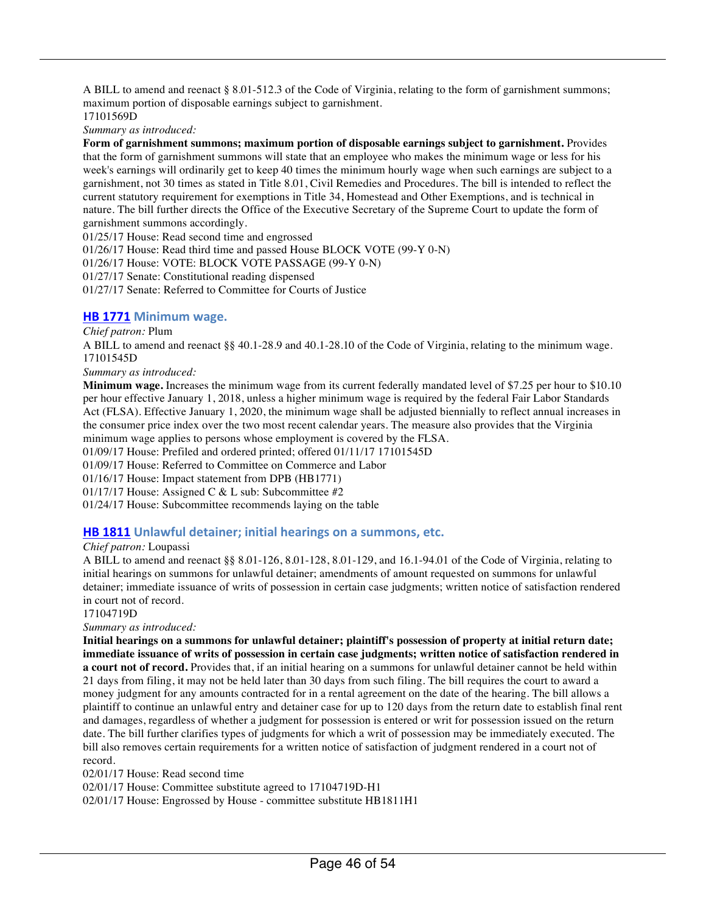A BILL to amend and reenact § 8.01-512.3 of the Code of Virginia, relating to the form of garnishment summons; maximum portion of disposable earnings subject to garnishment. 17101569D

*Summary as introduced:*

**Form of garnishment summons; maximum portion of disposable earnings subject to garnishment.** Provides that the form of garnishment summons will state that an employee who makes the minimum wage or less for his week's earnings will ordinarily get to keep 40 times the minimum hourly wage when such earnings are subject to a garnishment, not 30 times as stated in Title 8.01, Civil Remedies and Procedures. The bill is intended to reflect the current statutory requirement for exemptions in Title 34, Homestead and Other Exemptions, and is technical in nature. The bill further directs the Office of the Executive Secretary of the Supreme Court to update the form of garnishment summons accordingly.

01/25/17 House: Read second time and engrossed

01/26/17 House: Read third time and passed House BLOCK VOTE (99-Y 0-N)

01/26/17 House: VOTE: BLOCK VOTE PASSAGE (99-Y 0-N)

01/27/17 Senate: Constitutional reading dispensed

01/27/17 Senate: Referred to Committee for Courts of Justice

#### **HB 1771 Minimum wage.**

#### *Chief patron:* Plum

A BILL to amend and reenact §§ 40.1-28.9 and 40.1-28.10 of the Code of Virginia, relating to the minimum wage. 17101545D

#### *Summary as introduced:*

**Minimum wage.** Increases the minimum wage from its current federally mandated level of \$7.25 per hour to \$10.10 per hour effective January 1, 2018, unless a higher minimum wage is required by the federal Fair Labor Standards Act (FLSA). Effective January 1, 2020, the minimum wage shall be adjusted biennially to reflect annual increases in the consumer price index over the two most recent calendar years. The measure also provides that the Virginia minimum wage applies to persons whose employment is covered by the FLSA.

01/09/17 House: Prefiled and ordered printed; offered 01/11/17 17101545D

01/09/17 House: Referred to Committee on Commerce and Labor

01/16/17 House: Impact statement from DPB (HB1771)

01/17/17 House: Assigned C & L sub: Subcommittee #2

01/24/17 House: Subcommittee recommends laying on the table

#### **HB 1811** Unlawful detainer; initial hearings on a summons, etc.

#### *Chief patron:* Loupassi

A BILL to amend and reenact §§ 8.01-126, 8.01-128, 8.01-129, and 16.1-94.01 of the Code of Virginia, relating to initial hearings on summons for unlawful detainer; amendments of amount requested on summons for unlawful detainer; immediate issuance of writs of possession in certain case judgments; written notice of satisfaction rendered in court not of record.

17104719D

*Summary as introduced:*

**Initial hearings on a summons for unlawful detainer; plaintiff's possession of property at initial return date; immediate issuance of writs of possession in certain case judgments; written notice of satisfaction rendered in a court not of record.** Provides that, if an initial hearing on a summons for unlawful detainer cannot be held within 21 days from filing, it may not be held later than 30 days from such filing. The bill requires the court to award a money judgment for any amounts contracted for in a rental agreement on the date of the hearing. The bill allows a plaintiff to continue an unlawful entry and detainer case for up to 120 days from the return date to establish final rent and damages, regardless of whether a judgment for possession is entered or writ for possession issued on the return date. The bill further clarifies types of judgments for which a writ of possession may be immediately executed. The bill also removes certain requirements for a written notice of satisfaction of judgment rendered in a court not of record.

02/01/17 House: Read second time

02/01/17 House: Committee substitute agreed to 17104719D-H1

02/01/17 House: Engrossed by House - committee substitute HB1811H1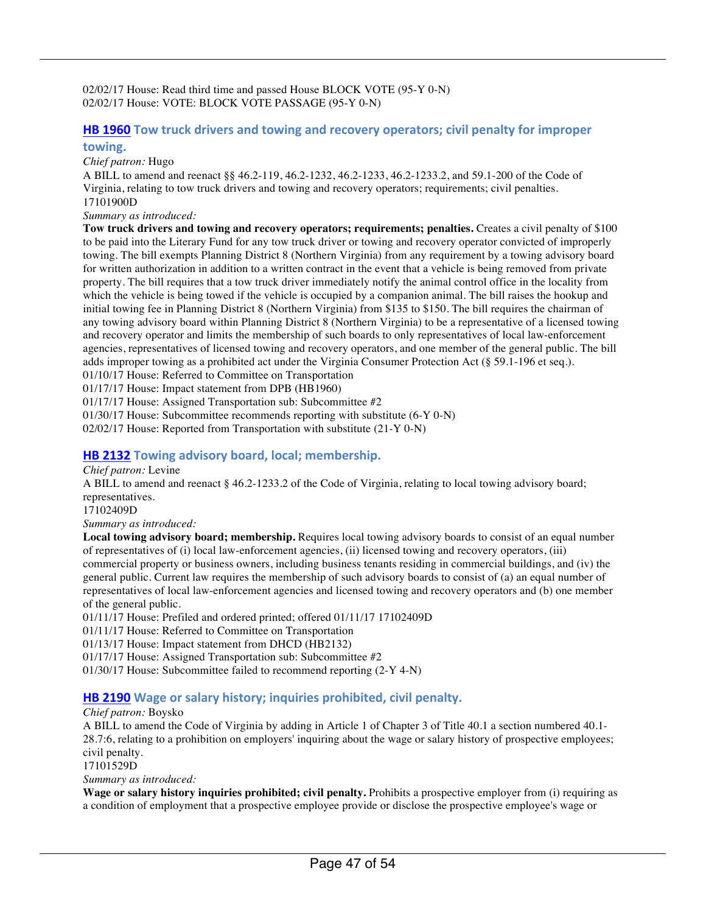02/02/17 House: Read third time and passed House BLOCK VOTE (95-Y 0-N) 02/02/17 House: VOTE: BLOCK VOTE PASSAGE (95-Y 0-N)

#### **HB 1960** Tow truck drivers and towing and recovery operators; civil penalty for improper **towing.**

*Chief patron:* Hugo

A BILL to amend and reenact §§ 46.2-119, 46.2-1232, 46.2-1233, 46.2-1233.2, and 59.1-200 of the Code of Virginia, relating to tow truck drivers and towing and recovery operators; requirements; civil penalties. 17101900D

*Summary as introduced:*

**Tow truck drivers and towing and recovery operators; requirements; penalties.** Creates a civil penalty of \$100 to be paid into the Literary Fund for any tow truck driver or towing and recovery operator convicted of improperly towing. The bill exempts Planning District 8 (Northern Virginia) from any requirement by a towing advisory board for written authorization in addition to a written contract in the event that a vehicle is being removed from private property. The bill requires that a tow truck driver immediately notify the animal control office in the locality from which the vehicle is being towed if the vehicle is occupied by a companion animal. The bill raises the hookup and initial towing fee in Planning District 8 (Northern Virginia) from \$135 to \$150. The bill requires the chairman of any towing advisory board within Planning District 8 (Northern Virginia) to be a representative of a licensed towing and recovery operator and limits the membership of such boards to only representatives of local law-enforcement agencies, representatives of licensed towing and recovery operators, and one member of the general public. The bill adds improper towing as a prohibited act under the Virginia Consumer Protection Act (§ 59.1-196 et seq.). 01/10/17 House: Referred to Committee on Transportation

01/17/17 House: Impact statement from DPB (HB1960)

01/17/17 House: Assigned Transportation sub: Subcommittee #2

01/30/17 House: Subcommittee recommends reporting with substitute (6-Y 0-N)

02/02/17 House: Reported from Transportation with substitute (21-Y 0-N)

#### **HB 2132** Towing advisory board, local; membership.

#### *Chief patron:* Levine

A BILL to amend and reenact § 46.2-1233.2 of the Code of Virginia, relating to local towing advisory board; representatives.

17102409D

*Summary as introduced:*

**Local towing advisory board; membership.** Requires local towing advisory boards to consist of an equal number of representatives of (i) local law-enforcement agencies, (ii) licensed towing and recovery operators, (iii) commercial property or business owners, including business tenants residing in commercial buildings, and (iv) the general public. Current law requires the membership of such advisory boards to consist of (a) an equal number of representatives of local law-enforcement agencies and licensed towing and recovery operators and (b) one member of the general public.

01/11/17 House: Prefiled and ordered printed; offered 01/11/17 17102409D

01/11/17 House: Referred to Committee on Transportation

01/13/17 House: Impact statement from DHCD (HB2132)

01/17/17 House: Assigned Transportation sub: Subcommittee #2

01/30/17 House: Subcommittee failed to recommend reporting (2-Y 4-N)

#### **HB 2190** Wage or salary history; inquiries prohibited, civil penalty.

*Chief patron:* Boysko

A BILL to amend the Code of Virginia by adding in Article 1 of Chapter 3 of Title 40.1 a section numbered 40.1- 28.7:6, relating to a prohibition on employers' inquiring about the wage or salary history of prospective employees; civil penalty.

17101529D

*Summary as introduced:*

**Wage or salary history inquiries prohibited; civil penalty.** Prohibits a prospective employer from (i) requiring as a condition of employment that a prospective employee provide or disclose the prospective employee's wage or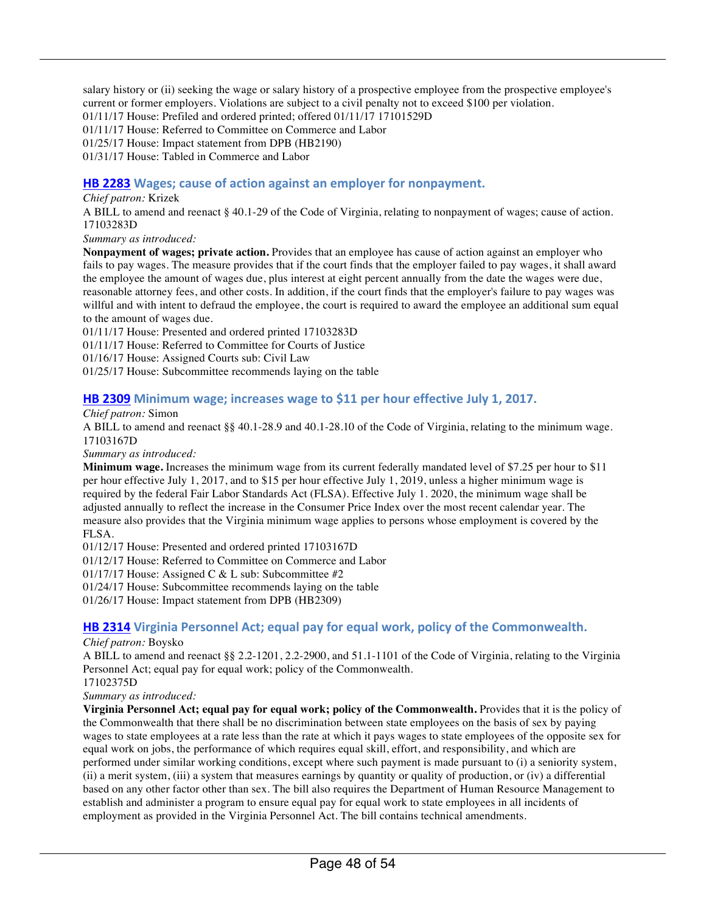salary history or (ii) seeking the wage or salary history of a prospective employee from the prospective employee's current or former employers. Violations are subject to a civil penalty not to exceed \$100 per violation. 01/11/17 House: Prefiled and ordered printed; offered 01/11/17 17101529D 01/11/17 House: Referred to Committee on Commerce and Labor 01/25/17 House: Impact statement from DPB (HB2190) 01/31/17 House: Tabled in Commerce and Labor

#### **HB 2283** Wages; cause of action against an employer for nonpayment.

#### *Chief patron:* Krizek

A BILL to amend and reenact § 40.1-29 of the Code of Virginia, relating to nonpayment of wages; cause of action. 17103283D

*Summary as introduced:*

**Nonpayment of wages; private action.** Provides that an employee has cause of action against an employer who fails to pay wages. The measure provides that if the court finds that the employer failed to pay wages, it shall award the employee the amount of wages due, plus interest at eight percent annually from the date the wages were due, reasonable attorney fees, and other costs. In addition, if the court finds that the employer's failure to pay wages was willful and with intent to defraud the employee, the court is required to award the employee an additional sum equal to the amount of wages due.

01/11/17 House: Presented and ordered printed 17103283D

01/11/17 House: Referred to Committee for Courts of Justice

01/16/17 House: Assigned Courts sub: Civil Law

01/25/17 House: Subcommittee recommends laying on the table

#### **HB 2309** Minimum wage; increases wage to \$11 per hour effective July 1, 2017.

*Chief patron:* Simon

A BILL to amend and reenact §§ 40.1-28.9 and 40.1-28.10 of the Code of Virginia, relating to the minimum wage. 17103167D

*Summary as introduced:*

**Minimum wage.** Increases the minimum wage from its current federally mandated level of \$7.25 per hour to \$11 per hour effective July 1, 2017, and to \$15 per hour effective July 1, 2019, unless a higher minimum wage is required by the federal Fair Labor Standards Act (FLSA). Effective July 1. 2020, the minimum wage shall be adjusted annually to reflect the increase in the Consumer Price Index over the most recent calendar year. The measure also provides that the Virginia minimum wage applies to persons whose employment is covered by the FLSA.

01/12/17 House: Presented and ordered printed 17103167D

01/12/17 House: Referred to Committee on Commerce and Labor

01/17/17 House: Assigned C & L sub: Subcommittee #2

01/24/17 House: Subcommittee recommends laying on the table

01/26/17 House: Impact statement from DPB (HB2309)

#### **HB 2314** Virginia Personnel Act; equal pay for equal work, policy of the Commonwealth.

#### *Chief patron:* Boysko

A BILL to amend and reenact §§ 2.2-1201, 2.2-2900, and 51.1-1101 of the Code of Virginia, relating to the Virginia Personnel Act; equal pay for equal work; policy of the Commonwealth.

17102375D

*Summary as introduced:*

**Virginia Personnel Act; equal pay for equal work; policy of the Commonwealth.** Provides that it is the policy of the Commonwealth that there shall be no discrimination between state employees on the basis of sex by paying wages to state employees at a rate less than the rate at which it pays wages to state employees of the opposite sex for equal work on jobs, the performance of which requires equal skill, effort, and responsibility, and which are performed under similar working conditions, except where such payment is made pursuant to (i) a seniority system, (ii) a merit system, (iii) a system that measures earnings by quantity or quality of production, or (iv) a differential based on any other factor other than sex. The bill also requires the Department of Human Resource Management to establish and administer a program to ensure equal pay for equal work to state employees in all incidents of employment as provided in the Virginia Personnel Act. The bill contains technical amendments.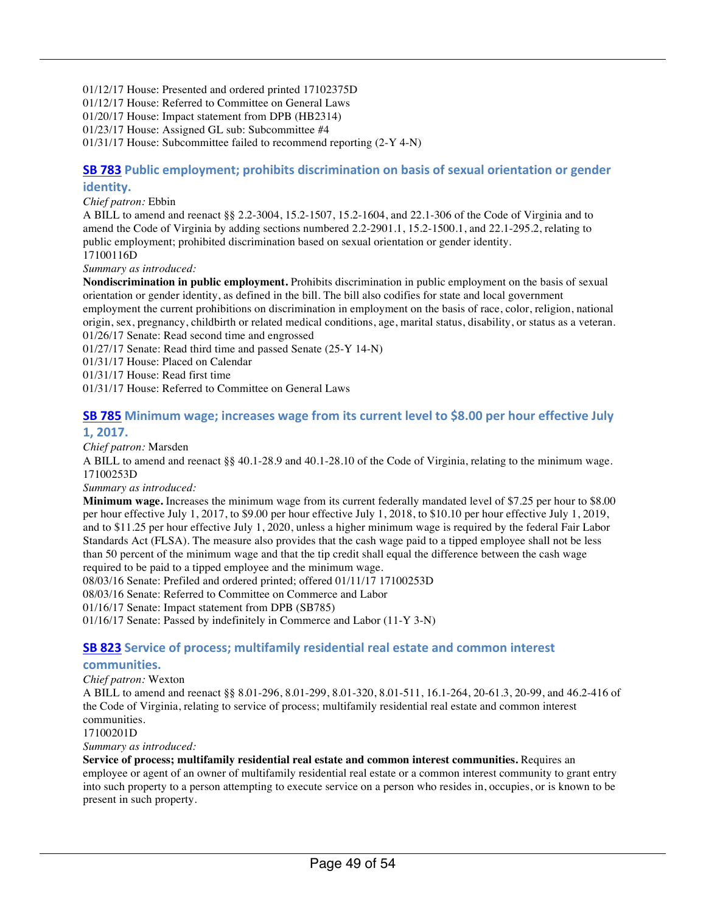01/12/17 House: Presented and ordered printed 17102375D

01/12/17 House: Referred to Committee on General Laws

01/20/17 House: Impact statement from DPB (HB2314)

01/23/17 House: Assigned GL sub: Subcommittee #4

01/31/17 House: Subcommittee failed to recommend reporting (2-Y 4-N)

#### **SB 783** Public employment; prohibits discrimination on basis of sexual orientation or gender **identity.**

*Chief patron:* Ebbin

A BILL to amend and reenact §§ 2.2-3004, 15.2-1507, 15.2-1604, and 22.1-306 of the Code of Virginia and to amend the Code of Virginia by adding sections numbered 2.2-2901.1, 15.2-1500.1, and 22.1-295.2, relating to public employment; prohibited discrimination based on sexual orientation or gender identity. 17100116D

*Summary as introduced:*

**Nondiscrimination in public employment.** Prohibits discrimination in public employment on the basis of sexual orientation or gender identity, as defined in the bill. The bill also codifies for state and local government employment the current prohibitions on discrimination in employment on the basis of race, color, religion, national origin, sex, pregnancy, childbirth or related medical conditions, age, marital status, disability, or status as a veteran. 01/26/17 Senate: Read second time and engrossed

01/27/17 Senate: Read third time and passed Senate (25-Y 14-N)

01/31/17 House: Placed on Calendar

01/31/17 House: Read first time

01/31/17 House: Referred to Committee on General Laws

#### **SB 785** Minimum wage; increases wage from its current level to \$8.00 per hour effective July **1, 2017.**

#### *Chief patron:* Marsden

A BILL to amend and reenact §§ 40.1-28.9 and 40.1-28.10 of the Code of Virginia, relating to the minimum wage. 17100253D

*Summary as introduced:*

**Minimum wage.** Increases the minimum wage from its current federally mandated level of \$7.25 per hour to \$8.00 per hour effective July 1, 2017, to \$9.00 per hour effective July 1, 2018, to \$10.10 per hour effective July 1, 2019, and to \$11.25 per hour effective July 1, 2020, unless a higher minimum wage is required by the federal Fair Labor Standards Act (FLSA). The measure also provides that the cash wage paid to a tipped employee shall not be less than 50 percent of the minimum wage and that the tip credit shall equal the difference between the cash wage required to be paid to a tipped employee and the minimum wage.

08/03/16 Senate: Prefiled and ordered printed; offered 01/11/17 17100253D

08/03/16 Senate: Referred to Committee on Commerce and Labor

01/16/17 Senate: Impact statement from DPB (SB785)

01/16/17 Senate: Passed by indefinitely in Commerce and Labor (11-Y 3-N)

#### **SB 823 Service of process; multifamily residential real estate and common interest**

#### **communities.**

#### *Chief patron:* Wexton

A BILL to amend and reenact §§ 8.01-296, 8.01-299, 8.01-320, 8.01-511, 16.1-264, 20-61.3, 20-99, and 46.2-416 of the Code of Virginia, relating to service of process; multifamily residential real estate and common interest communities.

17100201D

*Summary as introduced:*

**Service of process; multifamily residential real estate and common interest communities.** Requires an employee or agent of an owner of multifamily residential real estate or a common interest community to grant entry into such property to a person attempting to execute service on a person who resides in, occupies, or is known to be present in such property.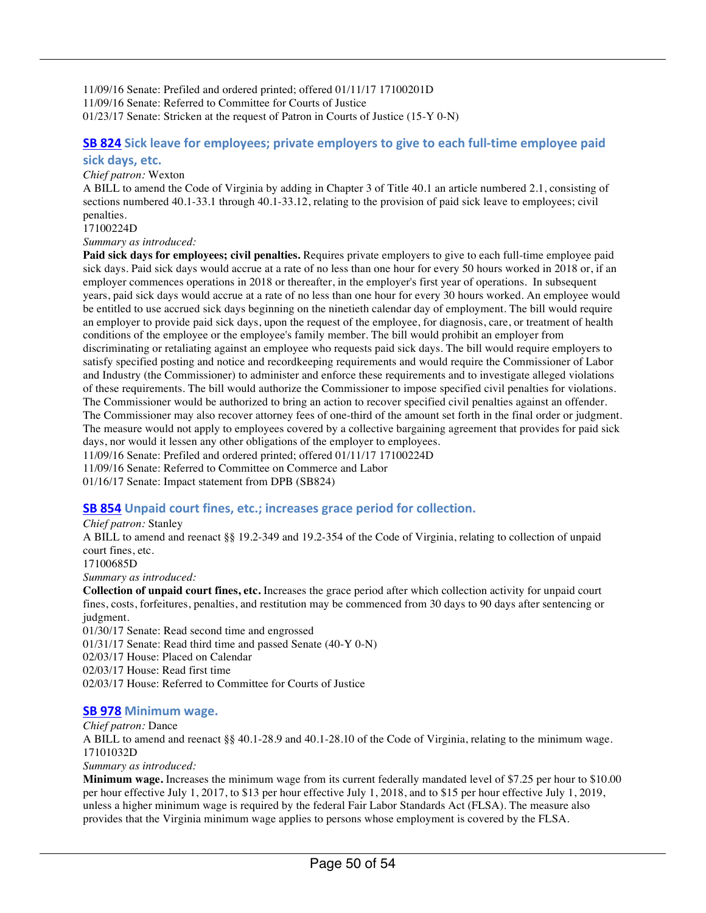11/09/16 Senate: Prefiled and ordered printed; offered 01/11/17 17100201D 11/09/16 Senate: Referred to Committee for Courts of Justice 01/23/17 Senate: Stricken at the request of Patron in Courts of Justice (15-Y 0-N)

#### **SB 824** Sick leave for employees; private employers to give to each full-time employee paid sick days, etc.

#### *Chief patron:* Wexton

A BILL to amend the Code of Virginia by adding in Chapter 3 of Title 40.1 an article numbered 2.1, consisting of sections numbered 40.1-33.1 through 40.1-33.12, relating to the provision of paid sick leave to employees; civil penalties.

#### 17100224D

#### *Summary as introduced:*

**Paid sick days for employees; civil penalties.** Requires private employers to give to each full-time employee paid sick days. Paid sick days would accrue at a rate of no less than one hour for every 50 hours worked in 2018 or, if an employer commences operations in 2018 or thereafter, in the employer's first year of operations. In subsequent years, paid sick days would accrue at a rate of no less than one hour for every 30 hours worked. An employee would be entitled to use accrued sick days beginning on the ninetieth calendar day of employment. The bill would require an employer to provide paid sick days, upon the request of the employee, for diagnosis, care, or treatment of health conditions of the employee or the employee's family member. The bill would prohibit an employer from discriminating or retaliating against an employee who requests paid sick days. The bill would require employers to satisfy specified posting and notice and recordkeeping requirements and would require the Commissioner of Labor and Industry (the Commissioner) to administer and enforce these requirements and to investigate alleged violations of these requirements. The bill would authorize the Commissioner to impose specified civil penalties for violations. The Commissioner would be authorized to bring an action to recover specified civil penalties against an offender. The Commissioner may also recover attorney fees of one-third of the amount set forth in the final order or judgment. The measure would not apply to employees covered by a collective bargaining agreement that provides for paid sick days, nor would it lessen any other obligations of the employer to employees.

11/09/16 Senate: Prefiled and ordered printed; offered 01/11/17 17100224D

11/09/16 Senate: Referred to Committee on Commerce and Labor

01/16/17 Senate: Impact statement from DPB (SB824)

#### **SB 854** Unpaid court fines, etc.; increases grace period for collection.

#### *Chief patron:* Stanley

A BILL to amend and reenact §§ 19.2-349 and 19.2-354 of the Code of Virginia, relating to collection of unpaid court fines, etc.

17100685D

*Summary as introduced:*

**Collection of unpaid court fines, etc.** Increases the grace period after which collection activity for unpaid court fines, costs, forfeitures, penalties, and restitution may be commenced from 30 days to 90 days after sentencing or judgment.

01/30/17 Senate: Read second time and engrossed 01/31/17 Senate: Read third time and passed Senate (40-Y 0-N) 02/03/17 House: Placed on Calendar 02/03/17 House: Read first time 02/03/17 House: Referred to Committee for Courts of Justice

#### **SB 978 Minimum wage.**

*Chief patron:* Dance A BILL to amend and reenact §§ 40.1-28.9 and 40.1-28.10 of the Code of Virginia, relating to the minimum wage. 17101032D

*Summary as introduced:*

**Minimum wage.** Increases the minimum wage from its current federally mandated level of \$7.25 per hour to \$10.00 per hour effective July 1, 2017, to \$13 per hour effective July 1, 2018, and to \$15 per hour effective July 1, 2019, unless a higher minimum wage is required by the federal Fair Labor Standards Act (FLSA). The measure also provides that the Virginia minimum wage applies to persons whose employment is covered by the FLSA.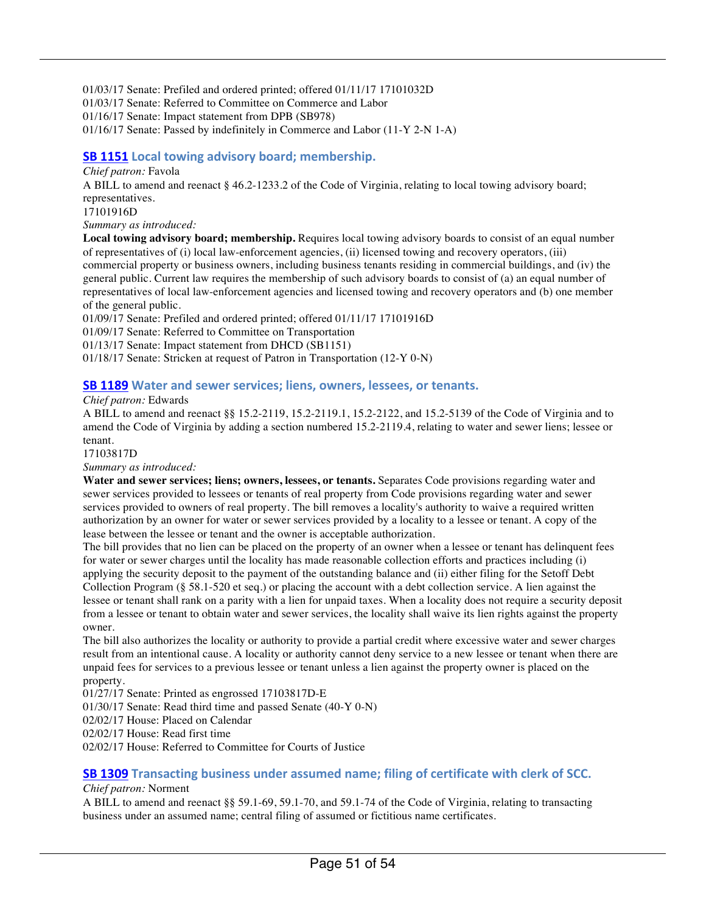01/03/17 Senate: Prefiled and ordered printed; offered 01/11/17 17101032D 01/03/17 Senate: Referred to Committee on Commerce and Labor 01/16/17 Senate: Impact statement from DPB (SB978) 01/16/17 Senate: Passed by indefinitely in Commerce and Labor (11-Y 2-N 1-A)

#### **SB 1151** Local towing advisory board; membership.

#### *Chief patron:* Favola

A BILL to amend and reenact § 46.2-1233.2 of the Code of Virginia, relating to local towing advisory board; representatives.

17101916D

*Summary as introduced:*

**Local towing advisory board; membership.** Requires local towing advisory boards to consist of an equal number of representatives of (i) local law-enforcement agencies, (ii) licensed towing and recovery operators, (iii) commercial property or business owners, including business tenants residing in commercial buildings, and (iv) the general public. Current law requires the membership of such advisory boards to consist of (a) an equal number of representatives of local law-enforcement agencies and licensed towing and recovery operators and (b) one member of the general public.

01/09/17 Senate: Prefiled and ordered printed; offered 01/11/17 17101916D

01/09/17 Senate: Referred to Committee on Transportation

01/13/17 Senate: Impact statement from DHCD (SB1151)

01/18/17 Senate: Stricken at request of Patron in Transportation (12-Y 0-N)

#### **SB 1189** Water and sewer services; liens, owners, lessees, or tenants.

*Chief patron:* Edwards

A BILL to amend and reenact §§ 15.2-2119, 15.2-2119.1, 15.2-2122, and 15.2-5139 of the Code of Virginia and to amend the Code of Virginia by adding a section numbered 15.2-2119.4, relating to water and sewer liens; lessee or tenant.

17103817D

*Summary as introduced:*

**Water and sewer services; liens; owners, lessees, or tenants.** Separates Code provisions regarding water and sewer services provided to lessees or tenants of real property from Code provisions regarding water and sewer services provided to owners of real property. The bill removes a locality's authority to waive a required written authorization by an owner for water or sewer services provided by a locality to a lessee or tenant. A copy of the lease between the lessee or tenant and the owner is acceptable authorization.

The bill provides that no lien can be placed on the property of an owner when a lessee or tenant has delinquent fees for water or sewer charges until the locality has made reasonable collection efforts and practices including (i) applying the security deposit to the payment of the outstanding balance and (ii) either filing for the Setoff Debt Collection Program (§ 58.1-520 et seq.) or placing the account with a debt collection service. A lien against the lessee or tenant shall rank on a parity with a lien for unpaid taxes. When a locality does not require a security deposit from a lessee or tenant to obtain water and sewer services, the locality shall waive its lien rights against the property owner.

The bill also authorizes the locality or authority to provide a partial credit where excessive water and sewer charges result from an intentional cause. A locality or authority cannot deny service to a new lessee or tenant when there are unpaid fees for services to a previous lessee or tenant unless a lien against the property owner is placed on the property.

01/27/17 Senate: Printed as engrossed 17103817D-E

01/30/17 Senate: Read third time and passed Senate (40-Y 0-N)

02/02/17 House: Placed on Calendar

02/02/17 House: Read first time

02/02/17 House: Referred to Committee for Courts of Justice

#### **SB 1309** Transacting business under assumed name; filing of certificate with clerk of SCC.

#### *Chief patron:* Norment

A BILL to amend and reenact §§ 59.1-69, 59.1-70, and 59.1-74 of the Code of Virginia, relating to transacting business under an assumed name; central filing of assumed or fictitious name certificates.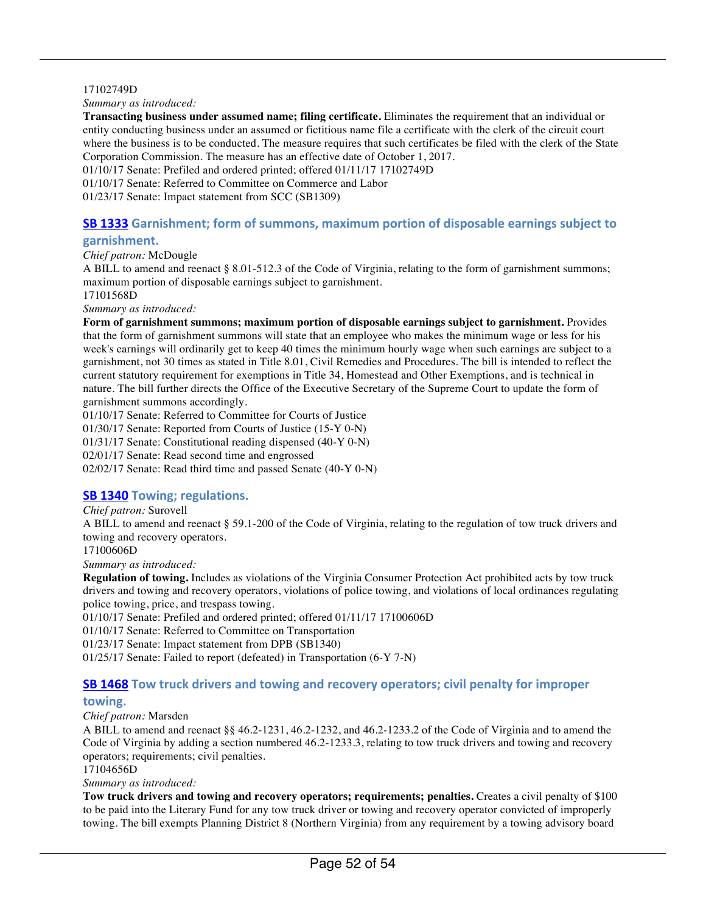#### 17102749D

#### *Summary as introduced:*

**Transacting business under assumed name; filing certificate.** Eliminates the requirement that an individual or entity conducting business under an assumed or fictitious name file a certificate with the clerk of the circuit court where the business is to be conducted. The measure requires that such certificates be filed with the clerk of the State Corporation Commission. The measure has an effective date of October 1, 2017.

01/10/17 Senate: Prefiled and ordered printed; offered 01/11/17 17102749D

01/10/17 Senate: Referred to Committee on Commerce and Labor

01/23/17 Senate: Impact statement from SCC (SB1309)

### **SB 1333** Garnishment; form of summons, maximum portion of disposable earnings subject to

#### **garnishment.**

*Chief patron:* McDougle

A BILL to amend and reenact § 8.01-512.3 of the Code of Virginia, relating to the form of garnishment summons; maximum portion of disposable earnings subject to garnishment.

17101568D

*Summary as introduced:*

**Form of garnishment summons; maximum portion of disposable earnings subject to garnishment.** Provides that the form of garnishment summons will state that an employee who makes the minimum wage or less for his week's earnings will ordinarily get to keep 40 times the minimum hourly wage when such earnings are subject to a garnishment, not 30 times as stated in Title 8.01, Civil Remedies and Procedures. The bill is intended to reflect the current statutory requirement for exemptions in Title 34, Homestead and Other Exemptions, and is technical in nature. The bill further directs the Office of the Executive Secretary of the Supreme Court to update the form of garnishment summons accordingly.

01/10/17 Senate: Referred to Committee for Courts of Justice

01/30/17 Senate: Reported from Courts of Justice (15-Y 0-N)

01/31/17 Senate: Constitutional reading dispensed (40-Y 0-N)

02/01/17 Senate: Read second time and engrossed

02/02/17 Senate: Read third time and passed Senate (40-Y 0-N)

#### **SB 1340** Towing; regulations.

*Chief patron:* Surovell

A BILL to amend and reenact § 59.1-200 of the Code of Virginia, relating to the regulation of tow truck drivers and towing and recovery operators.

17100606D

*Summary as introduced:*

**Regulation of towing.** Includes as violations of the Virginia Consumer Protection Act prohibited acts by tow truck drivers and towing and recovery operators, violations of police towing, and violations of local ordinances regulating police towing, price, and trespass towing.

01/10/17 Senate: Prefiled and ordered printed; offered 01/11/17 17100606D

01/10/17 Senate: Referred to Committee on Transportation

01/23/17 Senate: Impact statement from DPB (SB1340)

01/25/17 Senate: Failed to report (defeated) in Transportation (6-Y 7-N)

#### **SB 1468** Tow truck drivers and towing and recovery operators; civil penalty for improper

#### **towing.**

*Chief patron:* Marsden

A BILL to amend and reenact §§ 46.2-1231, 46.2-1232, and 46.2-1233.2 of the Code of Virginia and to amend the Code of Virginia by adding a section numbered 46.2-1233.3, relating to tow truck drivers and towing and recovery operators; requirements; civil penalties.

17104656D

*Summary as introduced:*

**Tow truck drivers and towing and recovery operators; requirements; penalties.** Creates a civil penalty of \$100 to be paid into the Literary Fund for any tow truck driver or towing and recovery operator convicted of improperly towing. The bill exempts Planning District 8 (Northern Virginia) from any requirement by a towing advisory board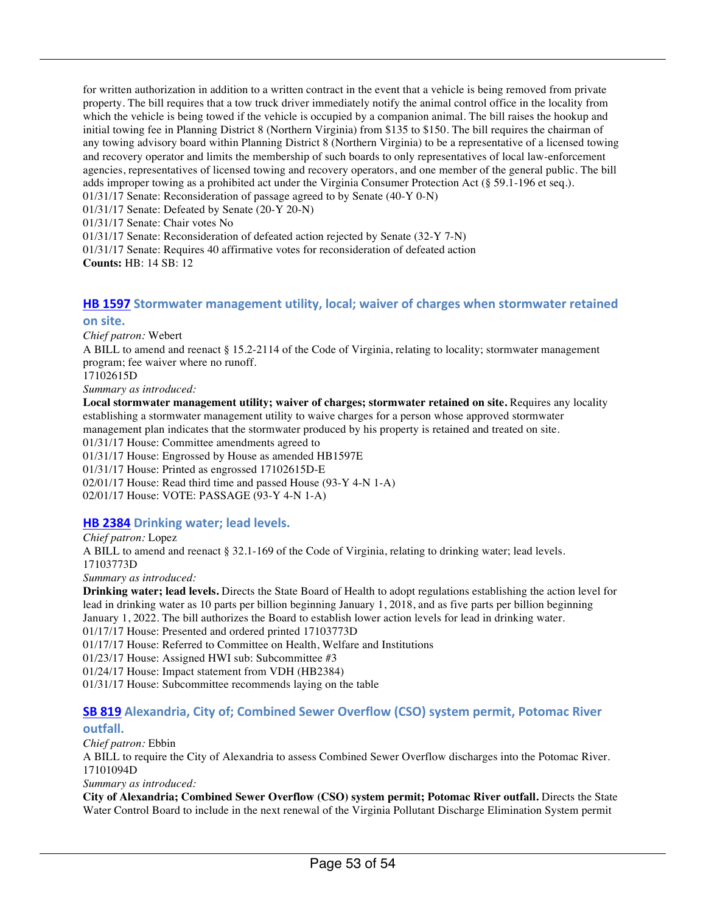for written authorization in addition to a written contract in the event that a vehicle is being removed from private property. The bill requires that a tow truck driver immediately notify the animal control office in the locality from which the vehicle is being towed if the vehicle is occupied by a companion animal. The bill raises the hookup and initial towing fee in Planning District 8 (Northern Virginia) from \$135 to \$150. The bill requires the chairman of any towing advisory board within Planning District 8 (Northern Virginia) to be a representative of a licensed towing and recovery operator and limits the membership of such boards to only representatives of local law-enforcement agencies, representatives of licensed towing and recovery operators, and one member of the general public. The bill adds improper towing as a prohibited act under the Virginia Consumer Protection Act (§ 59.1-196 et seq.).

01/31/17 Senate: Reconsideration of passage agreed to by Senate (40-Y 0-N)

01/31/17 Senate: Defeated by Senate (20-Y 20-N)

01/31/17 Senate: Chair votes No

01/31/17 Senate: Reconsideration of defeated action rejected by Senate (32-Y 7-N)

01/31/17 Senate: Requires 40 affirmative votes for reconsideration of defeated action **Counts:** HB: 14 SB: 12

#### **HB 1597** Stormwater management utility, local; waiver of charges when stormwater retained **on site.**

*Chief patron:* Webert

A BILL to amend and reenact § 15.2-2114 of the Code of Virginia, relating to locality; stormwater management program; fee waiver where no runoff.

17102615D

*Summary as introduced:*

**Local stormwater management utility; waiver of charges; stormwater retained on site.** Requires any locality establishing a stormwater management utility to waive charges for a person whose approved stormwater management plan indicates that the stormwater produced by his property is retained and treated on site. 01/31/17 House: Committee amendments agreed to 01/31/17 House: Engrossed by House as amended HB1597E 01/31/17 House: Printed as engrossed 17102615D-E 02/01/17 House: Read third time and passed House (93-Y 4-N 1-A)

02/01/17 House: VOTE: PASSAGE (93-Y 4-N 1-A)

#### **HB 2384 Drinking water; lead levels.**

*Chief patron:* Lopez A BILL to amend and reenact § 32.1-169 of the Code of Virginia, relating to drinking water; lead levels. 17103773D *Summary as introduced:*

**Drinking water; lead levels.** Directs the State Board of Health to adopt regulations establishing the action level for lead in drinking water as 10 parts per billion beginning January 1, 2018, and as five parts per billion beginning January 1, 2022. The bill authorizes the Board to establish lower action levels for lead in drinking water. 01/17/17 House: Presented and ordered printed 17103773D 01/17/17 House: Referred to Committee on Health, Welfare and Institutions 01/23/17 House: Assigned HWI sub: Subcommittee #3 01/24/17 House: Impact statement from VDH (HB2384)

01/31/17 House: Subcommittee recommends laying on the table

### **SB 819 Alexandria, City of; Combined Sewer Overflow (CSO) system permit, Potomac River**

#### **outfall.**

*Chief patron:* Ebbin A BILL to require the City of Alexandria to assess Combined Sewer Overflow discharges into the Potomac River. 17101094D

*Summary as introduced:*

**City of Alexandria; Combined Sewer Overflow (CSO) system permit; Potomac River outfall.** Directs the State Water Control Board to include in the next renewal of the Virginia Pollutant Discharge Elimination System permit